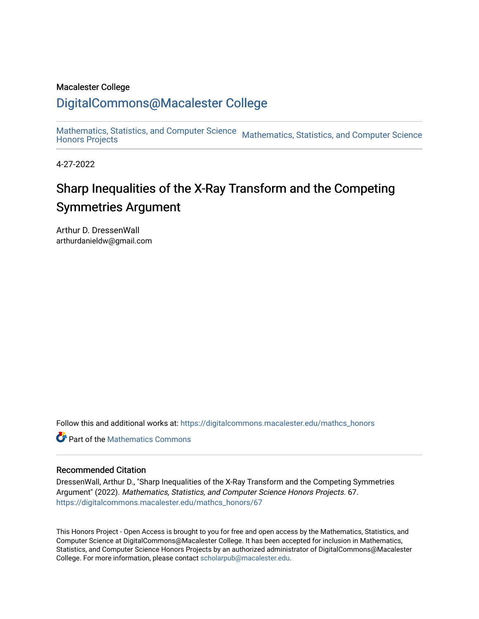#### Macalester College

### [DigitalCommons@Macalester College](https://digitalcommons.macalester.edu/)

[Mathematics, Statistics, and Computer Science](https://digitalcommons.macalester.edu/mathcs_honors) Mathematics, Statistics, and Computer Science

4-27-2022

## Sharp Inequalities of the X-Ray Transform and the Competing Symmetries Argument

Arthur D. DressenWall arthurdanieldw@gmail.com

Follow this and additional works at: [https://digitalcommons.macalester.edu/mathcs\\_honors](https://digitalcommons.macalester.edu/mathcs_honors?utm_source=digitalcommons.macalester.edu%2Fmathcs_honors%2F67&utm_medium=PDF&utm_campaign=PDFCoverPages)

**C** Part of the [Mathematics Commons](https://network.bepress.com/hgg/discipline/174?utm_source=digitalcommons.macalester.edu%2Fmathcs_honors%2F67&utm_medium=PDF&utm_campaign=PDFCoverPages)

#### Recommended Citation

DressenWall, Arthur D., "Sharp Inequalities of the X-Ray Transform and the Competing Symmetries Argument" (2022). Mathematics, Statistics, and Computer Science Honors Projects. 67. [https://digitalcommons.macalester.edu/mathcs\\_honors/67](https://digitalcommons.macalester.edu/mathcs_honors/67?utm_source=digitalcommons.macalester.edu%2Fmathcs_honors%2F67&utm_medium=PDF&utm_campaign=PDFCoverPages) 

This Honors Project - Open Access is brought to you for free and open access by the Mathematics, Statistics, and Computer Science at DigitalCommons@Macalester College. It has been accepted for inclusion in Mathematics, Statistics, and Computer Science Honors Projects by an authorized administrator of DigitalCommons@Macalester College. For more information, please contact [scholarpub@macalester.edu](mailto:scholarpub@macalester.edu).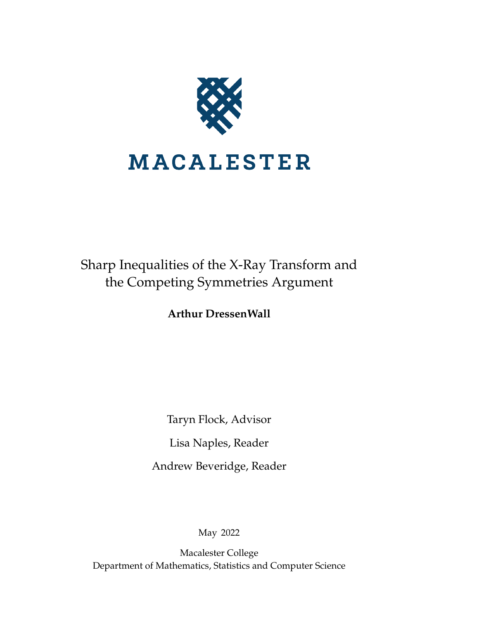

## Sharp Inequalities of the X-Ray Transform and the Competing Symmetries Argument

**Arthur DressenWall**

Taryn Flock, Advisor Lisa Naples, Reader Andrew Beveridge, Reader

May 2022

Macalester College Department of Mathematics, Statistics and Computer Science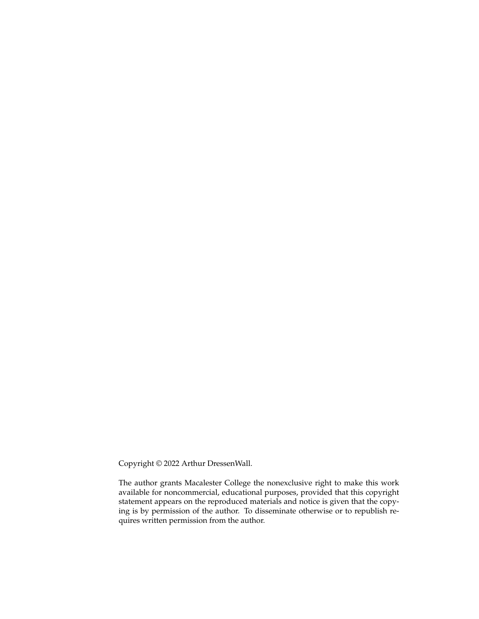Copyright © 2022 Arthur DressenWall.

The author grants Macalester College the nonexclusive right to make this work available for noncommercial, educational purposes, provided that this copyright statement appears on the reproduced materials and notice is given that the copying is by permission of the author. To disseminate otherwise or to republish requires written permission from the author.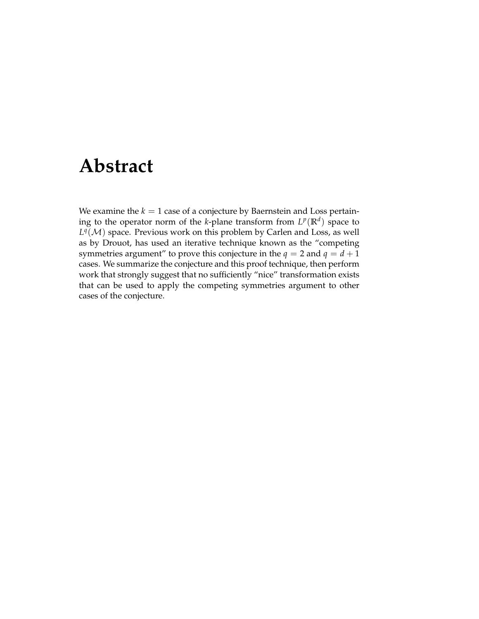## **Abstract**

We examine the  $k = 1$  case of a conjecture by Baernstein and Loss pertaining to the operator norm of the *k*-plane transform from  $L^p(\mathbb{R}^d)$  space to  $L^q(\mathcal{M})$  space. Previous work on this problem by Carlen and Loss, as well as by Drouot, has used an iterative technique known as the "competing symmetries argument" to prove this conjecture in the  $q = 2$  and  $q = d + 1$ cases. We summarize the conjecture and this proof technique, then perform work that strongly suggest that no sufficiently "nice" transformation exists that can be used to apply the competing symmetries argument to other cases of the conjecture.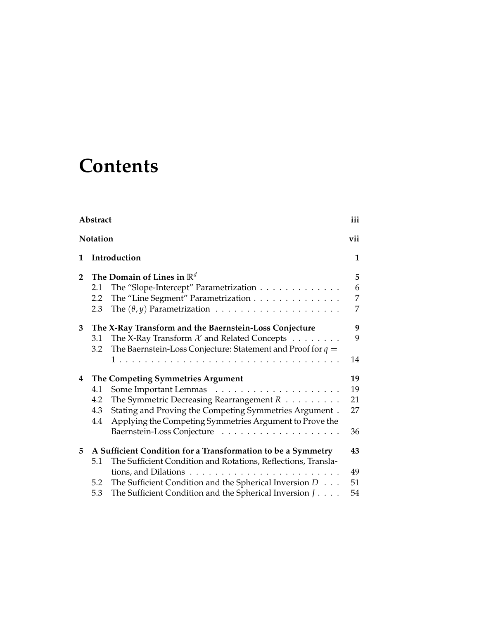# **Contents**

|                 | Abstract |                                                                            |     |
|-----------------|----------|----------------------------------------------------------------------------|-----|
| <b>Notation</b> |          |                                                                            | vii |
| 1               |          | Introduction                                                               | 1   |
| $\mathbf{2}$    |          | The Domain of Lines in $\mathbb{R}^d$                                      | 5   |
|                 | 2.1      | The "Slope-Intercept" Parametrization                                      | 6   |
|                 | 2.2      | The "Line Segment" Parametrization                                         | 7   |
|                 | 2.3      |                                                                            | 7   |
| 3               |          | The X-Ray Transform and the Baernstein-Loss Conjecture                     | 9   |
|                 | 3.1      | The X-Ray Transform $\mathcal X$ and Related Concepts $\ldots \ldots$      | 9   |
|                 | 3.2      | The Baernstein-Loss Conjecture: Statement and Proof for $q =$              |     |
|                 |          |                                                                            | 14  |
| 4               |          | The Competing Symmetries Argument                                          | 19  |
|                 | 4.1      |                                                                            | 19  |
|                 | 4.2      | The Symmetric Decreasing Rearrangement $R$                                 | 21  |
|                 | 4.3      | Stating and Proving the Competing Symmetries Argument.                     | 27  |
|                 | 4.4      | Applying the Competing Symmetries Argument to Prove the                    |     |
|                 |          |                                                                            | 36  |
| 5               |          | A Sufficient Condition for a Transformation to be a Symmetry               | 43  |
|                 | 5.1      | The Sufficient Condition and Rotations, Reflections, Transla-              |     |
|                 |          |                                                                            | 49  |
|                 | 5.2      | The Sufficient Condition and the Spherical Inversion $D \dots$             | 51  |
|                 | 5.3      | The Sufficient Condition and the Spherical Inversion $J \cdot \cdot \cdot$ | 54  |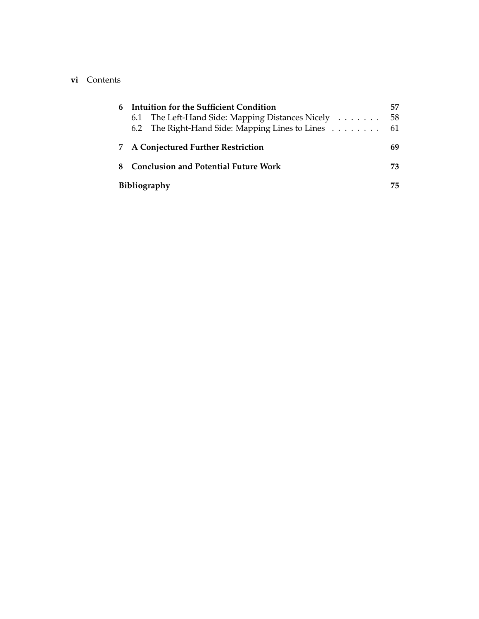| 6  | Intuition for the Sufficient Condition<br>6.1 The Left-Hand Side: Mapping Distances Nicely<br>6.2 The Right-Hand Side: Mapping Lines to Lines 61 | 57<br>-58 |  |  |
|----|--------------------------------------------------------------------------------------------------------------------------------------------------|-----------|--|--|
|    | <b>A Conjectured Further Restriction</b>                                                                                                         |           |  |  |
| 8. | <b>Conclusion and Potential Future Work</b>                                                                                                      |           |  |  |
|    | <b>Bibliography</b>                                                                                                                              |           |  |  |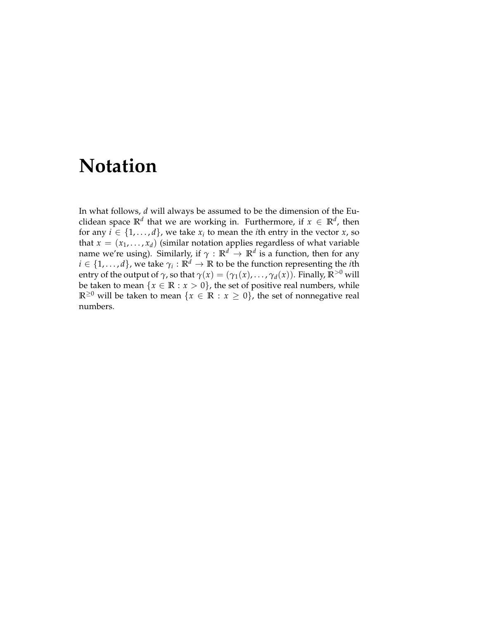## **Notation**

In what follows, *d* will always be assumed to be the dimension of the Euclidean space  $\mathbb{R}^d$  that we are working in. Furthermore, if  $x \in \mathbb{R}^d$ , then for any  $i \in \{1, \ldots, d\}$ , we take  $x_i$  to mean the *i*th entry in the vector  $x$ , so that  $x = (x_1, \ldots, x_d)$  (similar notation applies regardless of what variable name we're using). Similarly, if  $\gamma\,:\,\mathbb{R}^d\,\to\,\mathbb{R}^d$  is a function, then for any  $i \in \{1,\ldots,d\}$ , we take  $\gamma_i:\mathbb{R}^d \rightarrow \mathbb{R}$  to be the function representing the *i*th entry of the output of  $\gamma$ , so that  $\gamma(x) = (\gamma_1(x), \dots, \gamma_d(x))$ . Finally,  $\mathbb{R}^{>0}$  will be taken to mean  $\{x \in \mathbb{R} : x > 0\}$ , the set of positive real numbers, while **R**<sup>≥0</sup> will be taken to mean {*x* ∈ **R** : *x* ≥ 0}, the set of nonnegative real numbers.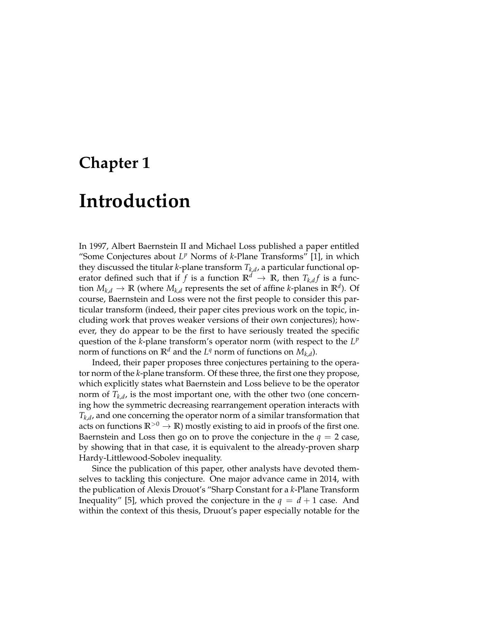## **Chapter 1**

## **Introduction**

In 1997, Albert Baernstein II and Michael Loss published a paper entitled "Some Conjectures about  $L^p$  Norms of  $k$ -Plane Transforms" [1], in which they discussed the titular *k*-plane transform *Tk*,*<sup>d</sup>* , a particular functional operator defined such that if  $f$  is a function  $\mathbb{R}^d \to \mathbb{R}$ , then  $T_{k,d}f$  is a function  $M_{k,d} \to \mathbb{R}$  (where  $M_{k,d}$  represents the set of affine *k*-planes in  $\mathbb{R}^d$ ). Of course, Baernstein and Loss were not the first people to consider this particular transform (indeed, their paper cites previous work on the topic, including work that proves weaker versions of their own conjectures); however, they do appear to be the first to have seriously treated the specific question of the *k*-plane transform's operator norm (with respect to the *L p* norm of functions on  $\mathbb{R}^d$  and the  $L^q$  norm of functions on  $M_{k,d}$ ).

Indeed, their paper proposes three conjectures pertaining to the operator norm of the *k*-plane transform. Of these three, the first one they propose, which explicitly states what Baernstein and Loss believe to be the operator norm of  $T_{k,d}$ , is the most important one, with the other two (one concerning how the symmetric decreasing rearrangement operation interacts with *Tk*,*<sup>d</sup>* , and one concerning the operator norm of a similar transformation that acts on functions  $\mathbb{R}^{>0} \to \mathbb{R}$ ) mostly existing to aid in proofs of the first one. Baernstein and Loss then go on to prove the conjecture in the  $q = 2$  case, by showing that in that case, it is equivalent to the already-proven sharp Hardy-Littlewood-Sobolev inequality.

Since the publication of this paper, other analysts have devoted themselves to tackling this conjecture. One major advance came in 2014, with the publication of Alexis Drouot's "Sharp Constant for a *k*-Plane Transform Inequality" [5], which proved the conjecture in the  $q = d + 1$  case. And within the context of this thesis, Druout's paper especially notable for the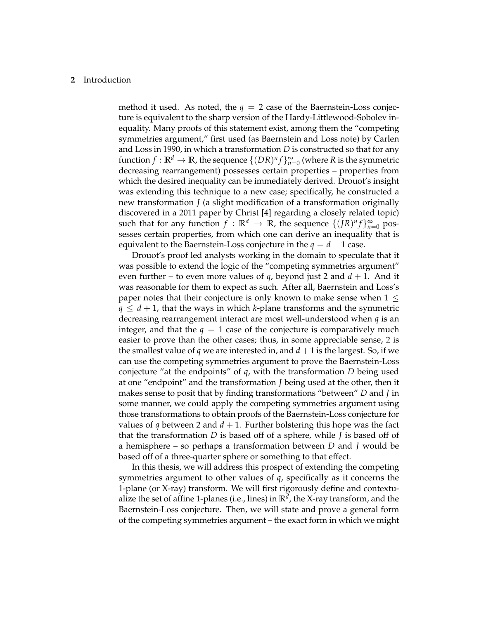#### **2** Introduction

method it used. As noted, the  $q = 2$  case of the Baernstein-Loss conjecture is equivalent to the sharp version of the Hardy-Littlewood-Sobolev inequality. Many proofs of this statement exist, among them the "competing symmetries argument," first used (as Baernstein and Loss note) by Carlen and Loss in 1990, in which a transformation *D* is constructed so that for any function  $f: \mathbb{R}^d \to \mathbb{R}$ , the sequence  $\{(DR)^n f\}_{n=0}^\infty$  (where  $R$  is the symmetric decreasing rearrangement) possesses certain properties – properties from which the desired inequality can be immediately derived. Drouot's insight was extending this technique to a new case; specifically, he constructed a new transformation *J* (a slight modification of a transformation originally discovered in a 2011 paper by Christ [4] regarding a closely related topic) such that for any function  $f : \mathbb{R}^d \to \mathbb{R}$ , the sequence  $\{(fR)^n f\}_{n=0}^{\infty}$  possesses certain properties, from which one can derive an inequality that is equivalent to the Baernstein-Loss conjecture in the  $q = d + 1$  case.

Drouot's proof led analysts working in the domain to speculate that it was possible to extend the logic of the "competing symmetries argument" even further – to even more values of *q*, beyond just 2 and *d* + 1. And it was reasonable for them to expect as such. After all, Baernstein and Loss's paper notes that their conjecture is only known to make sense when  $1 \leq$  $q \leq d+1$ , that the ways in which *k*-plane transforms and the symmetric decreasing rearrangement interact are most well-understood when *q* is an integer, and that the  $q = 1$  case of the conjecture is comparatively much easier to prove than the other cases; thus, in some appreciable sense, 2 is the smallest value of *q* we are interested in, and  $d + 1$  is the largest. So, if we can use the competing symmetries argument to prove the Baernstein-Loss conjecture "at the endpoints" of *q*, with the transformation *D* being used at one "endpoint" and the transformation *J* being used at the other, then it makes sense to posit that by finding transformations "between" *D* and *J* in some manner, we could apply the competing symmetries argument using those transformations to obtain proofs of the Baernstein-Loss conjecture for values of *q* between 2 and  $d + 1$ . Further bolstering this hope was the fact that the transformation *D* is based off of a sphere, while *J* is based off of a hemisphere – so perhaps a transformation between *D* and *J* would be based off of a three-quarter sphere or something to that effect.

In this thesis, we will address this prospect of extending the competing symmetries argument to other values of *q*, specifically as it concerns the 1-plane (or X-ray) transform. We will first rigorously define and contextualize the set of affine 1-planes (i.e., lines) in **R***<sup>d</sup>* , the X-ray transform, and the Baernstein-Loss conjecture. Then, we will state and prove a general form of the competing symmetries argument – the exact form in which we might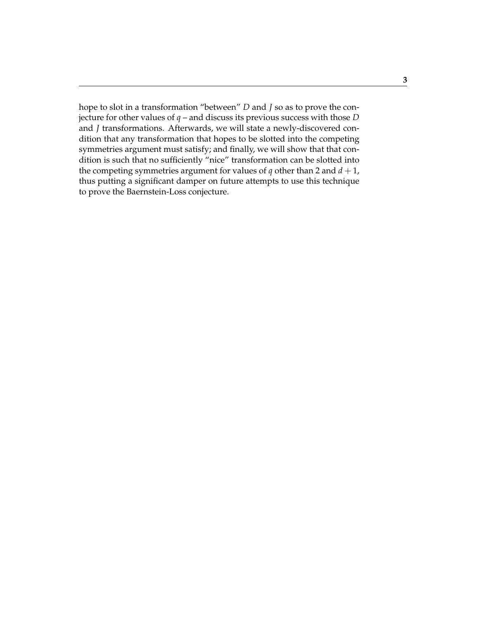hope to slot in a transformation "between" *D* and *J* so as to prove the conjecture for other values of *q* – and discuss its previous success with those *D* and *J* transformations. Afterwards, we will state a newly-discovered condition that any transformation that hopes to be slotted into the competing symmetries argument must satisfy; and finally, we will show that that condition is such that no sufficiently "nice" transformation can be slotted into the competing symmetries argument for values of  $q$  other than 2 and  $d + 1$ , thus putting a significant damper on future attempts to use this technique to prove the Baernstein-Loss conjecture.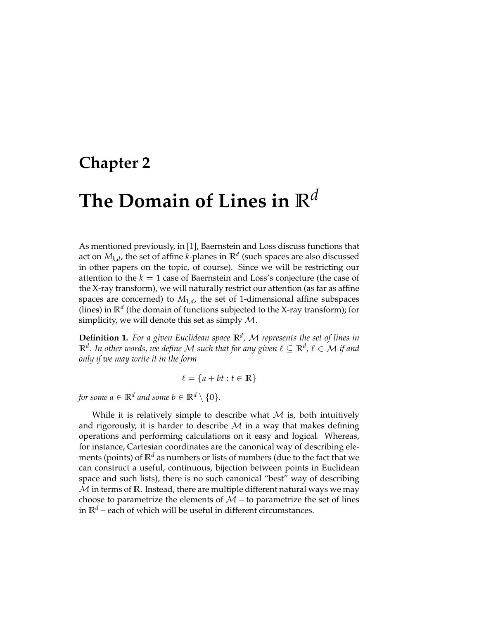## **Chapter 2**

## **The Domain of Lines in R***<sup>d</sup>*

As mentioned previously, in [1], Baernstein and Loss discuss functions that act on  $M_{k,d}$ , the set of affine *k*-planes in  $\mathbb{R}^d$  (such spaces are also discussed in other papers on the topic, of course). Since we will be restricting our attention to the *k* = 1 case of Baernstein and Loss's conjecture (the case of the X-ray transform), we will naturally restrict our attention (as far as affine spaces are concerned) to *M*1,*<sup>d</sup>* , the set of 1-dimensional affine subspaces (lines) in  $\mathbb{R}^d$  (the domain of functions subjected to the X-ray transform); for simplicity, we will denote this set as simply  $M$ .

**Definition 1.** *For a given Euclidean space* **R***<sup>d</sup> ,* M *represents the set of lines in*  $\mathbb{R}^d$ . In other words, we define  $\mathcal M$  such that for any given  $\ell \subseteq \mathbb{R}^d$  ,  $\ell \in \mathcal M$  if and *only if we may write it in the form*

$$
\ell = \{a + bt : t \in \mathbb{R}\}
$$

*for some a*  $\in \mathbb{R}^d$  *and some b*  $\in \mathbb{R}^d \setminus \{0\}.$ 

While it is relatively simple to describe what  $M$  is, both intuitively and rigorously, it is harder to describe  $M$  in a way that makes defining operations and performing calculations on it easy and logical. Whereas, for instance, Cartesian coordinates are the canonical way of describing elements (points) of  $\mathbb{R}^d$  as numbers or lists of numbers (due to the fact that we can construct a useful, continuous, bijection between points in Euclidean space and such lists), there is no such canonical "best" way of describing M in terms of **R**. Instead, there are multiple different natural ways we may choose to parametrize the elements of  $M$  – to parametrize the set of lines in  $\mathbb{R}^d$  – each of which will be useful in different circumstances.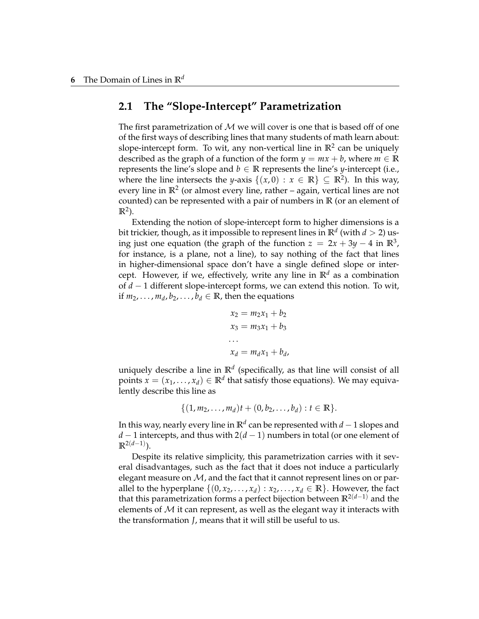#### **2.1 The "Slope-Intercept" Parametrization**

The first parametrization of  $M$  we will cover is one that is based off of one of the first ways of describing lines that many students of math learn about: slope-intercept form. To wit, any non-vertical line in **R**<sup>2</sup> can be uniquely described as the graph of a function of the form  $y = mx + b$ , where  $m \in \mathbb{R}$ represents the line's slope and  $b \in \mathbb{R}$  represents the line's *y*-intercept (i.e., where the line intersects the *y*-axis  $\{(x,0): x \in \mathbb{R}\} \subseteq \mathbb{R}^2$ . In this way, every line in **R**<sup>2</sup> (or almost every line, rather – again, vertical lines are not counted) can be represented with a pair of numbers in **R** (or an element of  $\mathbb{R}^2$ ).

Extending the notion of slope-intercept form to higher dimensions is a bit trickier, though, as it impossible to represent lines in  $\mathbb{R}^d$  (with  $d>2$ ) using just one equation (the graph of the function  $z = 2x + 3y - 4$  in  $\mathbb{R}^3$ , for instance, is a plane, not a line), to say nothing of the fact that lines in higher-dimensional space don't have a single defined slope or intercept. However, if we, effectively, write any line in  $\mathbb{R}^d$  as a combination of *d* − 1 different slope-intercept forms, we can extend this notion. To wit, if  $m_2, \ldots, m_d, b_2, \ldots, b_d \in \mathbb{R}$ , then the equations

$$
x_2 = m_2 x_1 + b_2
$$
  
\n
$$
x_3 = m_3 x_1 + b_3
$$
  
\n...  
\n
$$
x_d = m_d x_1 + b_d
$$

uniquely describe a line in **R***<sup>d</sup>* (specifically, as that line will consist of all points  $x = (x_1, \ldots, x_d) \in \mathbb{R}^d$  that satisfy those equations). We may equivalently describe this line as

$$
\{(1, m_2, \ldots, m_d)t + (0, b_2, \ldots, b_d) : t \in \mathbb{R}\}.
$$

In this way, nearly every line in **R***<sup>d</sup>* can be represented with *d* − 1 slopes and *d* − 1 intercepts, and thus with 2(*d* − 1) numbers in total (or one element of **R**2(*d*−1) ).

Despite its relative simplicity, this parametrization carries with it several disadvantages, such as the fact that it does not induce a particularly elegant measure on  $M$ , and the fact that it cannot represent lines on or parallel to the hyperplane  $\{(0, x_2, \ldots, x_d) : x_2, \ldots, x_d \in \mathbb{R}\}$ . However, the fact that this parametrization forms a perfect bijection between  $\mathbb{R}^{2(d-1)}$  and the elements of  $M$  it can represent, as well as the elegant way it interacts with the transformation *J*, means that it will still be useful to us.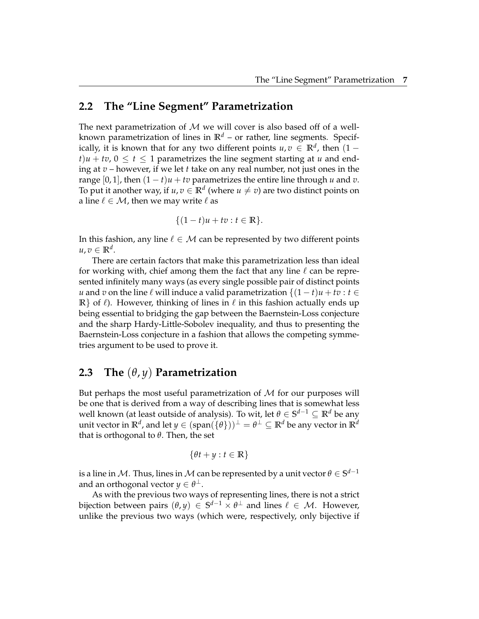#### **2.2 The "Line Segment" Parametrization**

The next parametrization of  $M$  we will cover is also based off of a wellknown parametrization of lines in  $\mathbb{R}^d$  – or rather, line segments. Specifically, it is known that for any two different points  $u, v \in \mathbb{R}^d$ , then  $(1$  $t$ ) $u + tv$ ,  $0 \le t \le 1$  parametrizes the line segment starting at  $u$  and ending at *v* – however, if we let *t* take on any real number, not just ones in the range [0, 1], then  $(1 - t)u + tv$  parametrizes the entire line through *u* and *v*. To put it another way, if  $u, v \in \mathbb{R}^d$  (where  $u \neq v$ ) are two distinct points on a line  $\ell \in \mathcal{M}$ , then we may write  $\ell$  as

$$
\{(1-t)u + tv : t \in \mathbb{R}\}.
$$

In this fashion, any line  $\ell \in \mathcal{M}$  can be represented by two different points  $u, v \in \mathbb{R}^d$ .

There are certain factors that make this parametrization less than ideal for working with, chief among them the fact that any line  $\ell$  can be represented infinitely many ways (as every single possible pair of distinct points *u* and *v* on the line  $\ell$  will induce a valid parametrization  $\{(1-t)u + tv : t \in$ **R**} of  $\ell$ ). However, thinking of lines in  $\ell$  in this fashion actually ends up being essential to bridging the gap between the Baernstein-Loss conjecture and the sharp Hardy-Little-Sobolev inequality, and thus to presenting the Baernstein-Loss conjecture in a fashion that allows the competing symmetries argument to be used to prove it.

#### **2.3 The** (*θ*, *y*) **Parametrization**

But perhaps the most useful parametrization of  $M$  for our purposes will be one that is derived from a way of describing lines that is somewhat less well known (at least outside of analysis). To wit, let *θ* ∈ **S** *<sup>d</sup>*−<sup>1</sup> ⊆ **R***<sup>d</sup>* be any unit vector in  $\mathbb{R}^d$ , and let  $y\in (\text{span}(\{\theta\}))^\perp = \theta^\perp\subseteq \mathbb{R}^d$  be any vector in  $\mathbb{R}^d$ that is orthogonal to *θ*. Then, the set

$$
\{\theta t + y : t \in \mathbb{R}\}
$$

is a line in  $\mathcal M.$  Thus, lines in  $\mathcal M$  can be represented by a unit vector  $\theta\in\mathbb S^{d-1}$ and an orthogonal vector  $y\in\theta^{\perp}.$ 

As with the previous two ways of representing lines, there is not a strict bijection between pairs  $(\theta, y) \in S^{d-1} \times \theta^{\perp}$  and lines  $\ell \in \mathcal{M}$ . However, unlike the previous two ways (which were, respectively, only bijective if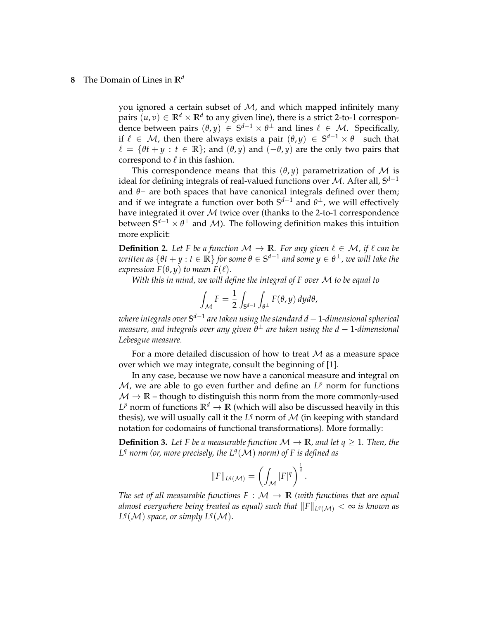you ignored a certain subset of  $M$ , and which mapped infinitely many pairs  $(u, v) \in \mathbb{R}^d \times \mathbb{R}^d$  to any given line), there is a strict 2-to-1 correspondence between pairs  $(\theta, y) \in S^{d-1} \times \theta^{\perp}$  and lines  $\ell \in \mathcal{M}$ . Specifically, if  $\ell \in \mathcal{M}$ , then there always exists a pair  $(\theta, y) \in \mathbb{S}^{d-1} \times \theta^{\perp}$  such that  $\ell = {\theta t + y : t \in \mathbb{R}}$ ; and  $(\theta, y)$  and  $(-\theta, y)$  are the only two pairs that correspond to  $\ell$  in this fashion.

This correspondence means that this  $(\theta, \gamma)$  parametrization of M is ideal for defining integrals of real-valued functions over M. After all, **S** *d*−1 and  $\theta^{\perp}$  are both spaces that have canonical integrals defined over them; and if we integrate a function over both  $S^{d-1}$  and  $\theta^{\perp}$ , we will effectively have integrated it over  $M$  twice over (thanks to the 2-to-1 correspondence between  $\mathbf{S}^{d-1}\times\theta^{\perp}$  and  $\mathcal{M}$ ). The following definition makes this intuition more explicit:

**Definition 2.** Let F be a function  $M \to \mathbb{R}$ . For any given  $\ell \in M$ , if  $\ell$  can be  $\omega$ ritten as  $\{\theta t + y : t \in \mathbb{R}\}$  for some  $\theta \in \mathbb{S}^{d-1}$  and some  $y \in \theta^\perp$  , we will take the *expression*  $F(\theta, y)$  *to mean*  $F(\ell)$ *.* 

*With this in mind, we will define the integral of F over* M *to be equal to*

$$
\int_{\mathcal{M}} F = \frac{1}{2} \int_{\mathbf{S}^{d-1}} \int_{\theta^{\perp}} F(\theta, y) \, dy d\theta,
$$

 $a$  *where integrals over*  $\mathbf{S}^{d-1}$  *are taken using the standard d*  $−$  *1-dimensional spherical measure, and integrals over any given θ* <sup>⊥</sup> *are taken using the d* − 1*-dimensional Lebesgue measure.*

For a more detailed discussion of how to treat  $M$  as a measure space over which we may integrate, consult the beginning of [1].

In any case, because we now have a canonical measure and integral on  $M$ , we are able to go even further and define an  $L^p$  norm for functions  $M \to \mathbb{R}$  – though to distinguish this norm from the more commonly-used  $L^p$  norm of functions  $\mathbb{R}^d \to \mathbb{R}$  (which will also be discussed heavily in this thesis), we will usually call it the  $L^q$  norm of  $\mathcal M$  (in keeping with standard notation for codomains of functional transformations). More formally:

**Definition 3.** Let F be a measurable function  $\mathcal{M} \to \mathbb{R}$ , and let  $q \geq 1$ . Then, the *L <sup>q</sup> norm (or, more precisely, the L<sup>q</sup>* (M) *norm) of F is defined as*

$$
||F||_{L^q(\mathcal{M})} = \left(\int_{\mathcal{M}} |F|^q\right)^{\frac{1}{q}}.
$$

*The set of all measurable functions*  $F : \mathcal{M} \to \mathbb{R}$  *(with functions that are equal almost everywhere being treated as equal) such that*  $\| F \|_{L^q(\mathcal{M})} < \infty$  *is known as*  $L^q(\mathcal{M})$  *space, or simply*  $L^q(\mathcal{M})$ *.*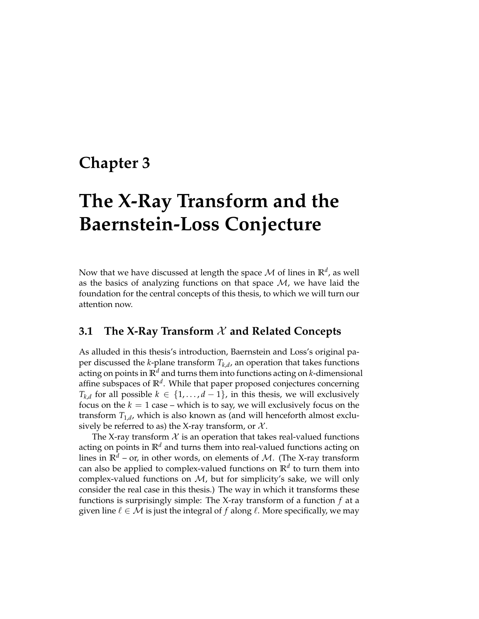## **Chapter 3**

# **The X-Ray Transform and the Baernstein-Loss Conjecture**

Now that we have discussed at length the space  $\mathcal M$  of lines in  $\mathbb R^d$ , as well as the basics of analyzing functions on that space  $M$ , we have laid the foundation for the central concepts of this thesis, to which we will turn our attention now.

#### **3.1 The X-Ray Transform** X **and Related Concepts**

As alluded in this thesis's introduction, Baernstein and Loss's original paper discussed the *k*-plane transform *Tk*,*<sup>d</sup>* , an operation that takes functions acting on points in **R***<sup>d</sup>* and turns them into functions acting on *k*-dimensional affine subspaces of **R***<sup>d</sup>* . While that paper proposed conjectures concerning *T*<sub>*k*</sub> $d$  for all possible  $k$  ∈ {1, . . . ,  $d$  − 1}, in this thesis, we will exclusively focus on the  $k = 1$  case – which is to say, we will exclusively focus on the transform *T*1,*<sup>d</sup>* , which is also known as (and will henceforth almost exclusively be referred to as) the X-ray transform, or  $\mathcal{X}$ .

The X-ray transform  $X$  is an operation that takes real-valued functions acting on points in  $\mathbb{R}^d$  and turns them into real-valued functions acting on lines in  $\mathbb{R}^d$  – or, in other words, on elements of M. (The X-ray transform can also be applied to complex-valued functions on **R***<sup>d</sup>* to turn them into complex-valued functions on  $M$ , but for simplicity's sake, we will only consider the real case in this thesis.) The way in which it transforms these functions is surprisingly simple: The X-ray transform of a function *f* at a given line  $\ell \in \mathcal{M}$  is just the integral of f along  $\ell$ . More specifically, we may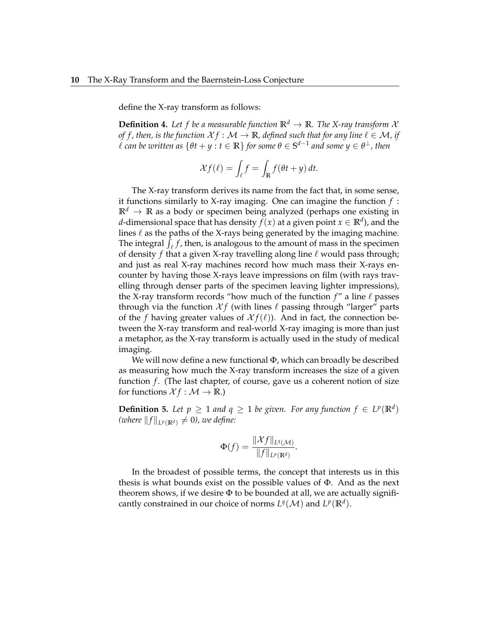define the X-ray transform as follows:

**Definition 4.** Let f be a measurable function  $\mathbb{R}^d \to \mathbb{R}$ . The X-ray transform X *of f, then, is the function*  $X f : \mathcal{M} \to \mathbb{R}$ *, defined such that for any line*  $\ell \in \mathcal{M}$ *, if*  $\ell$  can be written as  $\{\theta t + y : t \in \mathbb{R}\}$  for some  $\theta \in \mathbb{S}^{d-1}$  and some  $y \in \theta^\perp$  , then

$$
\mathcal{X}f(\ell) = \int_{\ell} f = \int_{\mathbb{R}} f(\theta t + y) dt.
$$

The X-ray transform derives its name from the fact that, in some sense, it functions similarly to X-ray imaging. One can imagine the function *f* :  $\mathbb{R}^d \to \mathbb{R}$  as a body or specimen being analyzed (perhaps one existing in *d-*dimensional space that has density  $f(x)$  at a given point  $x \in \mathbb{R}^d$ ), and the lines  $\ell$  as the paths of the X-rays being generated by the imaging machine. The integral  $\int_{\ell} f$ , then, is analogous to the amount of mass in the specimen of density *f* that a given X-ray travelling along line  $\ell$  would pass through; and just as real X-ray machines record how much mass their X-rays encounter by having those X-rays leave impressions on film (with rays travelling through denser parts of the specimen leaving lighter impressions), the X-ray transform records "how much of the function *f*" a line *ℓ* passes through via the function  $Xf$  (with lines  $\ell$  passing through "larger" parts of the *f* having greater values of  $\mathcal{X}f(\ell)$ ). And in fact, the connection between the X-ray transform and real-world X-ray imaging is more than just a metaphor, as the X-ray transform is actually used in the study of medical imaging.

We will now define a new functional Φ, which can broadly be described as measuring how much the X-ray transform increases the size of a given function *f*. (The last chapter, of course, gave us a coherent notion of size for functions  $\mathcal{X} f : \mathcal{M} \to \mathbb{R}$ .)

**Definition 5.** Let  $p \geq 1$  and  $q \geq 1$  be given. For any function  $f \in L^p(\mathbb{R}^d)$  $(\text{where } \|f\|_{L^p(\mathbb{R}^d)} \neq 0)$ , we define:

$$
\Phi(f) = \frac{\|\mathcal{X}f\|_{L^q(\mathcal{M})}}{\|f\|_{L^p(\mathbb{R}^d)}}.
$$

In the broadest of possible terms, the concept that interests us in this thesis is what bounds exist on the possible values of  $\Phi$ . And as the next theorem shows, if we desire  $\Phi$  to be bounded at all, we are actually significantly constrained in our choice of norms  $L^q(\mathcal{M})$  and  $L^p(\mathbb{R}^d)$ .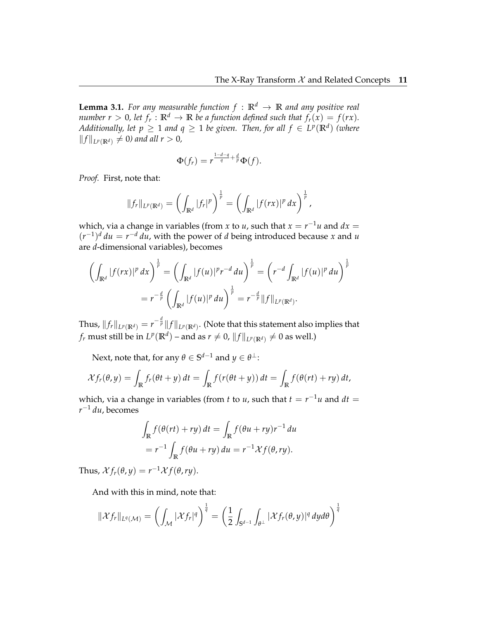**Lemma 3.1.** *For any measurable function*  $f : \mathbb{R}^d \to \mathbb{R}$  *and any positive real number r*  $> 0$ , let  $f_r : \mathbb{R}^d \to \mathbb{R}$  be a function defined such that  $f_r(x) = f(rx)$ . *Additionally, let*  $p \geq 1$  *and*  $q \geq 1$  *be given. Then, for all*  $f \in L^p(\mathbb{R}^d)$  *(where*  $||f||_{L^p(\mathbb{R}^d)}$  ≠ 0) and all  $r > 0$ ,

$$
\Phi(f_r)=r^{\frac{1-d-q}{q}+\frac{d}{p}}\Phi(f).
$$

*Proof.* First, note that:

$$
||f_r||_{L^p(\mathbb{R}^d)} = \left(\int_{\mathbb{R}^d} |f_r|^p\right)^{\frac{1}{p}} = \left(\int_{\mathbb{R}^d} |f(rx)|^p\,dx\right)^{\frac{1}{p}},
$$

which, via a change in variables (from *x* to *u*, such that  $x = r^{-1}u$  and  $dx =$  $(r^{-1})^d du = r^{-d} du$ , with the power of *d* being introduced because *x* and *u* are *d*-dimensional variables), becomes

$$
\left(\int_{\mathbb{R}^d} |f(rx)|^p \, dx\right)^{\frac{1}{p}} = \left(\int_{\mathbb{R}^d} |f(u)|^p r^{-d} \, du\right)^{\frac{1}{p}} = \left(r^{-d} \int_{\mathbb{R}^d} |f(u)|^p \, du\right)^{\frac{1}{p}}
$$
\n
$$
= r^{-\frac{d}{p}} \left(\int_{\mathbb{R}^d} |f(u)|^p \, du\right)^{\frac{1}{p}} = r^{-\frac{d}{p}} ||f||_{L^p(\mathbb{R}^d)}.
$$

Thus,  $\|f_r\|_{L^p(\mathbb{R}^d)}=r^{-\frac{d}{p}}\|f\|_{L^p(\mathbb{R}^d)}.$  (Note that this statement also implies that  $f_r$  must still be in  $L^p(\mathbb{R}^d)$  – and as  $r \neq 0$ ,  $||f||_{L^p(\mathbb{R}^d)} \neq 0$  as well.)

 $\text{Next, note that, for any } \theta \in \mathbb{S}^{d-1} \text{ and } y \in \theta^{\perp} \mathbb{B}^d$ 

$$
\mathcal{X}f_r(\theta,y) = \int_{\mathbb{R}} f_r(\theta t + y) dt = \int_{\mathbb{R}} f(r(\theta t + y)) dt = \int_{\mathbb{R}} f(\theta(rt) + ry) dt,
$$

which, via a change in variables (from *t* to *u*, such that  $t = r^{-1}u$  and  $dt =$ *r* <sup>−</sup><sup>1</sup> *du*, becomes

$$
\int_{\mathbb{R}} f(\theta(rt) + ry) dt = \int_{\mathbb{R}} f(\theta u + ry) r^{-1} du
$$
  
=  $r^{-1} \int_{\mathbb{R}} f(\theta u + ry) du = r^{-1} \mathcal{X} f(\theta, ry).$ 

Thus,  $\mathcal{X} f_r(\theta, y) = r^{-1} \mathcal{X} f(\theta, ry).$ 

And with this in mind, note that:

$$
\|\mathcal{X}f_r\|_{L^q(\mathcal{M})} = \left(\int_{\mathcal{M}} |\mathcal{X}f_r|^q\right)^{\frac{1}{q}} = \left(\frac{1}{2}\int_{\mathbb{S}^{d-1}}\int_{\theta^{\perp}} |\mathcal{X}f_r(\theta,y)|^q dy d\theta\right)^{\frac{1}{q}}
$$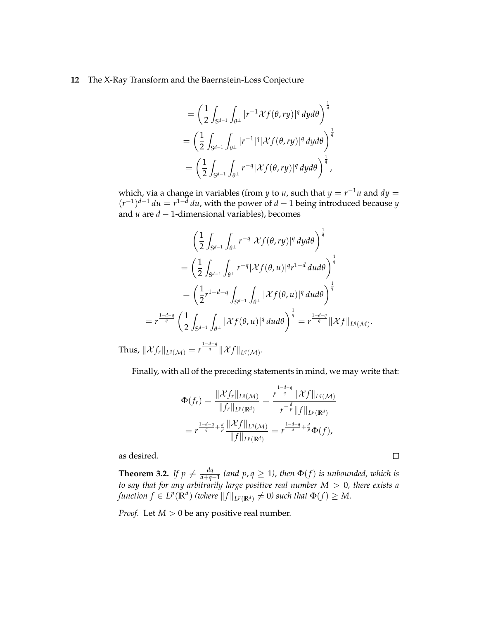$$
= \left(\frac{1}{2}\int_{S^{d-1}}\int_{\theta^\perp}|r^{-1}\mathcal{X}f(\theta,ry)|^q\,dyd\theta\right)^{\frac{1}{q}}\\ = \left(\frac{1}{2}\int_{S^{d-1}}\int_{\theta^\perp}|r^{-1}|^q|\mathcal{X}f(\theta,ry)|^q\,dyd\theta\right)^{\frac{1}{q}}\\ = \left(\frac{1}{2}\int_{S^{d-1}}\int_{\theta^\perp}r^{-q}|\mathcal{X}f(\theta,ry)|^q\,dyd\theta\right)^{\frac{1}{q}},
$$

which, via a change in variables (from *y* to *u*, such that  $y = r^{-1}u$  and  $dy =$  $(r^{-1})^{d-1} du = r^{1-\bar{d}} du$ , with the power of *d* − 1 being introduced because *y* and *u* are *d* − 1-dimensional variables), becomes

$$
\begin{aligned}\n&\left(\frac{1}{2}\int_{\mathbb{S}^{d-1}}\int_{\theta^\perp}r^{-q}|\mathcal{X}f(\theta,ry)|^q\,dyd\theta\right)^\frac{1}{q} \\
&= \left(\frac{1}{2}\int_{\mathbb{S}^{d-1}}\int_{\theta^\perp}r^{-q}|\mathcal{X}f(\theta,u)|^qr^{1-d}\,dud\theta\right)^\frac{1}{q} \\
&= \left(\frac{1}{2}r^{1-d-q}\int_{\mathbb{S}^{d-1}}\int_{\theta^\perp}|\mathcal{X}f(\theta,u)|^q\,dud\theta\right)^\frac{1}{q} \\
&= r^{\frac{1-d-q}{q}}\left(\frac{1}{2}\int_{\mathbb{S}^{d-1}}\int_{\theta^\perp}|\mathcal{X}f(\theta,u)|^q\,dud\theta\right)^\frac{1}{q} = r^{\frac{1-d-q}{q}}\|\mathcal{X}f\|_{L^q(\mathcal{M})}.\n\end{aligned}
$$

 $\text{Thus, } \|\mathcal{X}f_r\|_{L^q(\mathcal{M})} = r^{\frac{1-d-q}{q}} \|\mathcal{X}f\|_{L^q(\mathcal{M})}.$ 

Finally, with all of the preceding statements in mind, we may write that:

$$
\Phi(f_r) = \frac{\|\mathcal{X}f_r\|_{L^q(\mathcal{M})}}{\|f_r\|_{L^p(\mathbb{R}^d)}} = \frac{r^{\frac{1-d-q}{q}}\|\mathcal{X}f\|_{L^q(\mathcal{M})}}{r^{-\frac{d}{p}}\|f\|_{L^p(\mathbb{R}^d)}}
$$

$$
= r^{\frac{1-d-q}{q} + \frac{d}{p}} \frac{\|\mathcal{X}f\|_{L^q(\mathcal{M})}}{\|f\|_{L^p(\mathbb{R}^d)}} = r^{\frac{1-d-q}{q} + \frac{d}{p}} \Phi(f),
$$

as desired.

**Theorem 3.2.** If  $p \neq \frac{dq}{d+a}$ *d*+*q*−1 *(and p*, *q* ≥ 1*), then* Φ(*f*) *is unbounded, which is to say that for any arbitrarily large positive real number M* > 0*, there exists a*  $f$ unction  $f \in L^p(\mathbb{R}^d)$  (where  $\|f\|_{L^p(\mathbb{R}^d)} \neq 0$ ) such that  $\Phi(f) \geq M.$ 

*Proof.* Let *M* > 0 be any positive real number.

 $\Box$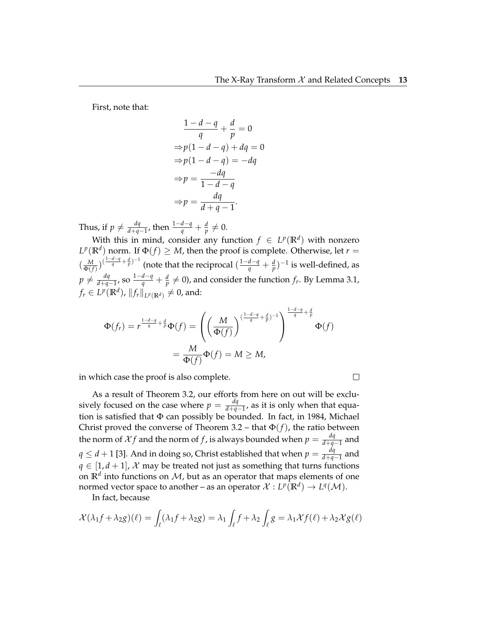$\Box$ 

First, note that:

$$
\frac{1-d-q}{q} + \frac{d}{p} = 0
$$
  
\n
$$
\Rightarrow p(1-d-q) + dq = 0
$$
  
\n
$$
\Rightarrow p(1-d-q) = -dq
$$
  
\n
$$
\Rightarrow p = \frac{-dq}{1-d-q}
$$
  
\n
$$
\Rightarrow p = \frac{dq}{d+q-1}.
$$

Thus, if  $p \neq \frac{dq}{d+a}$  $\frac{dq}{d+q-1}$ , then  $\frac{1-d-q}{q} + \frac{d}{p} ≠ 0$ .

With this in mind, consider any function  $f \in L^p(\mathbb{R}^d)$  with nonzero  $L^p(\mathbb{R}^d)$  norm. If  $\Phi(f) \geq M$ , then the proof is complete. Otherwise, let  $r =$  $\left(\frac{M}{\Phi(f)}\right)^{\left(\frac{1-d-q}{q}+\frac{d}{p}\right)-1}$  (note that the reciprocal  $\left(\frac{1-d-q}{q}+\frac{d}{p}\right)^{-1}$  is well-defined, as  $p \neq \frac{dq}{d+a}$ *dq*<sub>−1</sub>, so  $\frac{1-d-q}{q} + \frac{d}{p} \neq 0$ ), and consider the function *f<sub>r</sub>*. By Lemma 3.1,  $f_r \in L^p(\mathbb{R}^d)$ ,  $\|f_r\|_{L^p(\mathbb{R}^d)} \neq 0$ , and:

$$
\Phi(f_r) = r^{\frac{1-d-q}{q} + \frac{d}{p}} \Phi(f) = \left( \left( \frac{M}{\Phi(f)} \right)^{(\frac{1-d-q}{q} + \frac{d}{p})^{-1}} \right)^{\frac{1-d-q}{q} + \frac{d}{p}} \Phi(f)
$$

$$
= \frac{M}{\Phi(f)} \Phi(f) = M \ge M,
$$

in which case the proof is also complete.

As a result of Theorem 3.2, our efforts from here on out will be exclusively focused on the case where  $p = \frac{dq}{d+a}$ *d*+*q*−1 , as it is only when that equation is satisfied that  $\Phi$  can possibly be bounded. In fact, in 1984, Michael Christ proved the converse of Theorem 3.2 – that  $\Phi(f)$ , the ratio between the norm of  $\mathcal{X}f$  and the norm of f, is always bounded when  $p = \frac{dq}{d+a}$ *d*+*q*−1 and  $q \leq d+1$  [3]. And in doing so, Christ established that when  $p = \frac{dq}{d+a}$ *d*+*q*−1 and  $q \in [1, d+1]$ , X may be treated not just as something that turns functions on  $\mathbb{R}^d$  into functions on  $\mathcal{M}$ , but as an operator that maps elements of one normed vector space to another – as an operator  $\mathcal{X}: L^p(\mathbb{R}^d) \to L^q(\mathcal{M}).$ 

In fact, because

$$
\mathcal{X}(\lambda_1 f + \lambda_2 g)(\ell) = \int_{\ell} (\lambda_1 f + \lambda_2 g) = \lambda_1 \int_{\ell} f + \lambda_2 \int_{\ell} g = \lambda_1 \mathcal{X} f(\ell) + \lambda_2 \mathcal{X} g(\ell)
$$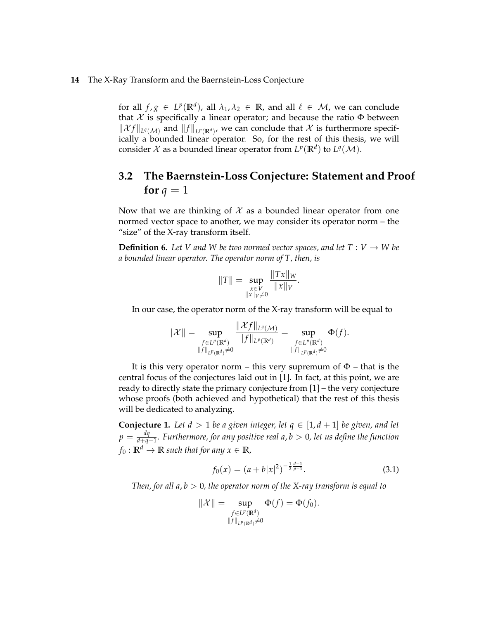for all  $f,g \in L^p(\mathbb{R}^d)$ , all  $\lambda_1,\lambda_2 \in \mathbb{R}$ , and all  $\ell \in \mathcal{M}$ , we can conclude that  $\mathcal X$  is specifically a linear operator; and because the ratio  $\Phi$  between  $\|\mathcal{X}f\|_{L^q(\mathcal{M})}$  and  $\|f\|_{L^p(\mathbb{R}^d)}$ , we can conclude that  $\mathcal X$  is furthermore specifically a bounded linear operator. So, for the rest of this thesis, we will consider  $\mathcal X$  as a bounded linear operator from  $L^p(\mathbb R^d)$  to  $L^q(\mathcal M)$ .

### **3.2 The Baernstein-Loss Conjecture: Statement and Proof for**  $q = 1$

Now that we are thinking of  $\mathcal X$  as a bounded linear operator from one normed vector space to another, we may consider its operator norm – the "size" of the X-ray transform itself.

**Definition 6.** Let V and W be two normed vector spaces, and let  $T: V \to W$  be *a bounded linear operator. The operator norm of T, then, is*

$$
||T|| = \sup_{\substack{x \in V \\ ||x||_V \neq 0}} \frac{||Tx||_W}{||x||_V}.
$$

In our case, the operator norm of the X-ray transform will be equal to

$$
\|\mathcal{X}\| = \sup_{\substack{f \in L^p(\mathbb{R}^d) \\ \|f\|_{L^p(\mathbb{R}^d)} \neq 0}} \frac{\|\mathcal{X}f\|_{L^q(\mathcal{M})}}{\|f\|_{L^p(\mathbb{R}^d)}} = \sup_{\substack{f \in L^p(\mathbb{R}^d) \\ \|f\|_{L^p(\mathbb{R}^d)} \neq 0}} \Phi(f).
$$

It is this very operator norm – this very supremum of  $\Phi$  – that is the central focus of the conjectures laid out in [1]. In fact, at this point, we are ready to directly state the primary conjecture from [1] – the very conjecture whose proofs (both achieved and hypothetical) that the rest of this thesis will be dedicated to analyzing.

**Conjecture 1.** Let  $d > 1$  be a given integer, let  $q \in [1, d + 1]$  be given, and let  $p = \frac{dq}{d+a}$ *d*+*q*−1 *. Furthermore, for any positive real a*, *b* > 0*, let us define the function*  $f_0: \mathbb{R}^d \to \mathbb{R}$  *such that for any*  $x \in \mathbb{R}$ *,* 

$$
f_0(x) = (a+b|x|^2)^{-\frac{1}{2}\frac{d-1}{p-1}}.
$$
\n(3.1)

*Then, for all a*, *b* > 0*, the operator norm of the X-ray transform is equal to*

$$
\|\mathcal{X}\| = \sup_{\substack{f \in L^p(\mathbb{R}^d) \\ \|f\|_{L^p(\mathbb{R}^d)} \neq 0}} \Phi(f) = \Phi(f_0).
$$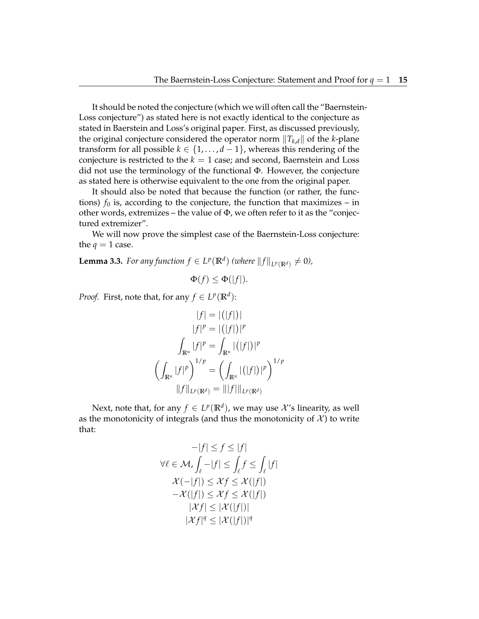It should be noted the conjecture (which we will often call the "Baernstein-Loss conjecture") as stated here is not exactly identical to the conjecture as stated in Baerstein and Loss's original paper. First, as discussed previously, the original conjecture considered the operator norm ∥*Tk*,*d*∥ of the *k*-plane transform for all possible  $k \in \{1, ..., d-1\}$ , whereas this rendering of the conjecture is restricted to the  $k = 1$  case; and second, Baernstein and Loss did not use the terminology of the functional Φ. However, the conjecture as stated here is otherwise equivalent to the one from the original paper.

It should also be noted that because the function (or rather, the functions)  $f_0$  is, according to the conjecture, the function that maximizes – in other words, extremizes – the value of Φ, we often refer to it as the "conjectured extremizer".

We will now prove the simplest case of the Baernstein-Loss conjecture: the  $q = 1$  case.

**Lemma 3.3.** *For any function*  $f \in L^p(\mathbb{R}^d)$  (where  $||f||_{L^p(\mathbb{R}^d)} \neq 0$ ),

$$
\Phi(f) \le \Phi(|f|).
$$

*Proof.* First, note that, for any  $f \in L^p(\mathbb{R}^d)$ :

$$
|f| = |(|f|)|
$$
  
\n
$$
|f|^{p} = |(|f|)|^{p}
$$
  
\n
$$
\int_{\mathbb{R}^{n}} |f|^{p} = \int_{\mathbb{R}^{n}} |(|f|)|^{p}
$$
  
\n
$$
\left(\int_{\mathbb{R}^{n}} |f|^{p}\right)^{1/p} = \left(\int_{\mathbb{R}^{n}} |(|f|)|^{p}\right)^{1/p}
$$
  
\n
$$
||f||_{L^{p}(\mathbb{R}^{d})} = |||f||_{L^{p}(\mathbb{R}^{d})}
$$

Next, note that, for any  $f \in L^p(\mathbb{R}^d)$ , we may use  $\mathcal{X}'$ s linearity, as well as the monotonicity of integrals (and thus the monotonicity of  $X$ ) to write that:

$$
-|f| \le f \le |f|
$$
  
\n
$$
\forall \ell \in \mathcal{M}, \int_{\ell} -|f| \le \int_{\ell} f \le \int_{\ell} |f|
$$
  
\n
$$
\mathcal{X}(-|f|) \le \mathcal{X}f \le \mathcal{X}(|f|)
$$
  
\n
$$
-\mathcal{X}(|f|) \le \mathcal{X}f \le \mathcal{X}(|f|)
$$
  
\n
$$
|\mathcal{X}f| \le |\mathcal{X}(|f|)|
$$
  
\n
$$
|\mathcal{X}f|^q \le |\mathcal{X}(|f|)|^q
$$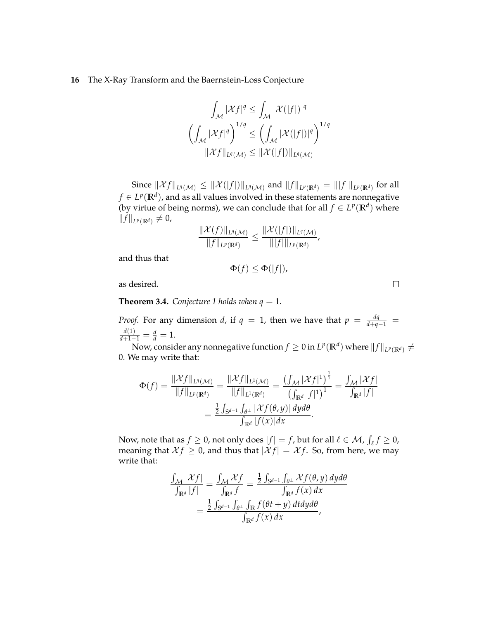$$
\int_{\mathcal{M}} |\mathcal{X}f|^q \leq \int_{\mathcal{M}} |\mathcal{X}(|f|)|^q
$$

$$
\left(\int_{\mathcal{M}} |\mathcal{X}f|^q\right)^{1/q} \leq \left(\int_{\mathcal{M}} |\mathcal{X}(|f|)|^q\right)^{1/q}
$$

$$
\|\mathcal{X}f\|_{L^q(\mathcal{M})} \leq \|\mathcal{X}(|f|)\|_{L^q(\mathcal{M})}
$$

 $\text{Since } \|\mathcal{X}f\|_{L^q(\mathcal{M})} \leq \|\mathcal{X}(|f|)\|_{L^q(\mathcal{M})}$  and  $\|f\|_{L^p(\mathbb{R}^d)} = \| |f| \|_{L^p(\mathbb{R}^d)}$  for all  $f \in L^p(\mathbb{R}^d)$ , and as all values involved in these statements are nonnegative (by virtue of being norms), we can conclude that for all  $f \in L^p(\mathbb{R}^d)$  where  $||f||_{L^p(\mathbb{R}^d)} \neq 0$ ,

$$
\frac{\|\mathcal{X}(f)\|_{L^q(\mathcal{M})}}{\|f\|_{L^p(\mathbb{R}^d)}} \leq \frac{\|\mathcal{X}(|f|)\|_{L^q(\mathcal{M})}}{\|f\|_{L^p(\mathbb{R}^d)}},
$$

and thus that

$$
\Phi(f) \le \Phi(|f|),
$$

as desired.

**Theorem 3.4.** *Conjecture 1 holds when*  $q = 1$ *.* 

*Proof.* For any dimension *d*, if  $q = 1$ , then we have that  $p = \frac{dq}{d+q-1}$  $\frac{d(1)}{d+1-1} = \frac{d}{d} = 1.$ 

Now, consider any nonnegative function  $f\geq 0$  in  $L^p(\mathbb{R}^d)$  where  $\|f\|_{L^p(\mathbb{R}^d)}\neq 0$ 0. We may write that:

$$
\Phi(f) = \frac{\|\mathcal{X}f\|_{L^{q}(\mathcal{M})}}{\|f\|_{L^{p}(\mathbb{R}^{d})}} = \frac{\|\mathcal{X}f\|_{L^{1}(\mathcal{M})}}{\|f\|_{L^{1}(\mathbb{R}^{d})}} = \frac{\left(\int_{\mathcal{M}} |\mathcal{X}f|^{1}\right)^{\frac{1}{1}}}{\left(\int_{\mathbb{R}^{d}} |f|^{1}\right)^{1}} = \frac{\int_{\mathcal{M}} |\mathcal{X}f|}{\int_{\mathbb{R}^{d}} |f|} = \frac{\frac{1}{2} \int_{\mathbb{S}^{d-1}} \int_{\theta^{\perp}} |\mathcal{X}f(\theta,y)| \, dy d\theta}{\int_{\mathbb{R}^{d}} |f(x)| dx}.
$$

Now, note that as  $f \geq 0$ , not only does  $|f| = f$ , but for all  $\ell \in \mathcal{M}$ ,  $\int_{\ell} f \geq 0$ , meaning that  $X f \geq 0$ , and thus that  $|X f| = X f$ . So, from here, we may write that:

$$
\frac{\int_{\mathcal{M}} |\mathcal{X}f|}{\int_{\mathbb{R}^d} |f|} = \frac{\int_{\mathcal{M}} \mathcal{X}f}{\int_{\mathbb{R}^d} f} = \frac{\frac{1}{2} \int_{\mathbb{S}^{d-1}} \int_{\theta^{\perp}} \mathcal{X}f(\theta, y) \, dy d\theta}{\int_{\mathbb{R}^d} f(x) \, dx}
$$

$$
= \frac{\frac{1}{2} \int_{\mathbb{S}^{d-1}} \int_{\theta^{\perp}} \int_{\mathbb{R}^d} f(\theta t + y) \, dt dy d\theta}{\int_{\mathbb{R}^d} f(x) \, dx},
$$

 $\Box$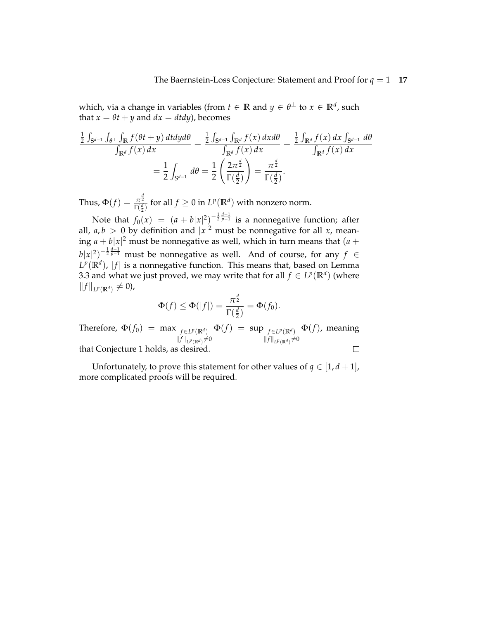which, via a change in variables (from  $t \in \mathbb{R}$  and  $y \in \theta^{\perp}$  to  $x \in \mathbb{R}^{d}$ , such that  $x = \theta t + y$  and  $dx = dt dy$ , becomes

$$
\frac{\frac{1}{2}\int_{S^{d-1}}\int_{\theta^{\perp}}\int_{\mathbb{R}^{d}}f(\theta t+y)\,dtdy d\theta}{\int_{\mathbb{R}^{d}}f(x)\,dx} = \frac{\frac{1}{2}\int_{S^{d-1}}\int_{\mathbb{R}^{d}}f(x)\,dxd\theta}{\int_{\mathbb{R}^{d}}f(x)\,dx} = \frac{\frac{1}{2}\int_{\mathbb{R}^{d}}f(x)\,dx}{\int_{\mathbb{R}^{d}}f(x)\,dx} = \frac{1}{2}\int_{S^{d-1}}d\theta = \frac{1}{2}\left(\frac{2\pi^{\frac{d}{2}}}{\Gamma(\frac{d}{2})}\right) = \frac{\pi^{\frac{d}{2}}}{\Gamma(\frac{d}{2})}.
$$

Thus,  $\Phi(f) = \frac{\pi^{\frac{d}{2}}}{\Gamma(d)}$  $\frac{\pi \bar{z}}{\Gamma(\frac{d}{2})}$  for all  $f \geq 0$  in  $L^p(\mathbb{R}^d)$  with nonzero norm. 2

Note that  $f_0(x) = (a + b|x|^2)^{-\frac{1}{2}\frac{d-1}{p-1}}$  is a nonnegative function; after all,  $a, b > 0$  by definition and  $|x|^2$  must be nonnegative for all x, meaning  $a + b|x|^2$  must be nonnegative as well, which in turn means that  $(a + b)x$  $b|x|^2)^{-\frac{1}{2}\frac{d-1}{p-1}}$  must be nonnegative as well. And of course, for any  $f \in$  $L^p(\mathbb{R}^d)$ ,  $|f|$  is a nonnegative function. This means that, based on Lemma 3.3 and what we just proved, we may write that for all  $f \in L^p(\mathbb{R}^d)$  (where  $||f||_{L^p(\mathbb{R}^d)}$  ≠ 0),

$$
\Phi(f) \leq \Phi(|f|) = \frac{\pi^{\frac{d}{2}}}{\Gamma(\frac{d}{2})} = \Phi(f_0).
$$

Therefore,  $\Phi(f_0) = \max_{f \in L^p(\mathbb{R}^d)}$  $\Phi(f) = \sup_{f \in L^p(\mathbb{R}^d)}$ Φ(*f*), meaning  $||f||_{L^p(\mathbb{R}^d)}$ ≠0  $||f||_{L^p(\mathbb{R}^d)}$ ≠0  $\Box$ 

that Conjecture 1 holds, as desired.

Unfortunately, to prove this statement for other values of  $q \in [1, d + 1]$ , more complicated proofs will be required.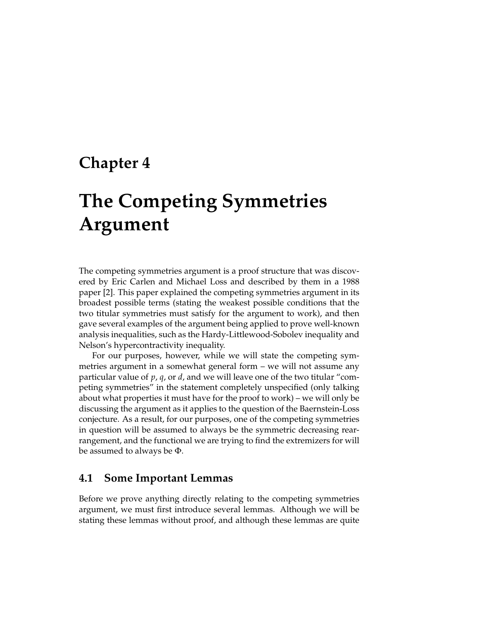## **Chapter 4**

# **The Competing Symmetries Argument**

The competing symmetries argument is a proof structure that was discovered by Eric Carlen and Michael Loss and described by them in a 1988 paper [2]. This paper explained the competing symmetries argument in its broadest possible terms (stating the weakest possible conditions that the two titular symmetries must satisfy for the argument to work), and then gave several examples of the argument being applied to prove well-known analysis inequalities, such as the Hardy-Littlewood-Sobolev inequality and Nelson's hypercontractivity inequality.

For our purposes, however, while we will state the competing symmetries argument in a somewhat general form – we will not assume any particular value of *p*, *q*, or *d*, and we will leave one of the two titular "competing symmetries" in the statement completely unspecified (only talking about what properties it must have for the proof to work) – we will only be discussing the argument as it applies to the question of the Baernstein-Loss conjecture. As a result, for our purposes, one of the competing symmetries in question will be assumed to always be the symmetric decreasing rearrangement, and the functional we are trying to find the extremizers for will be assumed to always be Φ.

#### **4.1 Some Important Lemmas**

Before we prove anything directly relating to the competing symmetries argument, we must first introduce several lemmas. Although we will be stating these lemmas without proof, and although these lemmas are quite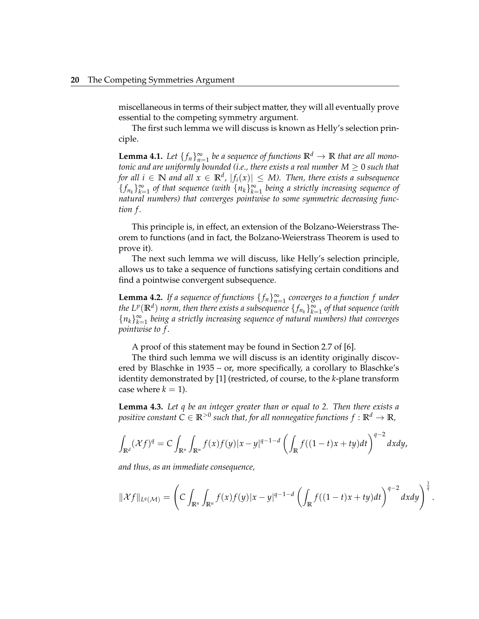miscellaneous in terms of their subject matter, they will all eventually prove essential to the competing symmetry argument.

The first such lemma we will discuss is known as Helly's selection principle.

**Lemma 4.1.** Let  $\{f_n\}_{n=1}^{\infty}$  be a sequence of functions  $\mathbb{R}^d \to \mathbb{R}$  that are all mono*tonic and are uniformly bounded (i.e., there exists a real number*  $M \geq 0$  *such that for all*  $i \in \mathbb{N}$  *and all*  $x \in \mathbb{R}^d$ *,*  $|f_i(x)| \leq M$ *). Then, there exists a subsequence*  ${f_{n_k}}_{k=1}^{\infty}$  of that sequence (with  ${n_k}_{k=1}^{\infty}$  being a strictly increasing sequence of *natural numbers) that converges pointwise to some symmetric decreasing function f .*

This principle is, in effect, an extension of the Bolzano-Weierstrass Theorem to functions (and in fact, the Bolzano-Weierstrass Theorem is used to prove it).

The next such lemma we will discuss, like Helly's selection principle, allows us to take a sequence of functions satisfying certain conditions and find a pointwise convergent subsequence.

**Lemma 4.2.** *If a sequence of functions*  $\{f_n\}_{n=1}^{\infty}$  *converges to a function f under the*  $L^p(\mathbb{R}^d)$  *norm, then there exists a subsequence*  $\{f_{n_k}\}_{k=1}^\infty$  *of that sequence (with*  ${n_k}_{k=1}^{\infty}$  being a strictly increasing sequence of natural numbers) that converges *pointwise to f .*

A proof of this statement may be found in Section 2.7 of [6].

The third such lemma we will discuss is an identity originally discovered by Blaschke in 1935 – or, more specifically, a corollary to Blaschke's identity demonstrated by [1] (restricted, of course, to the *k*-plane transform case where  $k = 1$ ).

**Lemma 4.3.** *Let q be an integer greater than or equal to 2. Then there exists a* positive constant  $C \in \mathbb{R}^{>0}$  such that, for all nonnegative functions  $f: \mathbb{R}^d \to \mathbb{R}$ ,

$$
\int_{\mathbb{R}^d} (\mathcal{X}f)^q = C \int_{\mathbb{R}^n} \int_{\mathbb{R}^n} f(x)f(y)|x-y|^{q-1-d} \left( \int_{\mathbb{R}} f((1-t)x + ty)dt \right)^{q-2} dx dy,
$$

*and thus, as an immediate consequence,*

$$
\|\mathcal{X}f\|_{L^q(\mathcal{M})}=\left(C\int_{\mathbb{R}^n}\int_{\mathbb{R}^n}f(x)f(y)|x-y|^{q-1-d}\left(\int_{\mathbb{R}}f((1-t)x+ty)dt\right)^{q-2}dxdy\right)^{\frac{1}{q}}.
$$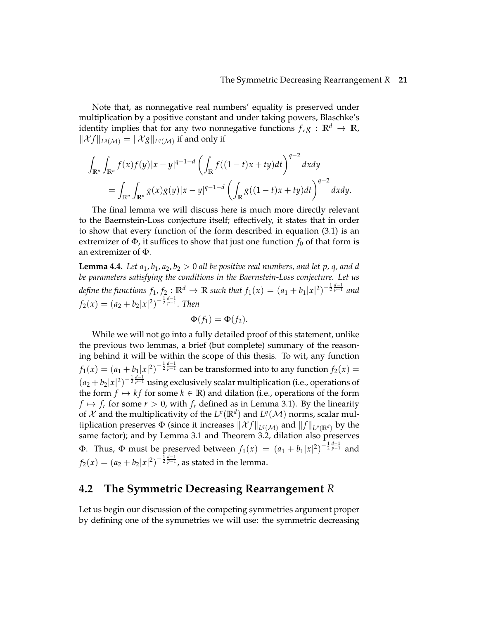Note that, as nonnegative real numbers' equality is preserved under multiplication by a positive constant and under taking powers, Blaschke's identity implies that for any two nonnegative functions  $f, g : \mathbb{R}^d \to \mathbb{R}$ ,  $\|\mathcal{X}f\|_{L^q(\mathcal{M})}=\|\mathcal{X}g\|_{L^q(\mathcal{M})}$  if and only if

$$
\int_{\mathbb{R}^n} \int_{\mathbb{R}^n} f(x)f(y)|x - y|^{q-1-d} \left( \int_{\mathbb{R}} f((1-t)x + ty)dt \right)^{q-2} dxdy
$$
  
= 
$$
\int_{\mathbb{R}^n} \int_{\mathbb{R}^n} g(x)g(y)|x - y|^{q-1-d} \left( \int_{\mathbb{R}} g((1-t)x + ty)dt \right)^{q-2} dxdy.
$$

The final lemma we will discuss here is much more directly relevant to the Baernstein-Loss conjecture itself; effectively, it states that in order to show that every function of the form described in equation (3.1) is an extremizer of  $\Phi$ , it suffices to show that just one function  $f_0$  of that form is an extremizer of Φ.

**Lemma 4.4.** *Let*  $a_1$ ,  $b_1$ ,  $a_2$ ,  $b_2 > 0$  *all be positive real numbers, and let* p, q, and d *be parameters satisfying the conditions in the Baernstein-Loss conjecture. Let us* define the functions  $f_1$ ,  $f_2$ :  $\mathbb{R}^d \to \mathbb{R}$  such that  $f_1(x) = (a_1 + b_1|x|^2)^{-\frac{1}{2}\frac{d-1}{p-1}}$  and  $f_2(x) = (a_2 + b_2|x|^2)^{-\frac{1}{2}\frac{d-1}{p-1}}$ *. Then* 

$$
\Phi(f_1)=\Phi(f_2).
$$

While we will not go into a fully detailed proof of this statement, unlike the previous two lemmas, a brief (but complete) summary of the reasoning behind it will be within the scope of this thesis. To wit, any function  $f_1(x)=(a_1+b_1|x|^2)^{-\frac{1}{2}\frac{d-1}{p-1}}$  can be transformed into to any function  $f_2(x)=0$  $(a_2+b_2|x|^2)^{-\frac{1}{2}\frac{d-1}{p-1}}$  using exclusively scalar multiplication (i.e., operations of the form  $f \mapsto kf$  for some  $k \in \mathbb{R}$ ) and dilation (i.e., operations of the form  $f \mapsto f_r$  for some  $r > 0$ , with  $f_r$  defined as in Lemma 3.1). By the linearity of  $\mathcal X$  and the multiplicativity of the  $L^p(\mathbb R^d)$  and  $L^q(\mathcal M)$  norms, scalar multiplication preserves  $\Phi$  (since it increases  $\|\mathcal{X}f\|_{L^q(\mathcal{M})}$  and  $\|f\|_{L^p(\mathbb{R}^d)}$  by the same factor); and by Lemma 3.1 and Theorem 3.2, dilation also preserves Φ. Thus, Φ must be preserved between  $f_1(x) = (a_1 + b_1|x|^2)^{-\frac{1}{2}\frac{d-1}{p-1}}$  and  $f_2(x) = (a_2 + b_2 |x|^2)^{-\frac{1}{2}\frac{d-1}{p-1}}$ , as stated in the lemma.

#### **4.2 The Symmetric Decreasing Rearrangement** *R*

Let us begin our discussion of the competing symmetries argument proper by defining one of the symmetries we will use: the symmetric decreasing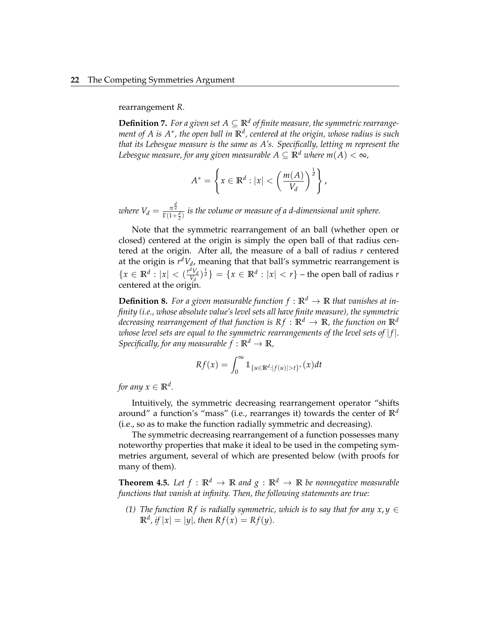rearrangement *R*.

**Definition 7.** For a given set  $A \subseteq \mathbb{R}^d$  of finite measure, the symmetric rearrange*ment of A is A*<sup>∗</sup> *, the open ball in* **R***<sup>d</sup> , centered at the origin, whose radius is such that its Lebesgue measure is the same as A's. Specifically, letting m represent the Lebesgue measure, for any given measurable*  $A \subseteq \mathbb{R}^d$  *where*  $m(A) < \infty$ *,* 

$$
A^* = \left\{ x \in \mathbb{R}^d : |x| < \left( \frac{m(A)}{V_d} \right)^{\frac{1}{d}} \right\},
$$

*where*  $V_d = \frac{\pi^{\frac{d}{2}}}{\Gamma(1+\frac{d}{2})}$  *is the volume or measure of a d-dimensional unit sphere.* 

Note that the symmetric rearrangement of an ball (whether open or closed) centered at the origin is simply the open ball of that radius centered at the origin. After all, the measure of a ball of radius *r* centered at the origin is *r <sup>d</sup>V<sup>d</sup>* , meaning that that ball's symmetric rearrangement is  ${x \in \mathbb{R}^d : |x| < \left(\frac{r^d V_d}{V_d}\right)}$  $\left\{\frac{dV_d}{V_d}\right\}^{\frac{1}{d}}\} = \{x \in \mathbb{R}^d : |x| < r\}$  – the open ball of radius  $r$ centered at the origin.

**Definition 8.** For a given measurable function  $f : \mathbb{R}^d \to \mathbb{R}$  that vanishes at in*finity (i.e., whose absolute value's level sets all have finite measure), the symmetric decreasing rearrangement of that function is*  $Rf : \mathbb{R}^d \to \mathbb{R}$ *, the function on*  $\mathbb{R}^d$ *whose level sets are equal to the symmetric rearrangements of the level sets of* | *f* |*. Specifically, for any measurable*  $f : \mathbb{R}^d \to \mathbb{R}$ *,* 

$$
Rf(x) = \int_0^\infty \mathbb{1}_{\{u \in \mathbb{R}^d : |f(u)| > t\}^*}(x) dt
$$

*for any*  $x \in \mathbb{R}^d$ .

Intuitively, the symmetric decreasing rearrangement operator "shifts around" a function's "mass" (i.e., rearranges it) towards the center of **R***<sup>d</sup>* (i.e., so as to make the function radially symmetric and decreasing).

The symmetric decreasing rearrangement of a function possesses many noteworthy properties that make it ideal to be used in the competing symmetries argument, several of which are presented below (with proofs for many of them).

**Theorem 4.5.** Let  $f : \mathbb{R}^d \to \mathbb{R}$  and  $g : \mathbb{R}^d \to \mathbb{R}$  be nonnegative measurable *functions that vanish at infinity. Then, the following statements are true:*

*(1) The function Rf is radially symmetric, which is to say that for any*  $x, y \in$  $\mathbb{R}^d$ *, if*  $|x| = |y|$ *, then*  $Rf(x) = Rf(y)$ *.*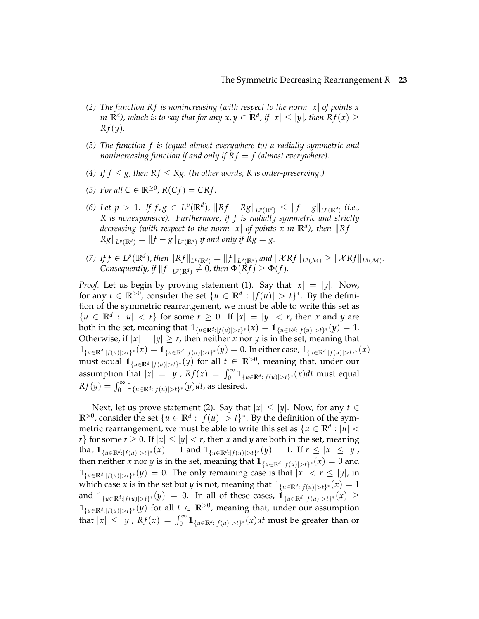- *(2) The function Rf is nonincreasing (with respect to the norm |x| of points x in*  $\mathbb{R}^d$ ), which is to say that for any  $x, y \in \mathbb{R}^d$ , if  $|x| \le |y|$ , then  $Rf(x) \ge$ *R f*(*y*)*.*
- *(3) The function f is (equal almost everywhere to) a radially symmetric and nonincreasing function if and only if*  $R f = f$  (almost everywhere).
- *(4)* If  $f \le g$ , then  $Rf \le Rg$ . *(In other words, R is order-preserving.)*
- *(5) For all*  $C \in \mathbb{R}^{\geq 0}$ ,  $R(Cf) = CRf$ .
- (6) Let  $p > 1$ . If  $f, g \in L^p(\mathbb{R}^d)$ ,  $\|Rf Rg\|_{L^p(\mathbb{R}^d)} \leq \|f g\|_{L^p(\mathbb{R}^d)}$  (i.e., *R is nonexpansive). Furthermore, if f is radially symmetric and strictly decreasing (with respect to the norm*  $|x|$  *of points x in*  $\mathbb{R}^d$ *), then*  $\|Rf Rg\|_{L^p(\mathbb{R}^d)} = \|f - g\|_{L^p(\mathbb{R}^d)}$  if and only if  $Rg = g$ .
- (7) If  $f \in L^p(\mathbb{R}^d)$ , then  $||Rf||_{L^p(\mathbb{R}^d)} = ||f||_{L^p(\mathbb{R}^d)}$  and  $||\mathcal{X}Rf||_{L^q(\mathcal{M})} \geq ||\mathcal{X}Rf||_{L^q(\mathcal{M})}$ . *Consequently, if*  $||f||_{L^p(\mathbb{R}^d)} \neq 0$ *, then*  $\Phi(Rf) \geq \Phi(f)$ *.*

*Proof.* Let us begin by proving statement (1). Say that  $|x| = |y|$ . Now, for any  $t \in \mathbb{R}^{>0}$ , consider the set  $\{u \in \mathbb{R}^d : |f(u)| > t\}^*$ . By the definition of the symmetric rearrangement, we must be able to write this set as  ${u \in \mathbb{R}^d : |u| < r}$  for some  $r \geq 0$ . If  $|x| = |y| < r$ , then *x* and *y* are both in the set, meaning that  $\mathbb{1}_{\{u \in \mathbb{R}^d : |f(u)| > t\}^*}(x) = \mathbb{1}_{\{u \in \mathbb{R}^d : |f(u)| > t\}^*}(y) = 1.$ Otherwise, if  $|x| = |y| \ge r$ , then neither *x* nor *y* is in the set, meaning that  $\mathbb{1}_{\{u \in \mathbb{R}^d : |f(u)| > t\}^*}(x) = \mathbb{1}_{\{u \in \mathbb{R}^d : |f(u)| > t\}^*}(y) = 0.$  In either case,  $\mathbb{1}_{\{u \in \mathbb{R}^d : |f(u)| > t\}^*}(x)$ must equal  $\mathbb{1}_{\{u \in \mathbb{R}^d : |f(u)| > t\}^*}(y)$  for all  $t \in \mathbb{R}^{>0}$ , meaning that, under our assumption that  $|x| = |y|$ ,  $Rf(x) = \int_0^\infty \mathbb{1}_{\{u \in \mathbb{R}^d : |f(u)| > t\}^*}(x) dt$  must equal  $Rf(y) = \int_0^\infty \mathbb{1}_{\{u \in \mathbb{R}^d : |f(u)| > t\}^*}(y) dt$ , as desired.

Next, let us prove statement (2). Say that  $|x| \le |y|$ . Now, for any  $t \in$  $\mathbb{R}^{>0}$ , consider the set  $\{u \in \mathbb{R}^d : |f(u)| > t\}^*$ . By the definition of the symmetric rearrangement, we must be able to write this set as  $\{u \in \mathbb{R}^d : |u| < \infty \}$ *r*} for some *r*  $\geq$  0. If  $|x| \leq |y| < r$ , then *x* and *y* are both in the set, meaning that  $\mathbb{1}_{\{u \in \mathbb{R}^d : |f(u)| > t\}^*}(x) = 1$  and  $\mathbb{1}_{\{u \in \mathbb{R}^d : |f(u)| > t\}^*}(y) = 1$ . If  $r \leq |x| \leq |y|$ , then neither *x* nor *y* is in the set, meaning that  $\mathbb{1}_{\{u \in \mathbb{R}^d : |f(u)| > t\}^*}(x) = 0$  and  $\mathbb{1}_{\{u \in \mathbb{R}^d : |f(u)| > t\}}(y) = 0$ . The only remaining case is that  $|x| < r \le |y|$ , in which case *x* is in the set but *y* is not, meaning that  $\mathbb{1}_{\{u \in \mathbb{R}^d : |f(u)| > t\}^*}(x) = 1$ and  $\mathbb{1}_{\{u \in \mathbb{R}^d : |f(u)| > t\}^*}(y) = 0$ . In all of these cases,  $\mathbb{1}_{\{u \in \mathbb{R}^d : |f(u)| > t\}^*}(x) \ge$  $\mathbb{1}_{\{u \in \mathbb{R}^d : |f(u)| > t\}}$ <sup>\*</sup>(*y*) for all *t* ∈  $\mathbb{R}^{>0}$ , meaning that, under our assumption that  $|x| \le |y|$ ,  $Rf(x) = \int_0^\infty \mathbb{1}_{\{u \in \mathbb{R}^d : |f(u)| > t\}^*}(x) dt$  must be greater than or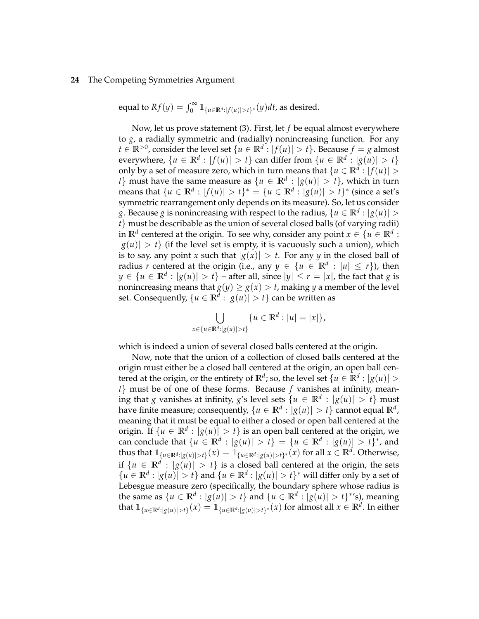equal to  $Rf(y) = \int_0^\infty \mathbb{1}_{\{|u \in \mathbb{R}^d : |f(u)| > t\}^*}(y) dt$ , as desired.

Now, let us prove statement (3). First, let *f* be equal almost everywhere to *g*, a radially symmetric and (radially) nonincreasing function. For any *t* ∈ **R**<sup>>0</sup>, consider the level set {*u* ∈ **R**<sup>*d*</sup> : |*f*(*u*)| > *t*}. Because *f* = *g* almost everywhere,  $\{u \in \mathbb{R}^d : |f(u)| > t\}$  can differ from  $\{u \in \mathbb{R}^d : |g(u)| > t\}$ only by a set of measure zero, which in turn means that  $\{u \in \mathbb{R}^d : |f(u)| > \delta\}$  $\{t\}$  must have the same measure as  $\{u \in \mathbb{R}^d : |g(u)| > t\}$ , which in turn  $\mathbb{R}^d : |f(u)| > t$ <sup>\*</sup> = { $u \in \mathbb{R}^d : |g(u)| > t$ <sup>\*</sup> (since a set's symmetric rearrangement only depends on its measure). So, let us consider *g*. Because *g* is nonincreasing with respect to the radius,  $\{u \in \mathbb{R}^d : |g(u)| > 0\}$ *t*} must be describable as the union of several closed balls (of varying radii) in  $\mathbb{R}^d$  centered at the origin. To see why, consider any point  $x \in \{u \in \mathbb{R}^d :$  $|g(u)| > t$  (if the level set is empty, it is vacuously such a union), which is to say, any point *x* such that  $|g(x)| > t$ . For any *y* in the closed ball of radius *r* centered at the origin (i.e., any  $y \in \{u \in \mathbb{R}^d : |u| \leq r\}$ ), then *y* ∈ {*u* ∈  $\mathbb{R}^d$  :  $|g(u)| > t$ } – after all, since  $|y| ≤ r = |x|$ , the fact that *g* is nonincreasing means that  $g(y) \ge g(x) > t$ , making *y* a member of the level set. Consequently,  $\{u \in \mathbb{R}^d: |g(u)| > t\}$  can be written as

$$
\bigcup_{x \in \{u \in \mathbb{R}^d : |g(u)| > t\}} \{u \in \mathbb{R}^d : |u| = |x|\},\
$$

which is indeed a union of several closed balls centered at the origin.

Now, note that the union of a collection of closed balls centered at the origin must either be a closed ball centered at the origin, an open ball centered at the origin, or the entirety of  $\mathbb{R}^d$ ; so, the level set  $\{u \in \mathbb{R}^d : |g(u)| > d\}$ *t*} must be of one of these forms. Because *f* vanishes at infinity, meaning that  $g$  vanishes at infinity,  $g$ 's level sets  $\{u \in \mathbb{R}^d : |g(u)| > t\}$  must have finite measure; consequently,  $\{u \in \mathbb{R}^d: |g(u)| > t\}$  cannot equal  $\mathbb{R}^d$ , meaning that it must be equal to either a closed or open ball centered at the origin. If  $\{u \in \mathbb{R}^d : |g(u)| > t\}$  is an open ball centered at the origin, we can conclude that  $\{u \in \mathbb{R}^d : |g(u)| > t\} = \{u \in \mathbb{R}^d : |g(u)| > t\}^*$ , and thus that  $\mathbb{1}_{\{u \in \mathbb{R}^d : |g(u)| > t\}}(x) = \mathbb{1}_{\{u \in \mathbb{R}^d : |g(u)| > t\}^*}(x)$  for all  $x \in \mathbb{R}^d$ . Otherwise, if  $\{u \in \mathbb{R}^d : |g(u)| > t\}$  is a closed ball centered at the origin, the sets  $\{u \in \mathbb{R}^d : |g(u)| > t\}$  and  $\{u \in \mathbb{R}^d : |g(u)| > t\}^*$  will differ only by a set of Lebesgue measure zero (specifically, the boundary sphere whose radius is the same as  $\{u \in \mathbb{R}^d : |g(u)| > t\}$  and  $\{u \in \mathbb{R}^d : |g(u)| > t\}^*$ 's), meaning that  $\mathbb{1}_{\{u \in \mathbb{R}^d : |g(u)| > t\}}(x) = \mathbb{1}_{\{u \in \mathbb{R}^d : |g(u)| > t\}}(x)$  for almost all  $x \in \mathbb{R}^d$ . In either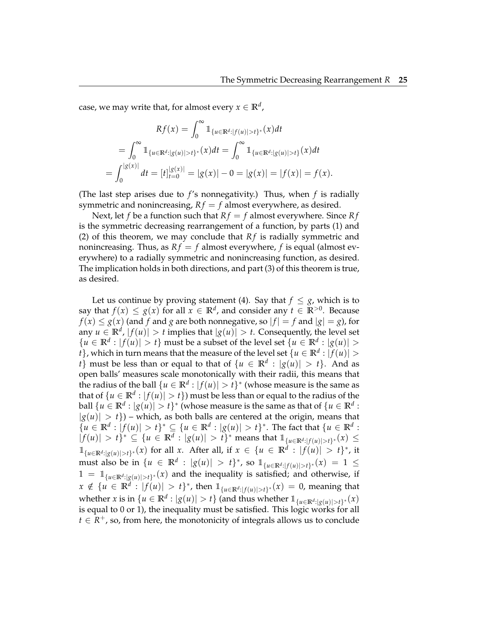case, we may write that, for almost every  $x \in \mathbb{R}^d$  ,

$$
Rf(x) = \int_0^\infty \mathbb{1}_{\{u \in \mathbb{R}^d : |f(u)| > t\}^*}(x) dt
$$
  
= 
$$
\int_0^\infty \mathbb{1}_{\{u \in \mathbb{R}^d : |g(u)| > t\}^*}(x) dt = \int_0^\infty \mathbb{1}_{\{u \in \mathbb{R}^d : |g(u)| > t\}}(x) dt
$$
  
= 
$$
\int_0^{|g(x)|} dt = [t]_{t=0}^{|g(x)|} = |g(x)| - 0 = |g(x)| = |f(x)| = f(x).
$$

(The last step arises due to *f* 's nonnegativity.) Thus, when *f* is radially symmetric and nonincreasing,  $Rf = f$  almost everywhere, as desired.

Next, let *f* be a function such that  $Rf = f$  almost everywhere. Since  $Rf$ is the symmetric decreasing rearrangement of a function, by parts (1) and (2) of this theorem, we may conclude that  $Rf$  is radially symmetric and nonincreasing. Thus, as  $Rf = f$  almost everywhere, f is equal (almost everywhere) to a radially symmetric and nonincreasing function, as desired. The implication holds in both directions, and part (3) of this theorem is true, as desired.

Let us continue by proving statement (4). Say that  $f \leq g$ , which is to say that  $f(x) \leq g(x)$  for all  $x \in \mathbb{R}^d$ , and consider any  $t \in \mathbb{R}^{>0}$ . Because  $f(x) \le g(x)$  (and *f* and *g* are both nonnegative, so  $|f| = f$  and  $|g| = g$ ), for any  $u \in \mathbb{R}^d$ ,  $|f(u)| > t$  implies that  $|g(u)| > t$ . Consequently, the level set  ${u \in \mathbb{R}^d : |f(u)| > t}$  must be a subset of the level set  ${u \in \mathbb{R}^d : |g(u)| > t}$  $\{t\}$ , which in turn means that the measure of the level set  $\{u \in \mathbb{R}^d : |f(u)| > 0\}$ *t*} must be less than or equal to that of  $\{u \in \mathbb{R}^d : |g(u)| > t\}$ . And as open balls' measures scale monotonically with their radii, this means that the radius of the ball  $\{u \in \mathbb{R}^d : |f(u)| > t\}^*$  (whose measure is the same as that of  $\{u \in \mathbb{R}^d : |f(u)| > t\}$ ) must be less than or equal to the radius of the ball  $\{u \in \mathbb{R}^d : |g(u)| > t\}^*$  (whose measure is the same as that of  $\{u \in \mathbb{R}^d :$  $|g(u)| > t$ ) – which, as both balls are centered at the origin, means that  ${u \in \mathbb{R}^d : |f(u)| > t}^* \subseteq {u \in \mathbb{R}^d : |g(u)| > t}^*$ . The fact that  ${u \in \mathbb{R}^d : |f(u)| > t}$ .  $|f(u)| > t$ <sup>\*</sup>  $\subseteq$  { $u \in \mathbb{R}^d$  :  $|g(u)| > t$ <sup>\*</sup> means that  $\mathbb{1}_{\{u \in \mathbb{R}^d : |f(u)| > t\}^*}(x) \le$  $\mathbb{1}_{\{u \in \mathbb{R}^d : |g(u)| > t\}}$ <sup>\*</sup>(*x*) for all *x*. After all, if *x* ∈ {*u* ∈  $\mathbb{R}^d$  :  $|f(u)| > t$ }<sup>\*</sup>, it must also be in  $\{u \in \mathbb{R}^d : |g(u)| > t\}^*$ , so  $\mathbb{1}_{\{u \in \mathbb{R}^d : |f(u)| > t\}^*}(x) = 1 \le$  $1 = \mathbb{1}_{\{u \in \mathbb{R}^d : |g(u)| > t\}^*}(x)$  and the inequality is satisfied; and otherwise, if *x* ∉ {*u* ∈ **R**<sup>*d*</sup> : |*f*(*u*)| > *t*}<sup>\*</sup>, then  $\mathbb{1}_{\{u \in \mathbb{R}^d : |f(u)| > t\}^*}(x) = 0$ , meaning that whether *x* is in  $\{u \in \mathbb{R}^d : |g(u)| > t\}$  (and thus whether  $\mathbb{1}_{\{u \in \mathbb{R}^d : |g(u)| > t\}^*}(x)$ is equal to 0 or 1), the inequality must be satisfied. This logic works for all  $t \in \mathbb{R}^+$ , so, from here, the monotonicity of integrals allows us to conclude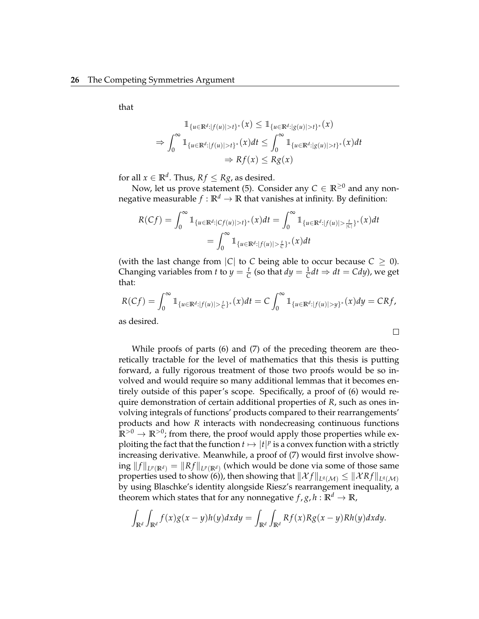that

$$
\mathbb{1}_{\{u \in \mathbb{R}^d : |f(u)| > t\}^*}(x) \leq \mathbb{1}_{\{u \in \mathbb{R}^d : |g(u)| > t\}^*}(x)
$$
  
\n
$$
\Rightarrow \int_0^\infty \mathbb{1}_{\{u \in \mathbb{R}^d : |f(u)| > t\}^*}(x) dt \leq \int_0^\infty \mathbb{1}_{\{u \in \mathbb{R}^d : |g(u)| > t\}^*}(x) dt
$$
  
\n
$$
\Rightarrow Rf(x) \leq Rg(x)
$$

for all  $x \in \mathbb{R}^d$ . Thus,  $Rf \leq Rg$ , as desired.

Now, let us prove statement (5). Consider any  $C \in \mathbb{R}^{\geq 0}$  and any nonnegative measurable  $f : \mathbb{R}^d \to \mathbb{R}$  that vanishes at infinity. By definition:

$$
R(Cf) = \int_0^\infty \mathbb{1}_{\{u \in \mathbb{R}^d : |Cf(u)| > t\}^*}(x) dt = \int_0^\infty \mathbb{1}_{\{u \in \mathbb{R}^d : |f(u)| > \frac{t}{|C|}\}^*}(x) dt
$$
  
= 
$$
\int_0^\infty \mathbb{1}_{\{u \in \mathbb{R}^d : |f(u)| > \frac{t}{C}\}^*}(x) dt
$$

(with the last change from  $|C|$  to *C* being able to occur because  $C \geq 0$ ). Changing variables from *t* to  $y = \frac{t}{C}$  (so that  $dy = \frac{1}{C}dt \Rightarrow dt = Cdy$ ), we get that:

$$
R(Cf) = \int_0^\infty \mathbb{1}_{\{u \in \mathbb{R}^d : |f(u)| > \frac{t}{C}\}^*}(x) dt = C \int_0^\infty \mathbb{1}_{\{u \in \mathbb{R}^d : |f(u)| > y\}^*}(x) dy = CRf,
$$

 $\Box$ 

as desired.

While proofs of parts (6) and (7) of the preceding theorem are theoretically tractable for the level of mathematics that this thesis is putting forward, a fully rigorous treatment of those two proofs would be so involved and would require so many additional lemmas that it becomes entirely outside of this paper's scope. Specifically, a proof of (6) would require demonstration of certain additional properties of *R*, such as ones involving integrals of functions' products compared to their rearrangements' products and how *R* interacts with nondecreasing continuous functions  $\mathbb{R}^{>0} \to \mathbb{R}^{>0}$ ; from there, the proof would apply those properties while exploiting the fact that the function  $t \mapsto |t|^p$  is a convex function with a strictly increasing derivative. Meanwhile, a proof of (7) would first involve show- $\sup \|f\|_{L^p(\mathbb{R}^d)} = \|Rf\|_{L^p(\mathbb{R}^d)}$  (which would be done via some of those same properties used to show (6)), then showing that  $\|\mathcal{X}f\|_{L^{q}(\mathcal{M})}\leq \|\mathcal{X}Rf\|_{L^{q}(\mathcal{M})}$ by using Blaschke's identity alongside Riesz's rearrangement inequality, a theorem which states that for any nonnegative  $f$ ,  $g$ ,  $h : \mathbb{R}^d \to \mathbb{R}$ ,

$$
\int_{\mathbb{R}^d} \int_{\mathbb{R}^d} f(x)g(x-y)h(y)dx dy = \int_{\mathbb{R}^d} \int_{\mathbb{R}^d} Rf(x)Rg(x-y)Rh(y)dx dy.
$$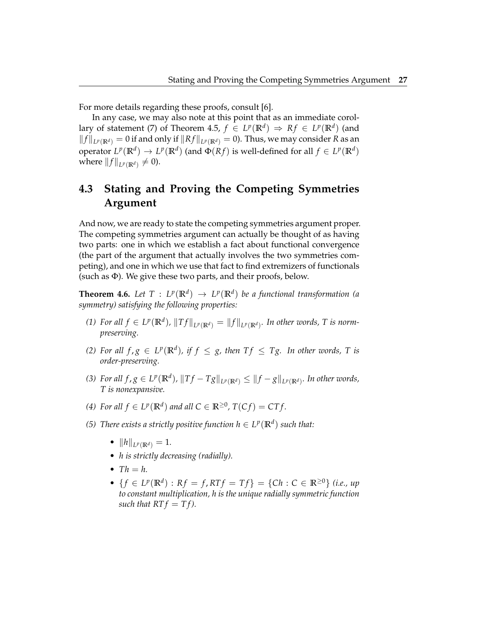For more details regarding these proofs, consult [6].

In any case, we may also note at this point that as an immediate corollary of statement (7) of Theorem 4.5,  $f \in L^p(\mathbb{R}^d) \Rightarrow Rf \in L^p(\mathbb{R}^d)$  (and  $||f||_{L^p(\mathbb{R}^d)} = 0$  if and only if  $||Rf||_{L^p(\mathbb{R}^d)} = 0$ ). Thus, we may consider *R* as an operator  $L^p(\mathbb{R}^d) \to L^p(\mathbb{R}^d)$  (and  $\Phi(Rf)$  is well-defined for all  $f \in L^p(\mathbb{R}^d)$ where  $||f||_{L^p(\mathbb{R}^d)} \neq 0$ ).

### **4.3 Stating and Proving the Competing Symmetries Argument**

And now, we are ready to state the competing symmetries argument proper. The competing symmetries argument can actually be thought of as having two parts: one in which we establish a fact about functional convergence (the part of the argument that actually involves the two symmetries competing), and one in which we use that fact to find extremizers of functionals (such as Φ). We give these two parts, and their proofs, below.

**Theorem 4.6.** Let  $T: L^p(\mathbb{R}^d) \to L^p(\mathbb{R}^d)$  be a functional transformation (a *symmetry) satisfying the following properties:*

- *(1) For all*  $f$  ∈  $L^p(\mathbb{R}^d)$ ,  $||Tf||_{L^p(\mathbb{R}^d)} = ||f||_{L^p(\mathbb{R}^d)}$ . In other words, T is norm*preserving.*
- *(2)* For all  $f, g \in L^p(\mathbb{R}^d)$ , if  $f \leq g$ , then  $Tf \leq Tg$ . In other words, T is *order-preserving.*
- (3) For all  $f,g\in L^p(\mathbb{R}^d)$ ,  $||Tf-Tg||_{L^p(\mathbb{R}^d)}\leq ||f-g||_{L^p(\mathbb{R}^d)}$ . In other words, *T is nonexpansive.*
- *(4) For all*  $f \in L^p(\mathbb{R}^d)$  *and all*  $C \in \mathbb{R}^{\geq 0}$ ,  $T(Cf) = CTf$ .
- *(5) There exists a strictly positive function*  $h \in L^p(\mathbb{R}^d)$  *such that:* 
	- $||h||_{L^p(\mathbb{R}^d)} = 1.$
	- *h is strictly decreasing (radially).*
	- $Th = h$ .
	- $\bullet$  {*f* ∈ *L*<sup>*p*</sup>( $\mathbb{R}^d$ ) : *Rf* = *f*, *RTf* = *Tf*} = {*Ch* : *C* ∈  $\mathbb{R}^{\geq 0}$ } *(i.e., up to constant multiplication, h is the unique radially symmetric function such that RT*  $f = Tf$ *.*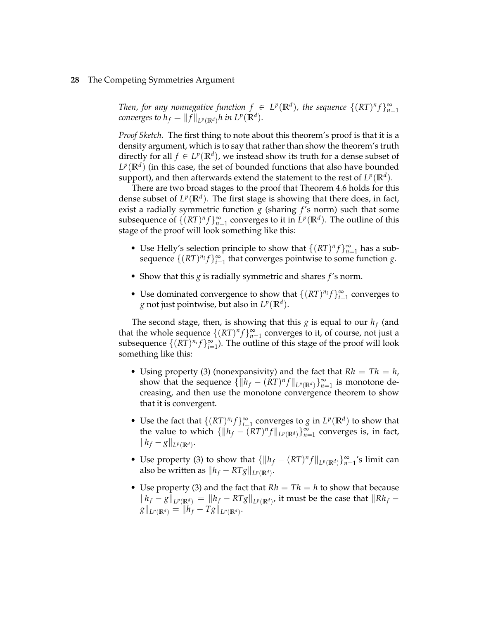*Then, for any nonnegative function*  $f \in L^p(\mathbb{R}^d)$ , the sequence  $\{(RT)^n f\}_{n=1}^{\infty}$ *converges to*  $h_f = ||f||_{L^p(\mathbb{R}^d)} h$  in  $L^p(\mathbb{R}^d)$ *.* 

*Proof Sketch.* The first thing to note about this theorem's proof is that it is a density argument, which is to say that rather than show the theorem's truth directly for all  $f \in L^p(\mathbb{R}^d)$ , we instead show its truth for a dense subset of  $L^p(\mathbb{R}^d)$  (in this case, the set of bounded functions that also have bounded support), and then afterwards extend the statement to the rest of  $L^p(\mathbb{R}^d).$ 

There are two broad stages to the proof that Theorem 4.6 holds for this dense subset of  $L^p(\mathbb{R}^d)$ . The first stage is showing that there does, in fact, exist a radially symmetric function  $g$  (sharing  $f$ 's norm) such that some subsequence of  $\{(RT)^n f\}_{n=1}^{\infty}$  converges to it in  $L^p(\mathbb{R}^d)$ . The outline of this stage of the proof will look something like this:

- Use Helly's selection principle to show that  $\{(RT)^n f\}_{n=1}^{\infty}$  has a subsequence  $\{(RT)^{n_i}f\}_{i=1}^{\infty}$  that converges pointwise to some function *g*.
- Show that this *g* is radially symmetric and shares *f* 's norm.
- Use dominated convergence to show that  $\{(RT)^{n_i}f\}_{i=1}^{\infty}$  converges to *g* not just pointwise, but also in  $L^p(\mathbb{R}^d)$ .

The second stage, then, is showing that this  $g$  is equal to our  $h_f$  (and that the whole sequence  $\{(RT)^n f\}_{n=1}^{\infty}$  converges to it, of course, not just a subsequence  $\{(RT)^{n_i}f\}_{i=1}^{\infty}$ ). The outline of this stage of the proof will look something like this:

- Using property (3) (nonexpansivity) and the fact that  $Rh = Th = h$ , show that the sequence  $\{||h_f - (RT)^n f||_{L^p(\mathbb{R}^d)}\}_{n=1}^{\infty}$  is monotone decreasing, and then use the monotone convergence theorem to show that it is convergent.
- Use the fact that  $\{(RT)^{n_i}f\}_{i=1}^{\infty}$  converges to *g* in  $L^p(\mathbb{R}^d)$  to show that the value to which  $\{\|h_f - (RT)^n f\|_{L^p(\mathbb{R}^d)}\}_{n=1}^{\infty}$  converges is, in fact,  $\|h_f - g\|_{L^p(\mathbb{R}^d)}$ .
- Use property (3) to show that  $\{||h_f (RT)^n f||_{L^p(\mathbb{R}^d)}\}_{n=1}^{\infty}$ 's limit can also be written as  $\|h_f - RTg\|_{L^p(\mathbb{R}^d)}$ .
- Use property (3) and the fact that  $Rh = Th = h$  to show that because  $||h_f - g||_{L^p(\mathbb{R}^d)} = ||h_f - RTg||_{L^p(\mathbb{R}^d)}$ , it must be the case that  $||Rh_f - g||_{L^p(\mathbb{R}^d)}$  $g\|_{L^p(\mathbb{R}^d)} = \|h_f - Tg\|_{L^p(\mathbb{R}^d)}.$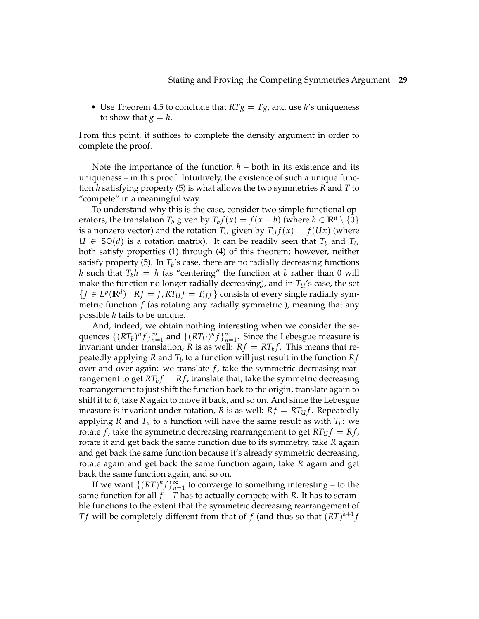• Use Theorem 4.5 to conclude that  $RTg = Tg$ , and use *h*'s uniqueness to show that  $g = h$ .

From this point, it suffices to complete the density argument in order to complete the proof.

Note the importance of the function  $h$  – both in its existence and its uniqueness – in this proof. Intuitively, the existence of such a unique function *h* satisfying property (5) is what allows the two symmetries *R* and *T* to "compete" in a meaningful way.

To understand why this is the case, consider two simple functional operators, the translation  $T_b$  given by  $T_b f(x) = f(x + b)$  (where  $b \in \mathbb{R}^d \setminus \{0\}$ is a nonzero vector) and the rotation  $T_U$  given by  $T_U f(x) = f(Ux)$  (where  $U \in SO(d)$  is a rotation matrix). It can be readily seen that  $T_b$  and  $T_u$ both satisfy properties (1) through (4) of this theorem; however, neither satisfy property (5). In *T<sup>b</sup>* 's case, there are no radially decreasing functions *h* such that  $T_b h = h$  (as "centering" the function at *b* rather than 0 will make the function no longer radially decreasing), and in  $T<sub>U</sub>$ 's case, the set  ${f \in L^p(\mathbb{R}^d) : R f = f, RT_U f = T_U f}$  consists of every single radially symmetric function *f* (as rotating any radially symmetric ), meaning that any possible *h* fails to be unique.

And, indeed, we obtain nothing interesting when we consider the sequences  $\{(RT_b)^n f\}_{n=1}^{\infty}$  and  $\{(RT_U)^n f\}_{n=1}^{\infty}$ . Since the Lebesgue measure is invariant under translation,  $R$  is as well:  $Rf = RT_b f$ . This means that repeatedly applying *R* and *T<sup>b</sup>* to a function will just result in the function *R f* over and over again: we translate *f*, take the symmetric decreasing rearrangement to get  $RT_b f = Rf$ , translate that, take the symmetric decreasing rearrangement to just shift the function back to the origin, translate again to shift it to *b*, take *R* again to move it back, and so on. And since the Lebesgue measure is invariant under rotation, *R* is as well:  $Rf = RT_Uf$ . Repeatedly applying *R* and  $T_u$  to a function will have the same result as with  $T_b$ : we rotate *f*, take the symmetric decreasing rearrangement to get  $RT_U f = Rf$ , rotate it and get back the same function due to its symmetry, take *R* again and get back the same function because it's already symmetric decreasing, rotate again and get back the same function again, take *R* again and get back the same function again, and so on.

If we want  $\{(RT)^n f\}_{n=1}^{\infty}$  to converge to something interesting – to the same function for all  $f - T$  has to actually compete with  $R$ . It has to scramble functions to the extent that the symmetric decreasing rearrangement of *Tf* will be completely different from that of *f* (and thus so that  $(RT)^{k+1}$ *f*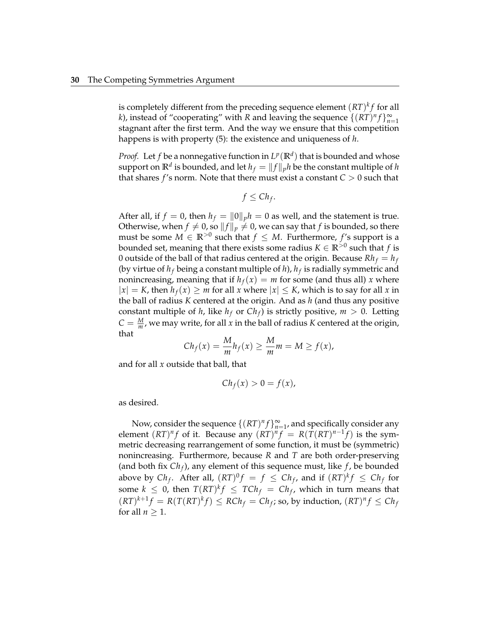is completely different from the preceding sequence element  $(RT)^k f$  for all *k*), instead of "cooperating" with *R* and leaving the sequence  $\{(RT)^n f\}_{n=1}^{\infty}$ stagnant after the first term. And the way we ensure that this competition happens is with property (5): the existence and uniqueness of *h*.

*Proof.* Let  $f$  be a nonnegative function in  $L^p(\mathbb{R}^d)$  that is bounded and whose support on  $\mathbb{R}^d$  is bounded, and let  $h_f = \|f\|_p h$  be the constant multiple of  $h$ that shares  $f$ 's norm. Note that there must exist a constant  $C > 0$  such that

$$
f \leq Ch_f.
$$

After all, if  $f = 0$ , then  $h_f = ||0||_p h = 0$  as well, and the statement is true. Otherwise, when  $f \neq 0$ , so  $||f||_p \neq 0$ , we can say that  $f$  is bounded, so there must be some  $M \in \mathbb{R}^{>0}$  such that  $f \leq M$ . Furthermore,  $f$ 's support is a bounded set, meaning that there exists some radius  $K \in \mathbb{R}^{>0}$  such that  $f$  is 0 outside of the ball of that radius centered at the origin. Because  $Rh_f = h_f$ (by virtue of  $h_f$  being a constant multiple of  $h$ ),  $h_f$  is radially symmetric and nonincreasing, meaning that if  $h_f(x) = m$  for some (and thus all) *x* where  $|x| = K$ , then  $h_f(x) \geq m$  for all x where  $|x| \leq K$ , which is to say for all x in the ball of radius *K* centered at the origin. And as *h* (and thus any positive constant multiple of *h*, like  $h_f$  or  $Ch_f$ ) is strictly positive,  $m > 0$ . Letting  $C = \frac{M}{m}$ , we may write, for all *x* in the ball of radius *K* centered at the origin, that

$$
Ch_f(x) = \frac{M}{m}h_f(x) \ge \frac{M}{m}m = M \ge f(x),
$$

and for all *x* outside that ball, that

$$
Ch_f(x) > 0 = f(x),
$$

as desired.

Now, consider the sequence  $\{(RT)^n f\}_{n=1}^{\infty}$ , and specifically consider any element  $(RT)^n f$  of it. Because any  $(RT)^n f = R(T(RT)^{n-1} f)$  is the symmetric decreasing rearrangement of some function, it must be (symmetric) nonincreasing. Furthermore, because *R* and *T* are both order-preserving (and both fix *Ch<sup>f</sup>* ), any element of this sequence must, like *f* , be bounded above by  $Ch_f$ . After all,  $(RT)^0 f = f \leq Ch_f$ , and if  $(RT)^k f \leq Ch_f$  for some  $k \leq 0$ , then  $T (RT)^k f \leq T C h_f = C h_f$ , which in turn means that  $(RT)^{k+1}f = R(T(RT)^{k}f) \leq RCh_f = Ch_f$ ; so, by induction,  $(RT)^{n}f \leq Ch_f$ for all  $n \geq 1$ .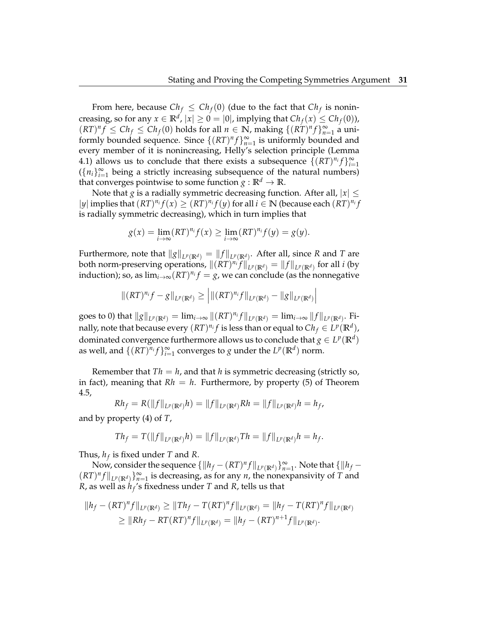From here, because  $Ch_f \leq Ch_f(0)$  (due to the fact that  $Ch_f$  is nonincreasing, so for any  $x \in \mathbb{R}^d$ ,  $|x| \geq 0 = |0|$ , implying that  $Ch_f(x) \leq Ch_f(0)$ ),  $(RT)^n f \leq Ch_f \leq Ch_f(0)$  holds for all  $n \in \mathbb{N}$ , making  $\{(RT)^n f\}_{n=1}^{\infty}$  a uniformly bounded sequence. Since  $\{(RT)^n f\}_{n=1}^{\infty}$  is uniformly bounded and every member of it is nonincreasing, Helly's selection principle (Lemma 4.1) allows us to conclude that there exists a subsequence  $\{(RT)^{n_i}f\}_{i=1}^{\infty}$  $({n_i}_{i=1}^{\infty}$  being a strictly increasing subsequence of the natural numbers) that converges pointwise to some function  $g : \mathbb{R}^d \to \mathbb{R}$ .

Note that *g* is a radially symmetric decreasing function. After all,  $|x| \le$  $|y|$  implies that  $(RT)^{n_i} f(x) \geq (RT)^{n_i} f(y)$  for all  $i \in \mathbb{N}$  (because each  $(RT)^{n_i} f(x)$ ) is radially symmetric decreasing), which in turn implies that

$$
g(x) = \lim_{i \to \infty} (RT)^{n_i} f(x) \ge \lim_{i \to \infty} (RT)^{n_i} f(y) = g(y).
$$

Furthermore, note that  $\|g\|_{L^p(\mathbb{R}^d)} = \|f\|_{L^p(\mathbb{R}^d)}$ . After all, since *R* and *T* are both norm-preserving operations,  $\|(R T)^{n_i}f\|_{L^p(\mathbb{R}^d)} = \|f\|_{L^p(\mathbb{R}^d)}$  for all *i* (by induction); so, as  $\lim_{i\to\infty} (RT)^{n_i}f=g$ , we can conclude (as the nonnegative

$$
\|(RT)^{n_i}f - g\|_{L^p(\mathbb{R}^d)} \ge \left| \|(RT)^{n_i}f\|_{L^p(\mathbb{R}^d)} - \|g\|_{L^p(\mathbb{R}^d)} \right|
$$

goes to 0) that  $\|g\|_{L^p(\mathbb{R}^d)}=\lim_{i\to\infty}\|(RT)^{n_i}f\|_{L^p(\mathbb{R}^d)}=\lim_{i\to\infty}\|f\|_{L^p(\mathbb{R}^d)}.$  Finally, note that because every  $(RT)^{n_i}f$  is less than or equal to  $Ch_f\in L^p(\mathbb{R}^d)$ , dominated convergence furthermore allows us to conclude that  $g \in L^p(\mathbb{R}^d)$ as well, and  $\{(RT)^{n_i}f\}_{i=1}^{\infty}$  converges to *g* under the  $L^p(\mathbb{R}^d)$  norm.

Remember that  $Th = h$ , and that *h* is symmetric decreasing (strictly so, in fact), meaning that  $Rh = h$ . Furthermore, by property (5) of Theorem 4.5,

$$
Rh_f = R(||f||_{L^p(\mathbb{R}^d)}h) = ||f||_{L^p(\mathbb{R}^d)}Rh = ||f||_{L^p(\mathbb{R}^d)}h = h_f,
$$

and by property (4) of *T*,

$$
Th_f = T(||f||_{L^p(\mathbb{R}^d)}h) = ||f||_{L^p(\mathbb{R}^d)}Th = ||f||_{L^p(\mathbb{R}^d)}h = h_f.
$$

Thus, *h<sup>f</sup>* is fixed under *T* and *R*.

Now, consider the sequence  $\{\|h_f - (RT)^n f\|_{L^p(\mathbb{R}^d)}\}_{n=1}^{\infty}$ . Note that  $\{\|h_f (RT)^n f\|_{L^p(\mathbb{R}^d)}\}_{n=1}^{\infty}$  is decreasing, as for any *n*, the nonexpansivity of *T* and *R*, as well as *h<sup>f</sup>* 's fixedness under *T* and *R*, tells us that

$$
||h_f - (RT)^n f||_{L^p(\mathbb{R}^d)} \ge ||Th_f - T(RT)^n f||_{L^p(\mathbb{R}^d)} = ||h_f - T(RT)^n f||_{L^p(\mathbb{R}^d)}
$$
  
\n
$$
\ge ||Rh_f - RT(RT)^n f||_{L^p(\mathbb{R}^d)} = ||h_f - (RT)^{n+1} f||_{L^p(\mathbb{R}^d)}.
$$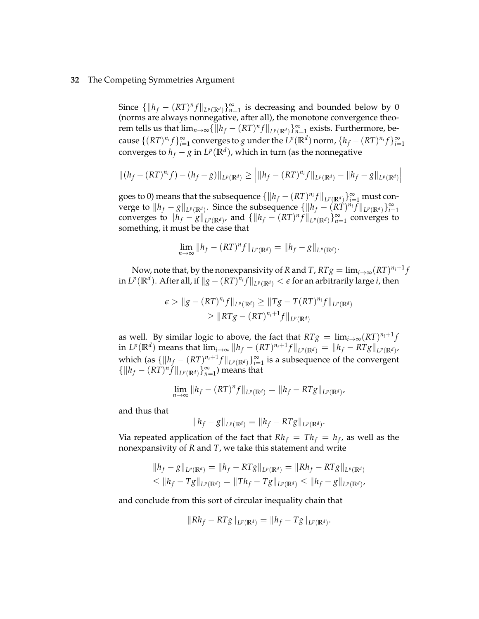#### **32** The Competing Symmetries Argument

Since  $\{\Vert h_f - (RT)^n f \Vert_{L^p(\mathbb{R}^d)}\}_{n=1}^{\infty}$  is decreasing and bounded below by 0 (norms are always nonnegative, after all), the monotone convergence theorem tells us that  $\lim_{n\to\infty} \{||h_f - (RT)^n f||_{L^p(\mathbb{R}^d)}\}_{n=1}^{\infty}$  exists. Furthermore, because  $\{(RT)^{n_i}f\}_{i=1}^{\infty}$  converges to *g* under the  $L^p(\mathbb{R}^d)$  norm,  $\{h_f-(RT)^{n_i}f\}_{i=1}^{\infty}$ converges to  $h_f - g$  in  $L^p(\mathbb{R}^d)$ , which in turn (as the nonnegative

$$
\|(h_f - (RT)^{n_i}f) - (h_f - g)\|_{L^p(\mathbb{R}^d)} \ge \left| \|h_f - (RT)^{n_i}f\|_{L^p(\mathbb{R}^d)} - \|h_f - g\|_{L^p(\mathbb{R}^d)} \right|
$$

goes to 0) means that the subsequence  $\{\|h_f - (RT)^{n_i}f\|_{L^p(\mathbb{R}^d)}\}_{i=1}^{\infty}$  must converge to  $\|h_f - g\|_{L^p(\mathbb{R}^d)}$ . Since the subsequence  $\{\|h_f - (\tilde{R}\tilde{T})^{n_i}\tilde{f}\|_{L^p(\mathbb{R}^d)}\}_{i=1}^{\infty}$ converges to  $||h_f - g||_{L^p(\mathbb{R}^d)}$ , and  $\{||h_f - (RT)^n f||_{L^p(\mathbb{R}^d)}\}_{n=1}^\infty$  converges to something, it must be the case that

$$
\lim_{n\to\infty}||h_f - (RT)^n f||_{L^p(\mathbb{R}^d)} = ||h_f - g||_{L^p(\mathbb{R}^d)}.
$$

Now, note that, by the nonexpansivity of *R* and *T* ,  $RTg = \lim_{i \to \infty} (RT)^{n_i+1}f$  $\inf L^p(\mathbb{R}^d).$  After all, if  $\|g - (RT)^{n_i}f\|_{L^p(\mathbb{R}^d)} < \epsilon$  for an arbitrarily large *i*, then

$$
\epsilon > \|g - (RT)^{n_i}f\|_{L^p(\mathbb{R}^d)} \ge \|Tg - T(RT)^{n_i}f\|_{L^p(\mathbb{R}^d)}
$$
  
 
$$
\ge \|RTg - (RT)^{n_i+1}f\|_{L^p(\mathbb{R}^d)}
$$

as well. By similar logic to above, the fact that  $RTg = \lim_{i \to \infty} (RT)^{n_i + 1}f$ in  $L^p(\mathbb{R}^d)$  means that  $\lim_{i\to\infty}||h_f-(RT)^{n_i+1}f||_{L^p(\mathbb{R}^d)}=||h_f-RTg||_{L^p(\mathbb{R}^d)}$ which (as  $\{\|h_f - (RT)^{n_i+1}f\|_{L^p(\mathbb{R}^d)}\}_{i=1}^{\infty}$  is a subsequence of the convergent  $\{||h_f - (RT)^n f||_{L^p(\mathbb{R}^d)}\}_{n=1}^{\infty}$  means that

$$
\lim_{n \to \infty} ||h_f - (RT)^n f||_{L^p(\mathbb{R}^d)} = ||h_f - RTg||_{L^p(\mathbb{R}^d)},
$$

and thus that

$$
||h_f - g||_{L^p(\mathbb{R}^d)} = ||h_f - RTg||_{L^p(\mathbb{R}^d)}
$$

.

Via repeated application of the fact that  $Rh_f = Th_f = h_f$ , as well as the nonexpansivity of *R* and *T*, we take this statement and write

$$
||h_f - g||_{L^p(\mathbb{R}^d)} = ||h_f - RTg||_{L^p(\mathbb{R}^d)} = ||Rh_f - RTg||_{L^p(\mathbb{R}^d)}
$$
  

$$
\leq ||h_f - Tg||_{L^p(\mathbb{R}^d)} = ||Th_f - Tg||_{L^p(\mathbb{R}^d)} \leq ||h_f - g||_{L^p(\mathbb{R}^d)},
$$

and conclude from this sort of circular inequality chain that

$$
||Rh_f - RTg||_{L^p(\mathbb{R}^d)} = ||h_f - Tg||_{L^p(\mathbb{R}^d)}.
$$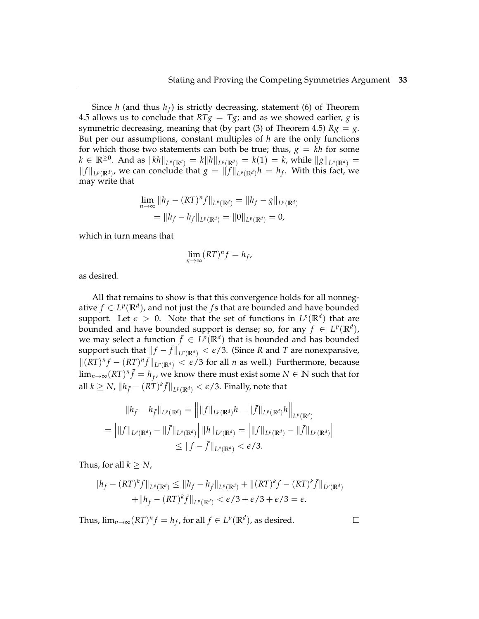Since *h* (and thus *h<sup>f</sup>* ) is strictly decreasing, statement (6) of Theorem 4.5 allows us to conclude that  $RTg = Tg$ ; and as we showed earlier, *g* is symmetric decreasing, meaning that (by part (3) of Theorem 4.5)  $Rg = g$ . But per our assumptions, constant multiples of *h* are the only functions for which those two statements can both be true; thus,  $g = kh$  for some *k* ∈  $\mathbb{R}^{\geq 0}$ . And as  $||kh||_{L^p(\mathbb{R}^d)} = k||h||_{L^p(\mathbb{R}^d)} = k(1) = k$ , while  $||g||_{L^p(\mathbb{R}^d)} =$  $||f||_{L^p(\mathbb{R}^d)}$ , we can conclude that *g* =  $||f||_{L^p(\mathbb{R}^d)}h = h_f$ . With this fact, we may write that

$$
\lim_{n \to \infty} ||h_f - (RT)^n f||_{L^p(\mathbb{R}^d)} = ||h_f - g||_{L^p(\mathbb{R}^d)}
$$
  
=  $||h_f - h_f||_{L^p(\mathbb{R}^d)} = ||0||_{L^p(\mathbb{R}^d)} = 0$ ,

which in turn means that

$$
\lim_{n\to\infty}(RT)^n f = h_f,
$$

as desired.

All that remains to show is that this convergence holds for all nonnegative  $f \in L^p(\mathbb{R}^d)$ , and not just the  $f$ s that are bounded and have bounded support. Let  $\epsilon > 0$ . Note that the set of functions in  $L^p(\mathbb{R}^d)$  that are bounded and have bounded support is dense; so, for any  $f \in L^p(\mathbb{R}^d)$ , we may select a function  $\bar{f} \in L^p(\mathbb{R}^d)$  that is bounded and has bounded support such that  $||f - \bar{f}||_{L^p(\mathbb{R}^d)} < \epsilon/3$ . (Since *R* and *T* are nonexpansive,  $||(RT)^n f − (RT)^n \bar{f}||_{L^p(\mathbb{R}^d)} < \epsilon/3$  for all *n* as well.) Furthermore, because  $\lim_{n\to\infty} (RT)^n \bar{f} = h_{\bar{f}}$ , we know there must exist some  $N \in \mathbb{N}$  such that for  $\|a\|$   $k\geq N$ ,  $\|h_{\bar{f}}-(RT)^k\bar{f}\|_{L^p(\mathbb{R}^d)}<\epsilon/3.$  Finally, note that

$$
||h_f - h_{\bar{f}}||_{L^p(\mathbb{R}^d)} = ||||f||_{L^p(\mathbb{R}^d)}h - ||\bar{f}||_{L^p(\mathbb{R}^d)}h||_{L^p(\mathbb{R}^d)}
$$
  
= 
$$
|||f||_{L^p(\mathbb{R}^d)} - ||\bar{f}||_{L^p(\mathbb{R}^d)}|||h||_{L^p(\mathbb{R}^d)} = |||f||_{L^p(\mathbb{R}^d)} - ||\bar{f}||_{L^p(\mathbb{R}^d)}||_{L^p(\mathbb{R}^d)}
$$
  

$$
\leq ||f - \bar{f}||_{L^p(\mathbb{R}^d)} < \epsilon/3.
$$

Thus, for all  $k \geq N$ ,

$$
||h_f - (RT)^k f||_{L^p(\mathbb{R}^d)} \le ||h_f - h_{\bar{f}}||_{L^p(\mathbb{R}^d)} + ||(RT)^k f - (RT)^k \bar{f}||_{L^p(\mathbb{R}^d)}
$$
  
+ 
$$
||h_{\bar{f}} - (RT)^k \bar{f}||_{L^p(\mathbb{R}^d)} < \epsilon/3 + \epsilon/3 + \epsilon/3 = \epsilon.
$$

Thus,  $\lim_{n\to\infty} (RT)^n f = h_f$ , for all  $f \in L^p(\mathbb{R}^d)$ , as desired.

 $\Box$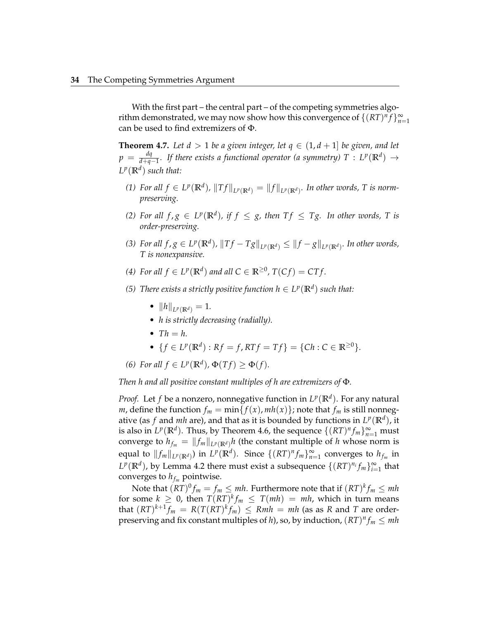With the first part – the central part – of the competing symmetries algorithm demonstrated, we may now show how this convergence of  $\{(RT)^n f\}_{n=1}^{\infty}$ can be used to find extremizers of Φ.

**Theorem 4.7.** Let  $d > 1$  be a given integer, let  $q \in (1, d + 1]$  be given, and let  $p = \frac{dq}{d+a}$ *d*<sup>*q*</sup>  $_{d+q-1}$ *. If there exists a functional operator (a symmetry)*  $T$  :  $L^p(\mathbb{R}^d)$  → *L p* (**R***<sup>d</sup>* ) *such that:*

- *(1) For all*  $f$  ∈  $L^p(\mathbb{R}^d)$ ,  $||Tf||_{L^p(\mathbb{R}^d)} = ||f||_{L^p(\mathbb{R}^d)}$ . In other words, T is norm*preserving.*
- *(2)* For all  $f, g \in L^p(\mathbb{R}^d)$ , if  $f \leq g$ , then  $Tf \leq Tg$ . In other words, T is *order-preserving.*
- (3) For all  $f,g\in L^p(\mathbb{R}^d)$ ,  $\|Tf-Tg\|_{L^p(\mathbb{R}^d)}\leq \|f-g\|_{L^p(\mathbb{R}^d)}$ . In other words, *T is nonexpansive.*
- *(4) For all*  $f \in L^p(\mathbb{R}^d)$  *and all*  $C \in \mathbb{R}^{\geq 0}$ ,  $T(Cf) = CTf$ .
- *(5) There exists a strictly positive function*  $h \in L^p(\mathbb{R}^d)$  *such that:* 
	- $||h||_{L^p(\mathbb{R}^d)} = 1.$
	- *h is strictly decreasing (radially).*
	- $Th = h$ .

• 
$$
\{f \in L^p(\mathbb{R}^d) : Rf = f, RTf = Tf\} = \{Ch : C \in \mathbb{R}^{\geq 0}\}.
$$

(6) For all 
$$
f \in L^p(\mathbb{R}^d)
$$
,  $\Phi(Tf) \geq \Phi(f)$ .

*Then h and all positive constant multiples of h are extremizers of* Φ*.*

*Proof.* Let *f* be a nonzero, nonnegative function in  $L^p(\mathbb{R}^d)$ . For any natural *m*, define the function  $f_m = \min\{f(x), mh(x)\}$ ; note that  $f_m$  is still nonnegative (as  $f$  and  $mh$  are), and that as it is bounded by functions in  $L^p(\mathbb{R}^d)$ , it is also in  $L^p(\mathbb{R}^d)$ . Thus, by Theorem 4.6, the sequence  $\{(RT)^n f_m\}_{m=1}^{\infty}$  must converge to  $h_{f_m} = ||f_m||_{L^p(\mathbb{R}^d)} h$  (the constant multiple of *h* whose norm is equal to  $||f_m||_{L^p(\mathbb{R}^d)}$ ) in  $L^p(\mathbb{R}^d)$ . Since  $\{(RT)^n f_m\}_{m=1}^\infty$  converges to  $h_{f_m}$  in  $L^p(\mathbb{R}^d)$ , by Lemma 4.2 there must exist a subsequence  $\{(RT)^{n_i}f_m\}_{i=1}^{\infty}$  that converges to  $h_{f_m}$  pointwise.

Note that  $(RT)^{0}f_{m}=f_{m}\leq mh.$  Furthermore note that if  $(RT)^{k}f_{m}\leq mh$ for some  $k \geq 0$ , then  $T(RT)^k f_m \leq T(mh) = mh$ , which in turn means that  $(RT)^{k+1}$ *f*<sup>*m*</sup> =  $R(T(RT)^k$ *f*<sup>*m*</sup>)  $\leq Rmh = mh$  (as as *R* and *T* are orderpreserving and fix constant multiples of *h*), so, by induction,  $(RT)^n f_m \leq mh$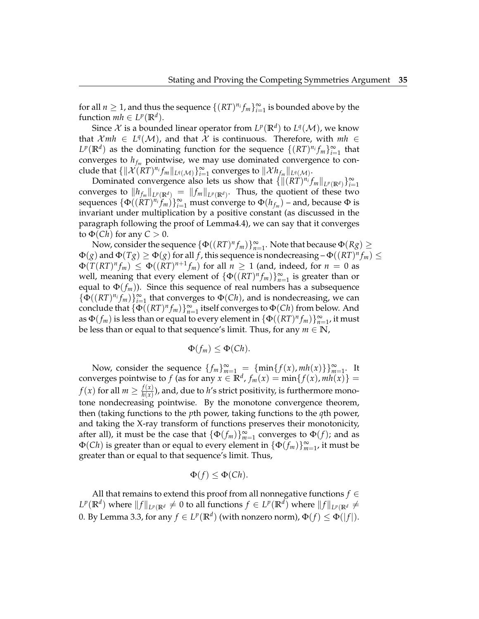for all  $n \geq 1$ , and thus the sequence  $\{(RT)^{n_i}f_m\}_{i=1}^{\infty}$  is bounded above by the function  $mh \in L^p(\mathbb{R}^d)$ .

Since  $\mathcal X$  is a bounded linear operator from  $L^p(\mathbb R^d)$  to  $L^q(\mathcal M)$ , we know that  $Xmh \in L^q(\mathcal{M})$ , and that X is continuous. Therefore, with  $mh \in$  $L^p(\mathbb{R}^d)$  as the dominating function for the sequence  $\{(RT)^{n_i}f_m\}_{i=1}^{\infty}$  that converges to  $h_{f_m}$  pointwise, we may use dominated convergence to con- $\text{clude that } \{\|\mathcal{X}(RT)^{n_i}f_m\|_{L^q(\mathcal{M})}\}_{i=1}^{\infty} \text{ converges to } \|\mathcal{X}h_{f_m}\|_{L^q(\mathcal{M})}.$ 

Dominated convergence also lets us show that  $\{ \|(R\hat{T})^{n_i} f_m \|_{L^p(\mathbb{R}^d)} \}_{i=1}^\infty$ converges to  $\|h_{f_m}\|_{L^p(\mathbb{R}^d)} = \|f_m\|_{L^p(\mathbb{R}^d)}.$  Thus, the quotient of these two sequences  $\{\Phi((\hat{R}T)^{n_i}f_m)\}_{i=1}^\infty$  must converge to  $\Phi(h_{f_m})$  – and, because Φ is invariant under multiplication by a positive constant (as discussed in the paragraph following the proof of Lemma4.4), we can say that it converges to  $\Phi$ (*Ch*) for any  $C > 0$ .

Now, consider the sequence  $\{\Phi((RT)^nf_m)\}_{n=1}^{\infty}$ . Note that because  $\Phi(Rg) \geq 0$  $\Phi(g)$  and  $\Phi(Tg) \ge \Phi(g)$  for all  $f$ , this sequence is nondecreasing –  $\Phi((RT)^n f_m) \le$  $\Phi(T(RT)^nf_m) \leq \Phi((RT)^{n+1}f_m)$  for all  $n \geq 1$  (and, indeed, for  $n = 0$  as well, meaning that every element of  $\{\Phi((RT)^n f_m)\}_{n=1}^{\infty}$  is greater than or equal to  $\Phi(f_m)$ ). Since this sequence of real numbers has a subsequence  $\{\Phi((RT)^{n_i}f_m)\}_{i=1}^{\infty}$  that converges to  $\Phi(Ch)$ , and is nondecreasing, we can conclude that  $\{\Phi((RT)^n f_m)\}_{n=1}^{\infty}$  itself converges to  $\Phi(Ch)$  from below. And as  $\Phi(f_m)$  is less than or equal to every element in  $\{\Phi((RT)^n f_m)\}_{n=1}^\infty$ , it must be less than or equal to that sequence's limit. Thus, for any  $m \in \mathbb{N}$ ,

$$
\Phi(f_m)\leq \Phi(Ch).
$$

Now, consider the sequence  $\{f_m\}_{m=1}^{\infty}$  =  $\{\min\{f(x), mh(x)\}\}_{m=1}^{\infty}$ . It converges pointwise to  $f$  (as for any  $x \in \mathbb{R}^d$ ,  $f_m(x) = \min\{f(x), mh(x)\} =$ *f*(*x*) for all  $m \geq \frac{f(x)}{h(x)}$  $\frac{f(x)}{h(x)}$ ), and, due to  $h'$ s strict positivity, is furthermore monotone nondecreasing pointwise. By the monotone convergence theorem, then (taking functions to the *p*th power, taking functions to the *q*th power, and taking the X-ray transform of functions preserves their monotonicity, after all), it must be the case that  $\{\Phi(f_m)\}_{m=1}^{\infty}$  converges to  $\Phi(f)$ ; and as  $\Phi(Ch)$  is greater than or equal to every element in  $\{\Phi(f_m)\}_{m=1}^\infty$ , it must be greater than or equal to that sequence's limit. Thus,

$$
\Phi(f) \le \Phi(Ch).
$$

All that remains to extend this proof from all nonnegative functions *f* ∈  $L^p(\mathbb{R}^d)$  where  $\|f\|_{L^p(\mathbb{R}^d)} \neq 0$  to all functions  $f \in L^p(\mathbb{R}^d)$  where  $\|f\|_{L^p(\mathbb{R}^d)} \neq 0$ 0. By Lemma 3.3, for any  $f \in L^p(\mathbb{R}^d)$  (with nonzero norm),  $\Phi(f) \leq \Phi(|f|).$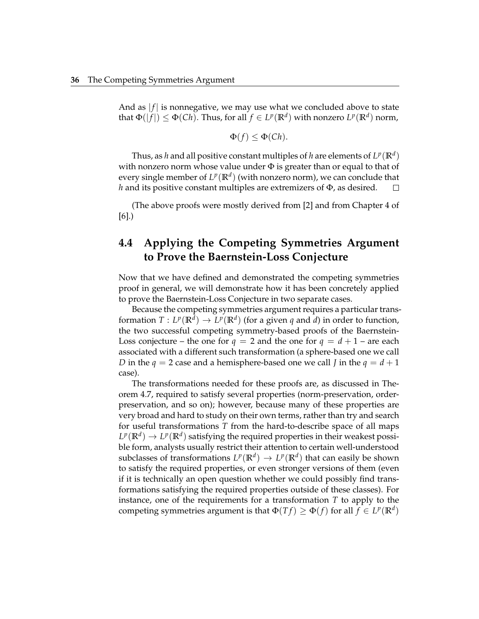And as  $|f|$  is nonnegative, we may use what we concluded above to state  $\text{that } \Phi(|f|) \leq \Phi(Ch). \text{ Thus, for all } f \in L^p(\mathbb{R}^d) \text{ with nonzero } L^p(\mathbb{R}^d) \text{ norm, }$ 

$$
\Phi(f) \leq \Phi(Ch).
$$

Thus, as  $h$  and all positive constant multiples of  $h$  are elements of  $L^p(\mathbb{R}^d)$ with nonzero norm whose value under  $\Phi$  is greater than or equal to that of every single member of  $L^p(\mathbb{R}^d)$  (with nonzero norm), we can conclude that *h* and its positive constant multiples are extremizers of Φ, as desired.  $\Box$ 

(The above proofs were mostly derived from [2] and from Chapter 4 of [6].)

## **4.4 Applying the Competing Symmetries Argument to Prove the Baernstein-Loss Conjecture**

Now that we have defined and demonstrated the competing symmetries proof in general, we will demonstrate how it has been concretely applied to prove the Baernstein-Loss Conjecture in two separate cases.

Because the competing symmetries argument requires a particular transformation  $T: L^p(\mathbb{R}^d) \to L^p(\mathbb{R}^d)$  (for a given  $q$  and  $d$ ) in order to function, the two successful competing symmetry-based proofs of the Baernstein-Loss conjecture – the one for  $q = 2$  and the one for  $q = d + 1$  – are each associated with a different such transformation (a sphere-based one we call *D* in the  $q = 2$  case and a hemisphere-based one we call *J* in the  $q = d + 1$ case).

The transformations needed for these proofs are, as discussed in Theorem 4.7, required to satisfy several properties (norm-preservation, orderpreservation, and so on); however, because many of these properties are very broad and hard to study on their own terms, rather than try and search for useful transformations *T* from the hard-to-describe space of all maps  $L^p(\mathbb{R}^d) \to L^p(\mathbb{R}^d)$  satisfying the required properties in their weakest possible form, analysts usually restrict their attention to certain well-understood subclasses of transformations  $L^p(\mathbb{R}^d) \to L^p(\mathbb{R}^d)$  that can easily be shown to satisfy the required properties, or even stronger versions of them (even if it is technically an open question whether we could possibly find transformations satisfying the required properties outside of these classes). For instance, one of the requirements for a transformation *T* to apply to the competing symmetries argument is that  $\Phi(Tf) \ge \Phi(f)$  for all  $f \in L^p(\mathbb{R}^d)$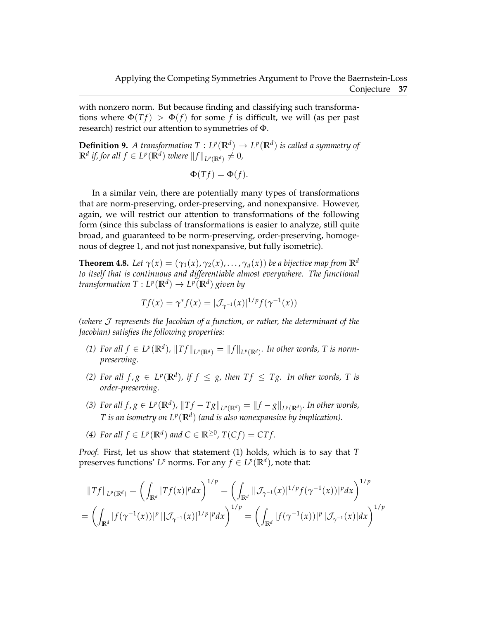with nonzero norm. But because finding and classifying such transformations where  $\Phi(Tf) > \Phi(f)$  for some f is difficult, we will (as per past research) restrict our attention to symmetries of Φ.

**Definition 9.** A transformation  $T: L^p(\mathbb{R}^d) \to L^p(\mathbb{R}^d)$  is called a symmetry of  $\mathbb{R}^d$  *if, for all*  $f \in L^p(\mathbb{R}^d)$  *where*  $||f||_{L^p(\mathbb{R}^d)} \neq 0$ *,* 

$$
\Phi(Tf) = \Phi(f).
$$

In a similar vein, there are potentially many types of transformations that are norm-preserving, order-preserving, and nonexpansive. However, again, we will restrict our attention to transformations of the following form (since this subclass of transformations is easier to analyze, still quite broad, and guaranteed to be norm-preserving, order-preserving, homogenous of degree 1, and not just nonexpansive, but fully isometric).

**Theorem 4.8.** Let  $\gamma(x) = (\gamma_1(x), \gamma_2(x), \ldots, \gamma_d(x))$  be a bijective map from  $\mathbb{R}^d$ *to itself that is continuous and differentiable almost everywhere. The functional*  $t$ ransformation  $T: L^p(\mathbb{R}^d) \to L^p(\mathbb{R}^d)$  given by

$$
Tf(x) = \gamma^* f(x) = |\mathcal{J}_{\gamma^{-1}}(x)|^{1/p} f(\gamma^{-1}(x))
$$

*(where* J *represents the Jacobian of a function, or rather, the determinant of the Jacobian) satisfies the following properties:*

- *(1) For all*  $f \in L^p(\mathbb{R}^d)$ ,  $||Tf||_{L^p(\mathbb{R}^d)} = ||f||_{L^p(\mathbb{R}^d)}$ . In other words, T is norm*preserving.*
- *(2)* For all  $f, g \in L^p(\mathbb{R}^d)$ , if  $f \leq g$ , then  $Tf \leq Tg$ . In other words, T is *order-preserving.*
- (3) For all  $f,g\in L^p(\mathbb{R}^d)$ ,  $\|Tf-Tg\|_{L^p(\mathbb{R}^d)}=\|f-g\|_{L^p(\mathbb{R}^d)}$ . In other words, *T* is an isometry on  $L^p(\mathbb{R}^d)$  (and is also nonexpansive by implication).
- *(4) For all*  $f \in L^p(\mathbb{R}^d)$  *and*  $C \in \mathbb{R}^{\geq 0}$ ,  $T(Cf) = CTf$ .

*Proof.* First, let us show that statement (1) holds, which is to say that *T* preserves functions'  $L^p$  norms. For any  $f \in L^p(\mathbb{R}^d)$ , note that:

$$
||Tf||_{L^{p}(\mathbb{R}^{d})} = \left(\int_{\mathbb{R}^{d}} |Tf(x)|^{p} dx\right)^{1/p} = \left(\int_{\mathbb{R}^{d}} |(\mathcal{J}_{\gamma^{-1}}(x)|^{1/p} f(\gamma^{-1}(x))|^{p} dx\right)^{1/p}
$$

$$
= \left(\int_{\mathbb{R}^{d}} |f(\gamma^{-1}(x))|^{p} ||\mathcal{J}_{\gamma^{-1}}(x)|^{1/p}|^{p} dx\right)^{1/p} = \left(\int_{\mathbb{R}^{d}} |f(\gamma^{-1}(x))|^{p} |\mathcal{J}_{\gamma^{-1}}(x)| dx\right)^{1/p}
$$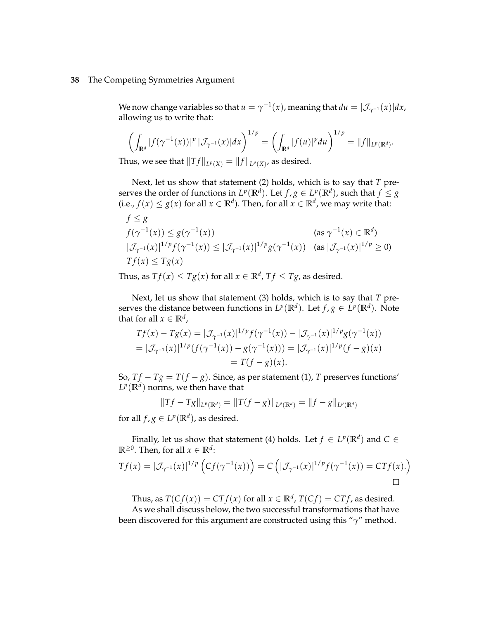We now change variables so that  $u = \gamma^{-1}(x)$ , meaning that  $du = |\mathcal{J}_{\gamma^{-1}}(x)| dx$ , allowing us to write that:

$$
\left(\int_{\mathbb{R}^d} |f(\gamma^{-1}(x))|^p \, |\mathcal{J}_{\gamma^{-1}}(x)| dx\right)^{1/p} = \left(\int_{\mathbb{R}^d} |f(u)|^p du\right)^{1/p} = \|f\|_{L^p(\mathbb{R}^d)}.
$$

Thus, we see that  $||Tf||_{L^p(X)} = ||f||_{L^p(X)}$ , as desired.

Next, let us show that statement (2) holds, which is to say that *T* preserves the order of functions in  $L^p(\mathbb{R}^d)$ . Let  $f,g\in L^p(\mathbb{R}^d)$ , such that  $f\leq g$ (i.e.,  $f(x) \leq g(x)$  for all  $x \in \mathbb{R}^d$ ). Then, for all  $x \in \mathbb{R}^d$ , we may write that:

$$
f \le g
$$
  
\n
$$
f(\gamma^{-1}(x)) \le g(\gamma^{-1}(x))
$$
 (as  $\gamma^{-1}(x) \in \mathbb{R}^d$ )  
\n
$$
|\mathcal{J}_{\gamma^{-1}}(x)|^{1/p} f(\gamma^{-1}(x)) \le |\mathcal{J}_{\gamma^{-1}}(x)|^{1/p} g(\gamma^{-1}(x))
$$
 (as  $|\mathcal{J}_{\gamma^{-1}}(x)|^{1/p} \ge 0$ )  
\n
$$
Tf(x) \le Tg(x)
$$

Thus, as  $Tf(x) \leq Tg(x)$  for all  $x \in \mathbb{R}^d$ ,  $Tf \leq Tg$ , as desired.

Next, let us show that statement (3) holds, which is to say that *T* preserves the distance between functions in  $L^p(\mathbb{R}^d)$ . Let  $f, g \in L^p(\mathbb{R}^d)$ . Note that for all  $x \in \mathbb{R}^d$  ,

$$
Tf(x) - Tg(x) = |\mathcal{J}_{\gamma^{-1}}(x)|^{1/p} f(\gamma^{-1}(x)) - |\mathcal{J}_{\gamma^{-1}}(x)|^{1/p} g(\gamma^{-1}(x))
$$
  
=  $|\mathcal{J}_{\gamma^{-1}}(x)|^{1/p} (f(\gamma^{-1}(x)) - g(\gamma^{-1}(x))) = |\mathcal{J}_{\gamma^{-1}}(x)|^{1/p} (f - g)(x)$   
=  $T(f - g)(x)$ .

So,  $Tf - Tg = T(f - g)$ . Since, as per statement (1), *T* preserves functions'  $L^p(\mathbb{R}^d)$  norms, we then have that

$$
||Tf - Tg||_{L^p(\mathbb{R}^d)} = ||T(f - g)||_{L^p(\mathbb{R}^d)} = ||f - g||_{L^p(\mathbb{R}^d)}
$$

for all  $f$ ,  $g \in L^p(\mathbb{R}^d)$ , as desired.

Finally, let us show that statement (4) holds. Let  $f \in L^p(\mathbb{R}^d)$  and  $C \in$  $\mathbb{R}^{\geq 0}$ . Then, for all  $x \in \mathbb{R}^d$ :

$$
Tf(x) = |\mathcal{J}_{\gamma^{-1}}(x)|^{1/p} \left( Cf(\gamma^{-1}(x)) \right) = C \left( |\mathcal{J}_{\gamma^{-1}}(x)|^{1/p} f(\gamma^{-1}(x)) = CTf(x). \right)
$$

Thus, as  $T(Cf(x)) = CTf(x)$  for all  $x \in \mathbb{R}^d$ ,  $T(Cf) = CTf$ , as desired.

As we shall discuss below, the two successful transformations that have been discovered for this argument are constructed using this "*γ*" method.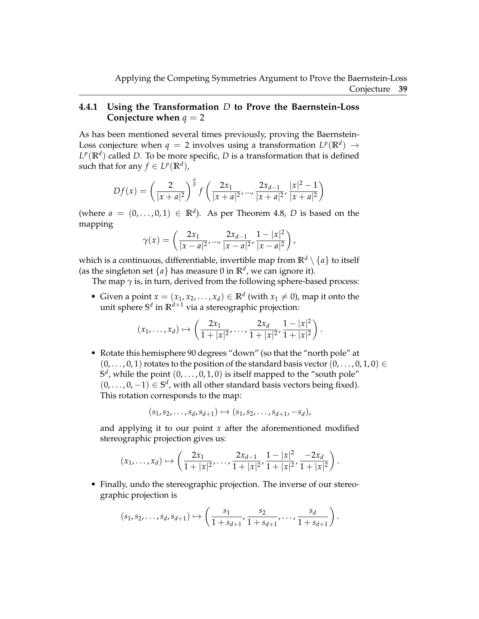#### **4.4.1 Using the Transformation** *D* **to Prove the Baernstein-Loss Conjecture when**  $q = 2$

As has been mentioned several times previously, proving the Baernstein-Loss conjecture when  $q = 2$  involves using a transformation  $L^p(\mathbb{R}^d) \rightarrow$  $L^p(\mathbb{R}^d)$  called *D*. To be more specific, *D* is a transformation that is defined such that for any  $f \in L^p(\mathbb{R}^d)$ ,

$$
Df(x) = \left(\frac{2}{|x+a|^2}\right)^{\frac{d}{p}} f\left(\frac{2x_1}{|x+a|^2}, \dots, \frac{2x_{d-1}}{|x+a|^2}, \frac{|x|^2 - 1}{|x+a|^2}\right)
$$

(where  $a = (0, \ldots, 0, 1) \in \mathbb{R}^d$ ). As per Theorem 4.8, *D* is based on the mapping

$$
\gamma(x) = \left(\frac{2x_1}{|x-a|^2}, \dots, \frac{2x_{d-1}}{|x-a|^2}, \frac{1-|x|^2}{|x-a|^2}\right),
$$

which is a continuous, differentiable, invertible map from  $\mathbb{R}^d \setminus \{a\}$  to itself (as the singleton set  $\{a\}$  has measure 0 in  $\mathbb{R}^d$ , we can ignore it).

The map  $\gamma$  is, in turn, derived from the following sphere-based process:

• Given a point  $x = (x_1, x_2, \ldots, x_d) \in \mathbb{R}^d$  (with  $x_1 \neq 0$ ), map it onto the unit sphere **S** *d* in **R***d*+<sup>1</sup> via a stereographic projection:

$$
(x_1, ..., x_d) \mapsto \left(\frac{2x_1}{1+|x|^2}, ..., \frac{2x_d}{1+|x|^2}, \frac{1-|x|^2}{1+|x|^2}\right).
$$

• Rotate this hemisphere 90 degrees "down" (so that the "north pole" at  $(0, \ldots, 0, 1)$  rotates to the position of the standard basis vector  $(0, \ldots, 0, 1, 0) \in$  $S^d$ , while the point  $(0, \ldots, 0, 1, 0)$  is itself mapped to the "south pole"  $(0, \ldots, 0, -1) \in \mathbb{S}^d$ , with all other standard basis vectors being fixed). This rotation corresponds to the map:

$$
(s_1, s_2, \ldots, s_d, s_{d+1}) \mapsto (s_1, s_2, \ldots, s_{d+1}, -s_d),
$$

and applying it to our point *x* after the aforementioned modified stereographic projection gives us:

$$
(x_1,\ldots,x_d)\mapsto \left(\frac{2x_1}{1+|x|^2},\ldots,\frac{2x_{d-1}}{1+|x|^2},\frac{1-|x|^2}{1+|x|^2},\frac{-2x_d}{1+|x|^2}\right).
$$

• Finally, undo the stereographic projection. The inverse of our stereographic projection is

$$
(s_1, s_2, \ldots, s_d, s_{d+1}) \mapsto \left(\frac{s_1}{1 + s_{d+1}}, \frac{s_2}{1 + s_{d+1}}, \ldots, \frac{s_d}{1 + s_{d+1}}\right).
$$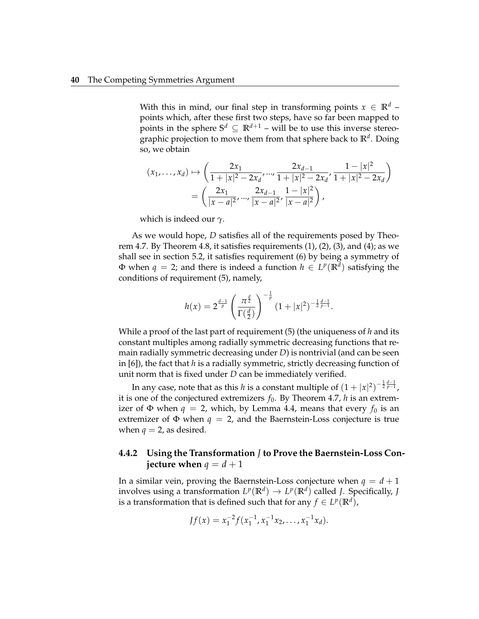With this in mind, our final step in transforming points  $x \in \mathbb{R}^d$  – points which, after these first two steps, have so far been mapped to points in the sphere  $S^d \subseteq \mathbb{R}^{d+1}$  – will be to use this inverse stereographic projection to move them from that sphere back to **R***<sup>d</sup>* . Doing so, we obtain

$$
(x_1, ..., x_d) \mapsto \left(\frac{2x_1}{1+|x|^2-2x_d}, ..., \frac{2x_{d-1}}{1+|x|^2-2x_d}, \frac{1-|x|^2}{1+|x|^2-2x_d}\right)
$$
  
= 
$$
\left(\frac{2x_1}{|x-a|^2}, ..., \frac{2x_{d-1}}{|x-a|^2}, \frac{1-|x|^2}{|x-a|^2}\right),
$$

which is indeed our *γ*.

As we would hope, *D* satisfies all of the requirements posed by Theorem 4.7. By Theorem 4.8, it satisfies requirements  $(1)$ ,  $(2)$ ,  $(3)$ , and  $(4)$ ; as we shall see in section 5.2, it satisfies requirement (6) by being a symmetry of  $\Phi$  when  $q = 2$ ; and there is indeed a function  $h \in L^p(\mathbb{R}^d)$  satisfying the conditions of requirement (5), namely,

$$
h(x) = 2^{\frac{d-1}{p}} \left( \frac{\pi^{\frac{d}{2}}}{\Gamma(\frac{d}{2})} \right)^{-\frac{1}{p}} (1+|x|^2)^{-\frac{1}{2}\frac{d-1}{p-1}}.
$$

While a proof of the last part of requirement (5) (the uniqueness of *h* and its constant multiples among radially symmetric decreasing functions that remain radially symmetric decreasing under *D*) is nontrivial (and can be seen in [6]), the fact that *h* is a radially symmetric, strictly decreasing function of unit norm that is fixed under *D* can be immediately verified.

In any case, note that as this *h* is a constant multiple of  $(1+|x|^2)^{-\frac{1}{2}\frac{d-1}{p-1}}$ , it is one of the conjectured extremizers  $f_0$ . By Theorem 4.7, *h* is an extremizer of  $\Phi$  when  $q = 2$ , which, by Lemma 4.4, means that every  $f_0$  is an extremizer of  $\Phi$  when  $q = 2$ , and the Baernstein-Loss conjecture is true when  $q = 2$ , as desired.

#### **4.4.2 Using the Transformation** *J* **to Prove the Baernstein-Loss Conjecture when**  $q = d + 1$

In a similar vein, proving the Baernstein-Loss conjecture when  $q = d + 1$ involves using a transformation  $L^p(\mathbb{R}^d) \to L^p(\mathbb{R}^d)$  called *J*. Specifically, *J* is a transformation that is defined such that for any  $f \in L^p(\mathbb{R}^d)$ ,

$$
Jf(x) = x_1^{-2} f(x_1^{-1}, x_1^{-1}x_2, \dots, x_1^{-1}x_d).
$$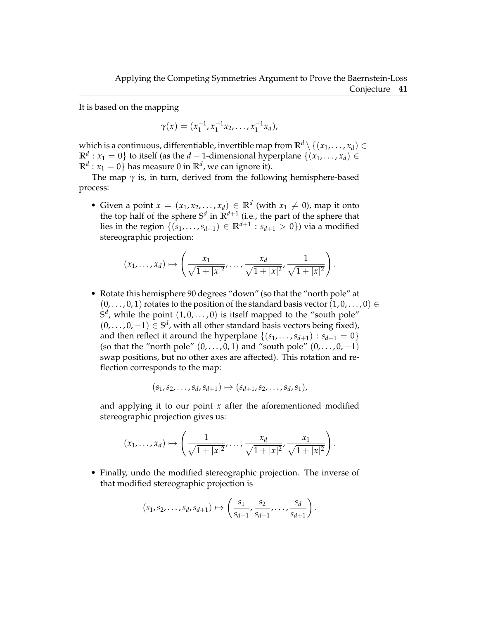It is based on the mapping

$$
\gamma(x)=(x_1^{-1},x_1^{-1}x_2,\ldots,x_1^{-1}x_d),
$$

which is a continuous, differentiable, invertible map from  $\mathbb{R}^d \setminus \{(x_1, \ldots, x_d) \in$  $\mathbb{R}^d$  :  $x_1 = 0$ } to itself (as the *d* − 1-dimensional hyperplane  $\{(x_1, \ldots, x_d) \in$  $\mathbb{R}^d$  :  $x_1 = 0$ } has measure 0 in  $\mathbb{R}^d$ , we can ignore it).

The map  $\gamma$  is, in turn, derived from the following hemisphere-based process:

• Given a point  $x = (x_1, x_2, \ldots, x_d) \in \mathbb{R}^d$  (with  $x_1 \neq 0$ ), map it onto the top half of the sphere  $S^d$  in  $\mathbb{R}^{d+1}$  (i.e., the part of the sphere that lies in the region  $\{(s_1, \ldots, s_{d+1}) \in \mathbb{R}^{d+1} : s_{d+1} > 0\})$  via a modified stereographic projection:

$$
(x_1,...,x_d) \mapsto \left(\frac{x_1}{\sqrt{1+|x|^2}}, \frac{x_d}{\sqrt{1+|x|^2}}, \frac{1}{\sqrt{1+|x|^2}}\right).
$$

• Rotate this hemisphere 90 degrees "down" (so that the "north pole" at  $(0, \ldots, 0, 1)$  rotates to the position of the standard basis vector  $(1, 0, \ldots, 0) \in$  $S^d$ , while the point  $(1,0,\ldots,0)$  is itself mapped to the "south pole"  $(0, \ldots, 0, -1) \in \mathbb{S}^d$ , with all other standard basis vectors being fixed), and then reflect it around the hyperplane  $\{(s_1, \ldots, s_{d+1}) : s_{d+1} = 0\}$ (so that the "north pole"  $(0, \ldots, 0, 1)$  and "south pole"  $(0, \ldots, 0, -1)$ swap positions, but no other axes are affected). This rotation and reflection corresponds to the map:

$$
(s_1, s_2, \ldots, s_d, s_{d+1}) \mapsto (s_{d+1}, s_2, \ldots, s_d, s_1),
$$

and applying it to our point  $x$  after the aforementioned modified stereographic projection gives us:

$$
(x_1,...,x_d) \mapsto \left(\frac{1}{\sqrt{1+|x|^2}}, \dots, \frac{x_d}{\sqrt{1+|x|^2}}, \frac{x_1}{\sqrt{1+|x|^2}}\right).
$$

• Finally, undo the modified stereographic projection. The inverse of that modified stereographic projection is

$$
(s_1, s_2, \ldots, s_d, s_{d+1}) \mapsto \left(\frac{s_1}{s_{d+1}}, \frac{s_2}{s_{d+1}}, \ldots, \frac{s_d}{s_{d+1}}\right).
$$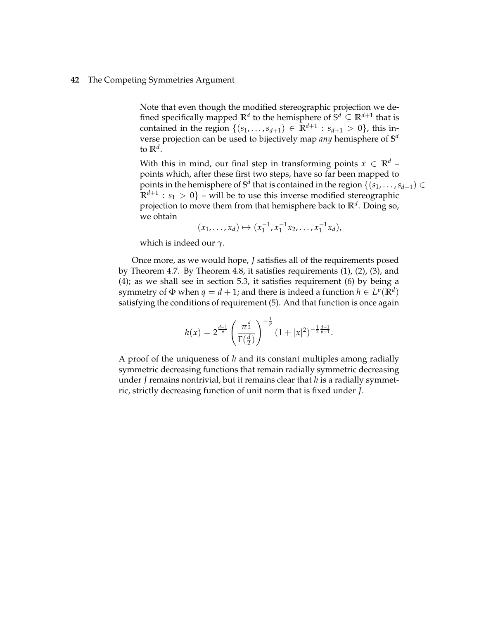Note that even though the modified stereographic projection we defined specifically mapped  $\mathbb{R}^d$  to the hemisphere of  $\mathbb{S}^d \subseteq \mathbb{R}^{d+1}$  that is contained in the region  $\{(s_1, ..., s_{d+1}) \in \mathbb{R}^{d+1} : s_{d+1} > 0\}$ , this inverse projection can be used to bijectively map *any* hemisphere of **S** *d* to **R***<sup>d</sup>* .

With this in mind, our final step in transforming points  $x \in \mathbb{R}^d$  – points which, after these first two steps, have so far been mapped to points in the hemisphere of  $\mathbb{S}^d$  that is contained in the region  $\{(s_1,\ldots,s_{d+1})\in$  $\mathbb{R}^{d+1}: s_1 > 0$ } – will be to use this inverse modified stereographic projection to move them from that hemisphere back to **R***<sup>d</sup>* . Doing so, we obtain

$$
(x_1, \ldots, x_d) \mapsto (x_1^{-1}, x_1^{-1}x_2, \ldots, x_1^{-1}x_d),
$$

which is indeed our *γ*.

Once more, as we would hope, *J* satisfies all of the requirements posed by Theorem 4.7. By Theorem 4.8, it satisfies requirements (1), (2), (3), and (4); as we shall see in section 5.3, it satisfies requirement (6) by being a symmetry of  $\Phi$  when  $q = d + 1$ ; and there is indeed a function  $h \in L^p(\mathbb{R}^d)$ satisfying the conditions of requirement (5). And that function is once again

$$
h(x) = 2^{\frac{d-1}{p}} \left( \frac{\pi^{\frac{d}{2}}}{\Gamma(\frac{d}{2})} \right)^{-\frac{1}{p}} (1+|x|^2)^{-\frac{1}{2}\frac{d-1}{p-1}}.
$$

A proof of the uniqueness of *h* and its constant multiples among radially symmetric decreasing functions that remain radially symmetric decreasing under *J* remains nontrivial, but it remains clear that *h* is a radially symmetric, strictly decreasing function of unit norm that is fixed under *J*.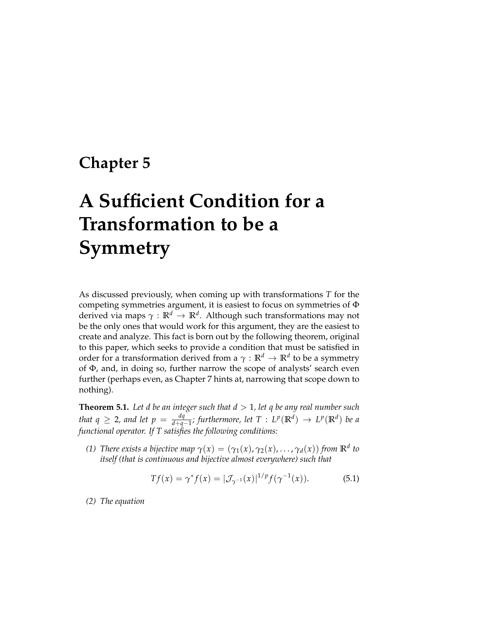# **Chapter 5**

# **A Sufficient Condition for a Transformation to be a Symmetry**

As discussed previously, when coming up with transformations *T* for the competing symmetries argument, it is easiest to focus on symmetries of Φ derived via maps *γ* : **R***<sup>d</sup>* → **R***<sup>d</sup>* . Although such transformations may not be the only ones that would work for this argument, they are the easiest to create and analyze. This fact is born out by the following theorem, original to this paper, which seeks to provide a condition that must be satisfied in order for a transformation derived from a *γ* : **R***<sup>d</sup>* → **R***<sup>d</sup>* to be a symmetry of Φ, and, in doing so, further narrow the scope of analysts' search even further (perhaps even, as Chapter 7 hints at, narrowing that scope down to nothing).

**Theorem 5.1.** Let d be an integer such that  $d > 1$ , let q be any real number such *that*  $q \geq 2$ , and let  $p = \frac{dq}{d + a}$  $\frac{dq}{d+q-1}$ ; furthermore, let T : L<sup>p</sup>( $\mathbb{R}^d$ ) → L<sup>p</sup>( $\mathbb{R}^d$ ) be a *functional operator. If T satisfies the following conditions:*

*(1) There exists a bijective map*  $\gamma(x) = (\gamma_1(x), \gamma_2(x), \ldots, \gamma_d(x))$  *from*  $\mathbb{R}^d$  *to itself (that is continuous and bijective almost everywhere) such that*

$$
Tf(x) = \gamma^* f(x) = |\mathcal{J}_{\gamma^{-1}}(x)|^{1/p} f(\gamma^{-1}(x)).
$$
 (5.1)

*(2) The equation*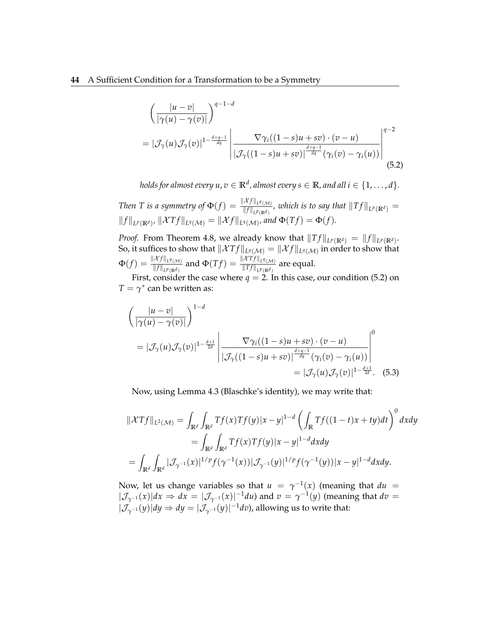$$
\left(\frac{|u-v|}{|\gamma(u)-\gamma(v)|}\right)^{q-1-d}
$$
\n
$$
= |\mathcal{J}_{\gamma}(u)\mathcal{J}_{\gamma}(v)|^{1-\frac{d+q-1}{dq}} \left|\frac{\nabla \gamma_i((1-s)u+sv)\cdot(v-u)}{|\mathcal{J}_{\gamma}((1-s)u+sv)|^{\frac{d+q-1}{dq}}(\gamma_i(v)-\gamma_i(u))}\right|^{q-2}
$$
\n(5.2)

*holds for almost every*  $u$ *,*  $v \in \mathbb{R}^d$ *, almost every*  $s \in \mathbb{R}$ *, and all*  $i \in \{1,\ldots,d\}$ *.* 

*Then T is a symmetry of*  $\Phi(f) = \frac{\|\mathcal{X}f\|_{L^q(\mathcal{M})}}{\|f\|_{L^p(\mathbb{R}^d)}}$ , which is to say that  $\|Tf\|_{L^p(\mathbb{R}^d)} =$  $||f||_{L^p(\mathbb{R}^d)}$ ,  $||\mathcal{X}Tf||_{L^q(\mathcal{M})} = ||\mathcal{X}f||_{L^q(\mathcal{M})}$ , and  $\Phi(Tf) = \Phi(f)$ .

*Proof.* From Theorem 4.8, we already know that  $||Tf||_{L^p(\mathbb{R}^d)} = ||f||_{L^p(\mathbb{R}^d)}$ . So, it suffices to show that  $\|\mathcal{X}Tf\|_{L^q(\mathcal{M})}=\|\mathcal{X}f\|_{L^q(\mathcal{M})}$  in order to show that  $\Phi(f) = \frac{\|\mathcal{X}f\|_{L^q(\mathcal{M})}}{\|f\|_{L^p(\mathbb{R}^d)}}$  and  $\Phi(Tf) = \frac{\|\mathcal{X}Tf\|_{L^q(\mathcal{M})}}{\|Tf\|_{L^p(\mathbb{R}^d)}}$  are equal.

First, consider the case where  $q = 2$ . In this case, our condition (5.2) on  $T = \gamma^*$  can be written as:

$$
\left(\frac{|u-v|}{|\gamma(u)-\gamma(v)|}\right)^{1-d}
$$
\n
$$
= |\mathcal{J}_{\gamma}(u)\mathcal{J}_{\gamma}(v)|^{1-\frac{d+1}{2d}} \left|\frac{\nabla \gamma_i((1-s)u+sv)\cdot(v-u)}{|\mathcal{J}_{\gamma}((1-s)u+sv)|^{\frac{d+q-1}{dq}}(\gamma_i(v)-\gamma_i(u))}\right|^0
$$
\n
$$
= |\mathcal{J}_{\gamma}(u)\mathcal{J}_{\gamma}(v)|^{1-\frac{d+1}{2d}}.\tag{5.3}
$$

Now, using Lemma 4.3 (Blaschke's identity), we may write that:

$$
\begin{aligned} \|\mathcal{X}Tf\|_{L^2(\mathcal{M})} &= \int_{\mathbb{R}^d} \int_{\mathbb{R}^d} Tf(x) Tf(y) |x - y|^{1 - d} \left( \int_{\mathbb{R}} Tf((1 - t)x + ty) dt \right)^0 dx dy \\ &= \int_{\mathbb{R}^d} \int_{\mathbb{R}^d} Tf(x) Tf(y) |x - y|^{1 - d} dx dy \\ &= \int_{\mathbb{R}^d} \int_{\mathbb{R}^d} |\mathcal{J}_{\gamma^{-1}}(x)|^{1/p} f(\gamma^{-1}(x)) |\mathcal{J}_{\gamma^{-1}}(y)|^{1/p} f(\gamma^{-1}(y)) |x - y|^{1 - d} dx dy. \end{aligned}
$$

Now, let us change variables so that  $u = \gamma^{-1}(x)$  (meaning that  $du =$  $|\mathcal{J}_{\gamma^{-1}}(x)|dx$  ⇒  $dx = |\mathcal{J}_{\gamma^{-1}}(x)|^{-1}du$  and  $v = \gamma^{-1}(y)$  (meaning that  $dv =$  $|\mathcal{J}_{\gamma^{-1}}(y)| dy \Rightarrow dy = |\mathcal{J}_{\gamma^{-1}}(y)|^{-1} dv$ , allowing us to write that: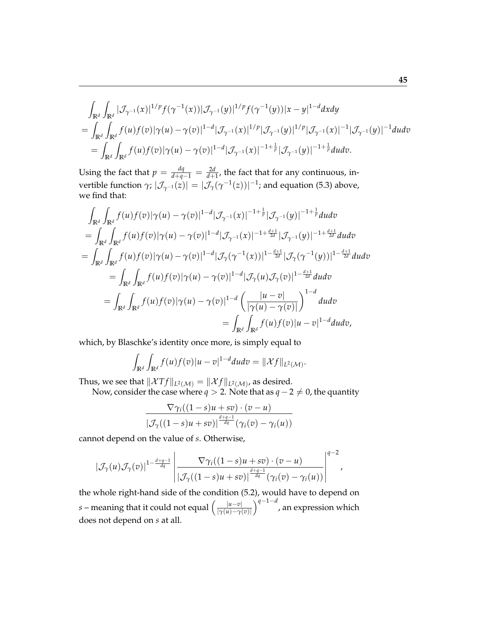$$
\int_{\mathbb{R}^d} \int_{\mathbb{R}^d} |\mathcal{J}_{\gamma^{-1}}(x)|^{1/p} f(\gamma^{-1}(x)) |\mathcal{J}_{\gamma^{-1}}(y)|^{1/p} f(\gamma^{-1}(y)) |x-y|^{1-d} dx dy \n= \int_{\mathbb{R}^d} \int_{\mathbb{R}^d} f(u) f(v) |\gamma(u) - \gamma(v)|^{1-d} |\mathcal{J}_{\gamma^{-1}}(x)|^{1/p} |\mathcal{J}_{\gamma^{-1}}(y)|^{1/p} |\mathcal{J}_{\gamma^{-1}}(x)|^{-1} |\mathcal{J}_{\gamma^{-1}}(y)|^{-1} du dv \n= \int_{\mathbb{R}^d} \int_{\mathbb{R}^d} f(u) f(v) |\gamma(u) - \gamma(v)|^{1-d} |\mathcal{J}_{\gamma^{-1}}(x)|^{-1+\frac{1}{p}} |\mathcal{J}_{\gamma^{-1}}(y)|^{-1+\frac{1}{p}} du dv.
$$

Using the fact that  $p = \frac{dq}{d+q-1} = \frac{2d}{d+1}$ , the fact that for any continuous, in- $\text{vertible function } γ; |J_{γ^{-1}}(z)| = |J_γ(γ^{-1}(z))|^{-1}$ ; and equation (5.3) above, we find that:

$$
\int_{\mathbb{R}^d} \int_{\mathbb{R}^d} f(u) f(v) |\gamma(u) - \gamma(v)|^{1-d} |\mathcal{J}_{\gamma^{-1}}(x)|^{-1+\frac{1}{p}} |\mathcal{J}_{\gamma^{-1}}(y)|^{-1+\frac{1}{p}} du dv
$$
\n=
$$
\int_{\mathbb{R}^d} \int_{\mathbb{R}^d} f(u) f(v) |\gamma(u) - \gamma(v)|^{1-d} |\mathcal{J}_{\gamma^{-1}}(x)|^{-1+\frac{d+1}{2d}} |\mathcal{J}_{\gamma^{-1}}(y)|^{-1+\frac{d+1}{2d}} du dv
$$
\n=
$$
\int_{\mathbb{R}^d} \int_{\mathbb{R}^d} f(u) f(v) |\gamma(u) - \gamma(v)|^{1-d} |\mathcal{J}_{\gamma}(\gamma^{-1}(x))|^{1-\frac{d+1}{2d}} |\mathcal{J}_{\gamma}(\gamma^{-1}(y))|^{1-\frac{d+1}{2d}} du dv
$$
\n=
$$
\int_{\mathbb{R}^d} \int_{\mathbb{R}^d} f(u) f(v) |\gamma(u) - \gamma(v)|^{1-d} |\mathcal{J}_{\gamma}(u) \mathcal{J}_{\gamma}(v)|^{1-\frac{d+1}{2d}} du dv
$$
\n=
$$
\int_{\mathbb{R}^d} \int_{\mathbb{R}^d} f(u) f(v) |\gamma(u) - \gamma(v)|^{1-d} \left( \frac{|u - v|}{|\gamma(u) - \gamma(v)|} \right)^{1-d} du dv
$$
\n=
$$
\int_{\mathbb{R}^d} \int_{\mathbb{R}^d} f(u) f(v) |u - v|^{1-d} du dv,
$$

which, by Blaschke's identity once more, is simply equal to

$$
\int_{\mathbb{R}^d}\int_{\mathbb{R}^d}f(u)f(v)|u-v|^{1-d}dudv=\|\mathcal{X}f\|_{L^2(\mathcal{M})}.
$$

Thus, we see that  $\|\mathcal{X}Tf\|_{L^2(\mathcal{M})} = \|\mathcal{X}f\|_{L^2(\mathcal{M})}$ , as desired.

Now, consider the case where  $q > 2$ . Note that as  $q - 2 \neq 0$ , the quantity

$$
\frac{\nabla \gamma_i((1-s)u + sv) \cdot (v - u)}{|\mathcal{J}_{\gamma}((1-s)u + sv)|^{\frac{d+q-1}{dq}}(\gamma_i(v) - \gamma_i(u))}
$$

cannot depend on the value of *s*. Otherwise,

$$
\left|\mathcal{J}_{\gamma}(u)\mathcal{J}_{\gamma}(v)\right|^{1-\frac{d+q-1}{dq}}\left|\frac{\nabla \gamma_i((1-s)u+sv)\cdot(v-u)}{\left|\mathcal{J}_{\gamma}((1-s)u+sv)\right|^{\frac{d+q-1}{dq}}(\gamma_i(v)-\gamma_i(u))}\right|^{q-2},
$$

the whole right-hand side of the condition (5.2), would have to depend on *s* – meaning that it could not equal  $\left(\frac{|u-v|}{\gamma(u)-\gamma(u)}\right)$ |*γ*(*u*)−*γ*(*v*)| *q*−1−*<sup>d</sup>* , an expression which does not depend on *s* at all.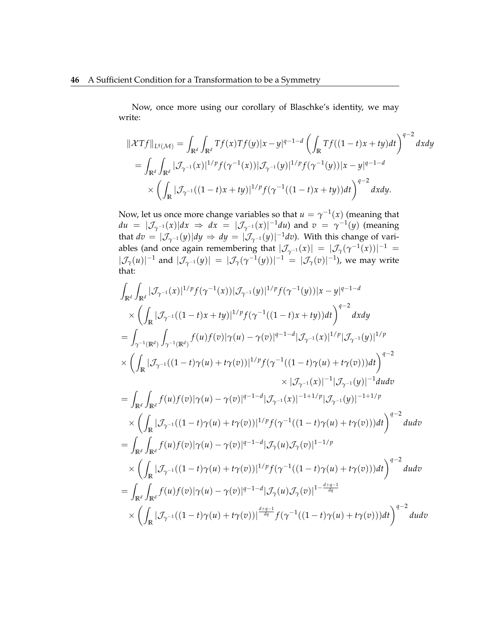Now, once more using our corollary of Blaschke's identity, we may write:

$$
\begin{split} \|\mathcal{X}Tf\|_{L^{q}(\mathcal{M})} &= \int_{\mathbb{R}^{d}} \int_{\mathbb{R}^{d}} Tf(x) Tf(y) |x - y|^{q-1-d} \left( \int_{\mathbb{R}} Tf((1-t)x + ty) dt \right)^{q-2} dx dy \\ &= \int_{\mathbb{R}^{d}} \int_{\mathbb{R}^{d}} |\mathcal{J}_{\gamma^{-1}}(x)|^{1/p} f(\gamma^{-1}(x)) |\mathcal{J}_{\gamma^{-1}}(y)|^{1/p} f(\gamma^{-1}(y)) |x - y|^{q-1-d} \\ &\times \left( \int_{\mathbb{R}} |\mathcal{J}_{\gamma^{-1}}((1-t)x + ty)|^{1/p} f(\gamma^{-1}((1-t)x + ty)) dt \right)^{q-2} dx dy. \end{split}
$$

Now, let us once more change variables so that  $u = \gamma^{-1}(x)$  (meaning that  $du = |\mathcal{J}_{\gamma^{-1}}(x)|dx \Rightarrow dx = |\mathcal{J}_{\gamma^{-1}}(x)|^{-1}du$  and  $v = \gamma^{-1}(y)$  (meaning that  $dv = |\mathcal{J}_{\gamma^{-1}}(y)| dy \Rightarrow dy = |\mathcal{J}_{\gamma^{-1}}(y)|^{-1} dv$ ). With this change of variables (and once again remembering that  $|\mathcal{J}_{\gamma^{-1}}(x)| = |\mathcal{J}_{\gamma}(\gamma^{-1}(x))|^{-1} =$  $|\mathcal{J}_{\gamma}(u)|^{-1}$  and  $|\mathcal{J}_{\gamma^{-1}}(y)| = |\mathcal{J}_{\gamma}(\gamma^{-1}(y))|^{-1} = |\mathcal{J}_{\gamma}(v)|^{-1}$ ), we may write that:

$$
\int_{\mathbb{R}^{d}} \int_{\mathbb{R}^{d}} |\mathcal{J}_{\gamma^{-1}}(x)|^{1/p} f(\gamma^{-1}(x)) |\mathcal{J}_{\gamma^{-1}}(y)|^{1/p} f(\gamma^{-1}(y)) |x-y|^{q-1-d}
$$
\n
$$
\times \left( \int_{\mathbb{R}} |\mathcal{J}_{\gamma^{-1}}((1-t)x+ty)|^{1/p} f(\gamma^{-1}((1-t)x+ty)) dt \right)^{q-2} dx dy
$$
\n
$$
= \int_{\gamma^{-1}(\mathbb{R}^{d})} \int_{\gamma^{-1}(\mathbb{R}^{d})} f(u) f(v) |\gamma(u) - \gamma(v)|^{q-1-d} |\mathcal{J}_{\gamma^{-1}}(x)|^{1/p} |\mathcal{J}_{\gamma^{-1}}(y)|^{1/p}
$$
\n
$$
\times \left( \int_{\mathbb{R}} |\mathcal{J}_{\gamma^{-1}}((1-t)\gamma(u)+t\gamma(v))|^{1/p} f(\gamma^{-1}((1-t)\gamma(u)+t\gamma(v))) dt \right)^{q-2}
$$
\n
$$
\times |\mathcal{J}_{\gamma^{-1}}(x)|^{-1} |\mathcal{J}_{\gamma^{-1}}(y)|^{-1} du dv
$$
\n
$$
= \int_{\mathbb{R}^{d}} \int_{\mathbb{R}^{d}} f(u) f(v) |\gamma(u) - \gamma(v)|^{q-1-d} |\mathcal{J}_{\gamma^{-1}}(x)|^{-1+1/p} |\mathcal{J}_{\gamma^{-1}}(y)|^{-1+1/p}
$$
\n
$$
\times \left( \int_{\mathbb{R}} |\mathcal{J}_{\gamma^{-1}}((1-t)\gamma(u)+t\gamma(v))|^{1/p} f(\gamma^{-1}((1-t)\gamma(u)+t\gamma(v))) dt \right)^{q-2} du dv
$$
\n
$$
= \int_{\mathbb{R}^{d}} \int_{\mathbb{R}^{d}} f(u) f(v) |\gamma(u) - \gamma(v)|^{q-1-d} |\mathcal{J}_{\gamma}(u) \mathcal{J}_{\gamma}(v)|^{1-1/p}
$$
\n
$$
\times \left( \int_{\mathbb{R}} |\mathcal{J}_{\gamma^{-1}}((1-t)\gamma(u)+t\gamma(v))|^{1/p} f(\gamma^{-1}((1-t)\gamma(u)+t\gamma(v))) dt \right)^{q-2} du dv
$$
\n
$$
= \int_{\mathbb{R}^{d}} \int_{\mathbb{R}^{d}} f(u) f(v)
$$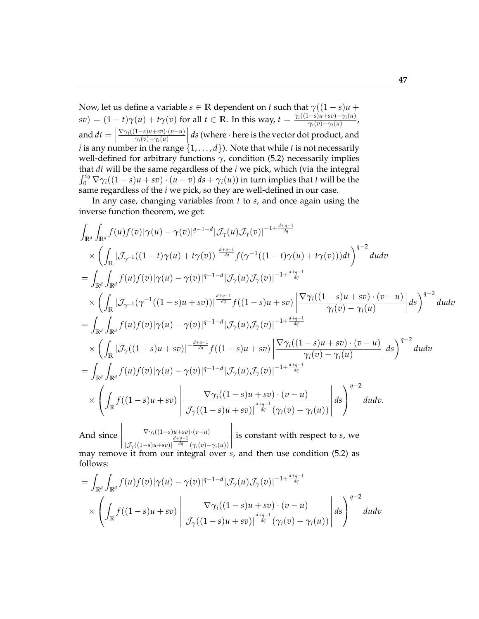Now, let us define a variable  $s \in \mathbb{R}$  dependent on *t* such that  $\gamma((1-s)u +$  $s(v) = (1-t)\gamma(u) + t\gamma(v)$  for all  $t \in \mathbb{R}$ . In this way,  $t = \frac{\gamma_i((1-s)u + sv) - \gamma_i(u)}{\gamma_i(v) - \gamma_i(u)}$  $\frac{-s}{\gamma_i(v)-\gamma_i(u)}$ , and  $dt =$ ∇*γi*((1−*s*)*u*+*sv*)·(*v*−*u*) *γi*(*v*)−*γi*(*u*) *ds* (where · here is the vector dot product, and *i* is any number in the range  $\{1, \ldots, d\}$ . Note that while *t* is not necessarily well-defined for arbitrary functions  $\gamma$ , condition (5.2) necessarily implies that *dt* will be the same regardless of the *i* we pick, which (via the integral  $\int_0^{s_0} \nabla \gamma_i((1-s)u + sv) \cdot (u-v) ds + \gamma_i(u)$  in turn implies that *t* will be the same regardless of the *i* we pick, so they are well-defined in our case.

In any case, changing variables from *t* to *s*, and once again using the inverse function theorem, we get:

$$
\int_{\mathbb{R}^{d}} \int_{\mathbb{R}^{d}} f(u) f(v) |\gamma(u) - \gamma(v)|^{q-1-d} |\mathcal{J}_{\gamma}(u) \mathcal{J}_{\gamma}(v)|^{-1+\frac{d+q-1}{dq}} \n\times \left( \int_{\mathbb{R}} |\mathcal{J}_{\gamma^{-1}}((1-t)\gamma(u) + t\gamma(v))|^{\frac{d+q-1}{dq}} f(\gamma^{-1}((1-t)\gamma(u) + t\gamma(v))) dt \right)^{q-2} du dv \n= \int_{\mathbb{R}^{d}} \int_{\mathbb{R}^{d}} f(u) f(v) |\gamma(u) - \gamma(v)|^{q-1-d} |\mathcal{J}_{\gamma}(u) \mathcal{J}_{\gamma}(v)|^{-1+\frac{d+q-1}{dq}} \n\times \left( \int_{\mathbb{R}} |\mathcal{J}_{\gamma^{-1}}(\gamma^{-1}((1-s)u + sv))|^{\frac{d+q-1}{dq}} f((1-s)u + sv) \left| \frac{\nabla \gamma_{i}((1-s)u + sv) \cdot (v-u)}{\gamma_{i}(v) - \gamma_{i}(u)} \right| ds \right)^{q-2} du dv \n= \int_{\mathbb{R}^{d}} \int_{\mathbb{R}^{d}} f(u) f(v) |\gamma(u) - \gamma(v)|^{q-1-d} |\mathcal{J}_{\gamma}(u) \mathcal{J}_{\gamma}(v)|^{-1+\frac{d+q-1}{dq}} \n\times \left( \int_{\mathbb{R}} |\mathcal{J}_{\gamma}((1-s)u + sv) - \frac{d+q-1}{dq} f((1-s)u + sv) \left| \frac{\nabla \gamma_{i}((1-s)u + sv) \cdot (v-u)}{\gamma_{i}(v) - \gamma_{i}(u)} \right| ds \right)^{q-2} du dv \n= \int_{\mathbb{R}^{d}} \int_{\mathbb{R}^{d}} f(u) f(v) |\gamma(u) - \gamma(v)|^{q-1-d} |\mathcal{J}_{\gamma}(u) \mathcal{J}_{\gamma}(v)|^{-1+\frac{d+q-1}{dq}} \n\times \left( \int_{\mathbb{R}} f((1-s)u + sv) \left| \frac{\nabla \gamma_{i}((1-s)u + sv) \cdot (v-u)}{|\mathcal{J}_{\gamma}((1-s)u + sv) \cdot (v - u)} \right| ds \right)^{q-2} du dv \n= \int_{\mathbb{R}
$$

And since  $\begin{array}{c} \hline \end{array}$ ∇*γi*((1−*s*)*u*+*sv*)·(*v*−*u*)  $|\mathcal{J}_{\gamma}((1-s)u+sv)|^{\frac{d+q-1}{dq}}(\gamma_i(v)-\gamma_i(u))$  $\begin{array}{c} \begin{array}{c} \begin{array}{c} \begin{array}{c} \end{array} \\ \end{array} \\ \begin{array}{c} \end{array} \end{array} \end{array}$ is constant with respect to *s*, we

may remove it from our integral over *s*, and then use condition (5.2) as follows:

$$
= \int_{\mathbb{R}^d} \int_{\mathbb{R}^d} f(u)f(v)|\gamma(u) - \gamma(v)|^{q-1-d} |\mathcal{J}_\gamma(u)\mathcal{J}_\gamma(v)|^{-1+\frac{d+q-1}{dq}} \times \left( \int_{\mathbb{R}} f((1-s)u + sv) \left| \frac{\nabla \gamma_i((1-s)u + sv) \cdot (v-u)}{|\mathcal{J}_\gamma((1-s)u + sv)|^{\frac{d+q-1}{dq}} (\gamma_i(v) - \gamma_i(u))} \right| ds \right)^{q-2} dudv
$$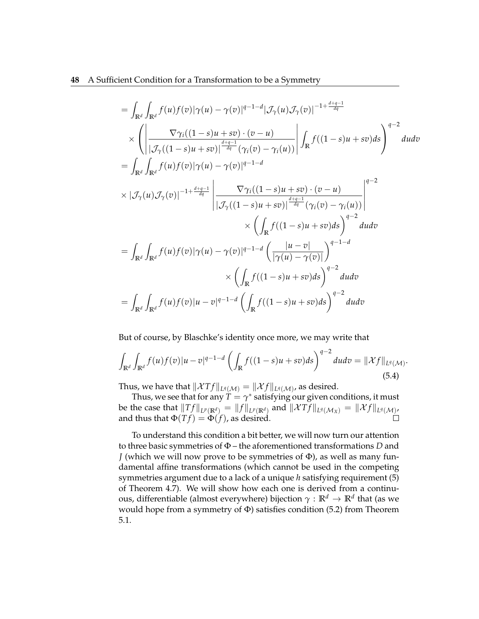#### **48** A Sufficient Condition for a Transformation to be a Symmetry

$$
= \int_{\mathbb{R}^d} \int_{\mathbb{R}^d} f(u) f(v) |\gamma(u) - \gamma(v)|^{q-1-d} |\mathcal{J}_{\gamma}(u) \mathcal{J}_{\gamma}(v)|^{-1+\frac{d+q-1}{dq}} \times \left( \left| \frac{\nabla \gamma_i((1-s)u + sv) \cdot (v - u)}{|\mathcal{J}_{\gamma}((1-s)u + sv)|^{\frac{d+q-1}{dq}} (\gamma_i(v) - \gamma_i(u))} \right| \int_{\mathbb{R}} f((1-s)u + sv) ds \right)^{q-2} du dv \n= \int_{\mathbb{R}^d} \int_{\mathbb{R}^d} f(u) f(v) |\gamma(u) - \gamma(v)|^{q-1-d} \times |\mathcal{J}_{\gamma}(u) \mathcal{J}_{\gamma}(v)|^{-1+\frac{d+q-1}{dq}} \left| \frac{\nabla \gamma_i((1-s)u + sv) \cdot (v - u)}{|\mathcal{J}_{\gamma}((1-s)u + sv)|^{\frac{d+q-1}{dq}} (\gamma_i(v) - \gamma_i(u))} \right|^{q-2} \times \left( \int_{\mathbb{R}} f((1-s)u + sv) ds \right)^{q-2} du dv \n= \int_{\mathbb{R}^d} \int_{\mathbb{R}^d} f(u) f(v) |\gamma(u) - \gamma(v)|^{q-1-d} \left( \frac{|u - v|}{|\gamma(u) - \gamma(v)|} \right)^{q-1-d} \times \left( \int_{\mathbb{R}} f((1-s)u + sv) ds \right)^{q-2} du dv \n= \int_{\mathbb{R}^d} \int_{\mathbb{R}^d} f(u) f(v) |u - v|^{q-1-d} \left( \int_{\mathbb{R}} f((1-s)u + sv) ds \right)^{q-2} du dv
$$

But of course, by Blaschke's identity once more, we may write that

$$
\int_{\mathbb{R}^d} \int_{\mathbb{R}^d} f(u)f(v)|u-v|^{q-1-d} \left(\int_{\mathbb{R}} f((1-s)u+sv)ds\right)^{q-2} dudv = \|\mathcal{X}f\|_{L^q(\mathcal{M})}.
$$
\n(5.4)

Thus, we have that  $\|\mathcal{X}Tf\|_{L^q(\mathcal{M})} = \|\mathcal{X}f\|_{L^q(\mathcal{M})}$ , as desired.

Thus, we see that for any  $\dot{T}=\gamma^*$  satisfying our given conditions, it must be the case that  $||Tf||_{L^p(\mathbb{R}^d)} = ||f||_{L^p(\mathbb{R}^d)}$  and  $||\mathcal{X}Tf||_{L^q(\mathcal{M}_X)} = ||\mathcal{X}f||_{L^q(\mathcal{M})}$ , and thus that  $\Phi(Tf) = \Phi(f)$ , as desired.  $\Box$ 

To understand this condition a bit better, we will now turn our attention to three basic symmetries of Φ – the aforementioned transformations *D* and *J* (which we will now prove to be symmetries of Φ), as well as many fundamental affine transformations (which cannot be used in the competing symmetries argument due to a lack of a unique *h* satisfying requirement (5) of Theorem 4.7). We will show how each one is derived from a continuous, differentiable (almost everywhere) bijection *γ* : **R***<sup>d</sup>* → **R***<sup>d</sup>* that (as we would hope from a symmetry of  $\Phi$ ) satisfies condition (5.2) from Theorem 5.1.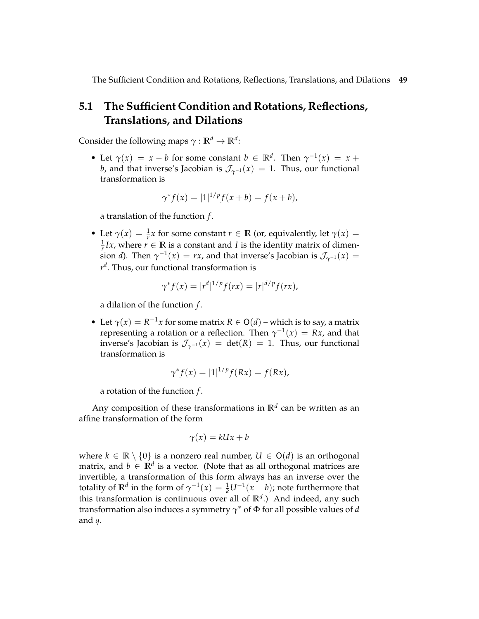## **5.1 The Sufficient Condition and Rotations, Reflections, Translations, and Dilations**

Consider the following maps  $\gamma : \mathbb{R}^d \to \mathbb{R}^d$ :

• Let  $\gamma(x) = x - b$  for some constant  $b \in \mathbb{R}^d$ . Then  $\gamma^{-1}(x) = x +$ *b*, and that inverse's Jacobian is  $\mathcal{J}_{\gamma^{-1}}(x) = 1$ . Thus, our functional transformation is

$$
\gamma^* f(x) = |1|^{1/p} f(x+b) = f(x+b),
$$

a translation of the function *f* .

• Let  $\gamma(x) = \frac{1}{r}x$  for some constant  $r \in \mathbb{R}$  (or, equivalently, let  $\gamma(x) =$  $\frac{1}{r}Ix$ , where  $r \in \mathbb{R}$  is a constant and *I* is the identity matrix of dimension *d*). Then  $\gamma^{-1}(x) = rx$ , and that inverse's Jacobian is  $\mathcal{J}_{\gamma^{-1}}(x) =$ *r d* . Thus, our functional transformation is

$$
\gamma^* f(x) = |r^d|^{1/p} f(rx) = |r|^{d/p} f(rx),
$$

a dilation of the function *f* .

• Let  $\gamma(x) = R^{-1}x$  for some matrix  $R \in O(d)$  – which is to say, a matrix representing a rotation or a reflection. Then  $\gamma^{-1}(x) = Rx$ , and that inverse's Jacobian is  $\mathcal{J}_{\gamma^{-1}}(x) = \det(R) = 1$ . Thus, our functional transformation is

$$
\gamma^* f(x) = |1|^{1/p} f(Rx) = f(Rx),
$$

a rotation of the function *f* .

Any composition of these transformations in **R***<sup>d</sup>* can be written as an affine transformation of the form

$$
\gamma(x) = kUx + b
$$

where  $k \in \mathbb{R} \setminus \{0\}$  is a nonzero real number,  $U \in O(d)$  is an orthogonal matrix, and  $b \in \mathbb{R}^d$  is a vector. (Note that as all orthogonal matrices are invertible, a transformation of this form always has an inverse over the totality of  $\mathbb{R}^d$  in the form of  $\gamma^{-1}(x) = \frac{1}{k}U^{-1}(x-b)$ ; note furthermore that this transformation is continuous over all of **R***<sup>d</sup>* .) And indeed, any such transformation also induces a symmetry *γ* <sup>∗</sup> of Φ for all possible values of *d* and *q*.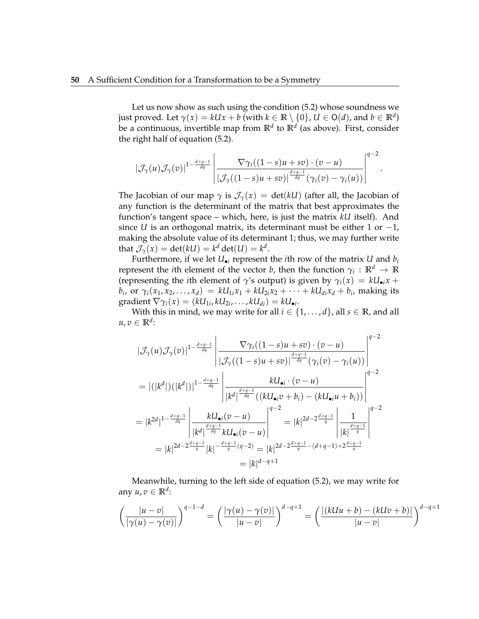Let us now show as such using the condition (5.2) whose soundness we just proved. Let  $\gamma(x) = kUx + b$  (with  $k \in \mathbb{R} \setminus \{0\}$ ,  $U \in \mathsf{O}(d)$ , and  $b \in \mathbb{R}^d$ ) be a continuous, invertible map from **R***<sup>d</sup>* to **R***<sup>d</sup>* (as above). First, consider the right half of equation (5.2).

$$
|\mathcal{J}_{\gamma}(u)\mathcal{J}_{\gamma}(v)|^{1-\frac{d+q-1}{dq}}\left|\frac{\nabla \gamma_i((1-s)u+sv)\cdot (v-u)}{|\mathcal{J}_{\gamma}((1-s)u+sv)|^{\frac{d+q-1}{dq}}(\gamma_i(v)-\gamma_i(u))}\right|^{q-2}
$$

.

The Jacobian of our map  $\gamma$  is  $\mathcal{J}_{\gamma}(x) = \det(kU)$  (after all, the Jacobian of any function is the determinant of the matrix that best approximates the function's tangent space – which, here, is just the matrix *kU* itself). And since *U* is an orthogonal matrix, its determinant must be either 1 or  $-1$ , making the absolute value of its determinant 1; thus, we may further write that  $\mathcal{J}_{\gamma}(x) = \det(kU) = k^d \det(U) = k^d$ .

Furthermore, if we let  $U_{\bullet i}$  represent the *i*th row of the matrix *U* and  $b_i$ represent the *i*th element of the vector *b,* then the function  $\gamma_i: \mathbb{R}^d \to \mathbb{R}$ (representing the *i*th element of *γ*'s output) is given by  $\gamma_i(x) = kU_{\bullet i}x +$  $b_i$ , or  $\gamma_i(x_1, x_2, \ldots, x_d) = kU_{1i}x_1 + kU_{2i}x_2 + \cdots + kU_{di}x_d + b_i$ , making its  $\text{gradient}\ \nabla \gamma_i(x) = (kU_{1i}, kU_{2i}, \dots, kU_{di}) = kU_{\bullet i}.$ 

With this in mind, we may write for all  $i \in \{1, \ldots, d\}$ , all  $s \in \mathbb{R}$ , and all  $u, v \in \mathbb{R}^d$ :

$$
|\mathcal{J}_{\gamma}(u)\mathcal{J}_{\gamma}(v)|^{1-\frac{d+q-1}{dq}}\left|\frac{\nabla\gamma_{i}((1-s)u+sv)\cdot(v-u)}{|\mathcal{J}_{\gamma}((1-s)u+sv)|^{\frac{d+q-1}{dq}}(\gamma_{i}(v)-\gamma_{i}(u))}\right|^{q-2}
$$
\n
$$
= |(|k^{d}|)(|k^{d}|)|^{1-\frac{d+q-1}{dq}}\left|\frac{kU_{\bullet i}\cdot(v-u)}{|k^{d}|^{\frac{d+q-1}{dq}}((kU_{\bullet i}v+b_{i})-(kU_{\bullet i}u+b_{i}))}\right|^{q-2}
$$
\n
$$
= |k^{2d}|^{1-\frac{d+q-1}{dq}}\left|\frac{kU_{\bullet i}(v-u)}{|k^{d}|^{\frac{d+q-1}{dq}}kU_{\bullet i}(v-u)}\right|^{q-2} = |k|^{2d-2\frac{d+q-1}{q}}\left|\frac{1}{|k|^{\frac{d+q-1}{q}}}\right|^{q-2}
$$
\n
$$
= |k|^{2d-2\frac{d+q-1}{q}}|k|^{-\frac{d+q-1}{q}(q-2)} = |k|^{2d-2\frac{d+q-1}{q}-(d+q-1)+2\frac{d+q-1}{q}}
$$
\n
$$
= |k|^{d-q+1}
$$

Meanwhile, turning to the left side of equation (5.2), we may write for any *u*, *v* ∈ **R***<sup>d</sup>* :

$$
\left(\frac{|u-v|}{|\gamma(u)-\gamma(v)|}\right)^{q-1-d} = \left(\frac{|\gamma(u)-\gamma(v)|}{|u-v|}\right)^{d-q+1} = \left(\frac{|(kUu+b)-(kUv+b)|}{|u-v|}\right)^{d-q+1}
$$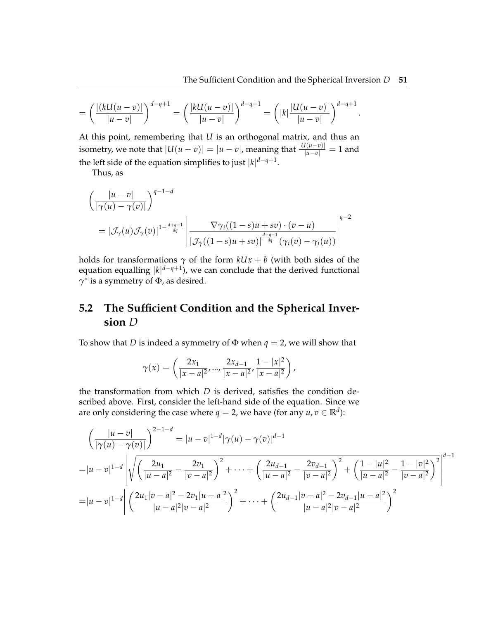.

$$
= \left(\frac{|(kU(u-v)|}{|u-v|}\right)^{d-q+1} = \left(\frac{|kU(u-v)|}{|u-v|}\right)^{d-q+1} = \left(|k|\frac{|U(u-v)|}{|u-v|}\right)^{d-q+1}
$$

At this point, remembering that *U* is an orthogonal matrix, and thus an isometry, we note that  $|U(u-v)| = |u-v|$ , meaning that  $\frac{|U(u-v)|}{|u-v|} = 1$  and the left side of the equation simplifies to just |*k*| *d*−*q*+1 .

Thus, as

$$
\left(\frac{|u-v|}{|\gamma(u)-\gamma(v)|}\right)^{q-1-d}
$$
\n
$$
= |\mathcal{J}_{\gamma}(u)\mathcal{J}_{\gamma}(v)|^{1-\frac{d+q-1}{dq}} \left|\frac{\nabla \gamma_i((1-s)u+sv)\cdot(v-u)}{|\mathcal{J}_{\gamma}((1-s)u+sv)|^{\frac{d+q-1}{dq}}(\gamma_i(v)-\gamma_i(u))}\right|^{q-2}
$$

holds for transformations  $\gamma$  of the form  $kUx + b$  (with both sides of the equation equalling |*k*| *d*−*q*+1 ), we can conclude that the derived functional *γ* ∗ is a symmetry of Φ, as desired.

# **5.2 The Sufficient Condition and the Spherical Inversion** *D*

To show that *D* is indeed a symmetry of Φ when *q* = 2, we will show that

$$
\gamma(x) = \left(\frac{2x_1}{|x-a|^2}, \dots, \frac{2x_{d-1}}{|x-a|^2}, \frac{1-|x|^2}{|x-a|^2}\right),
$$

the transformation from which *D* is derived, satisfies the condition described above. First, consider the left-hand side of the equation. Since we are only considering the case where  $q = 2$ , we have (for any  $u, v \in \mathbb{R}^d$ ):

$$
\left(\frac{|u-v|}{|\gamma(u)-\gamma(v)|}\right)^{2-1-d} = |u-v|^{1-d} |\gamma(u)-\gamma(v)|^{d-1}
$$
  
=  $|u-v|^{1-d} \left|\sqrt{\left(\frac{2u_1}{|u-a|^2} - \frac{2v_1}{|v-a|^2}\right)^2 + \dots + \left(\frac{2u_{d-1}}{|u-a|^2} - \frac{2v_{d-1}}{|v-a|^2}\right)^2 + \left(\frac{1-|u|^2}{|u-a|^2} - \frac{1-|v|^2}{|v-a|^2}\right)^2\right|^{d-1}$   
=  $|u-v|^{1-d} \left|\left(\frac{2u_1|v-a|^2 - 2v_1|u-a|^2}{|u-a|^2|v-a|^2}\right)^2 + \dots + \left(\frac{2u_{d-1}|v-a|^2 - 2v_{d-1}|u-a|^2}{|u-a|^2|v-a|^2}\right)^2$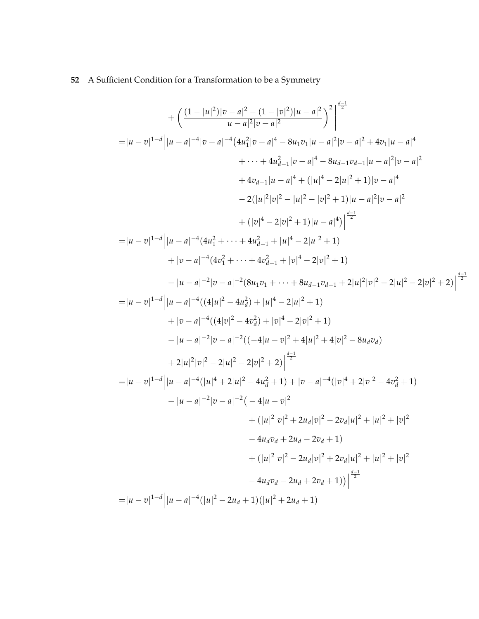$$
+\left(\frac{(1-|u|^2)|v-a|^2-(1-|v|^2)|u-a|^2}{|u-a|^2|v-a|^2}\right)^2\Big|^\frac{d-1}{2}
$$
\n
$$
=|u-v|^{1-d}|u-a|^{-4}|v-a|^{-4}(4u_1^2|v-a|^4-8u_1v_1|u-a|^2|v-a|^2+4v_1|u-a|^4
$$
\n
$$
+\cdots+4u_{d-1}^2|v-a|^4-8u_{d-1}v_{d-1}u-a|^2|v-a|^4
$$
\n
$$
+4v_{d-1}|u-a|^4+(|u|^4-2|u|^2+1)|v-a|^4
$$
\n
$$
-2(|u|^2|v|^2-|v|^2+1)|u-a|^2|v-a|^2
$$
\n
$$
+(|v|^4-2|v|^2+1)|u-a|^4)|^\frac{d-1}{2}
$$
\n
$$
=|u-v|^{1-d}|u-a|^{-4}(4u_1^2+\cdots+4u_{d-1}^2+|u|^4-2|u|^2+1)
$$
\n
$$
+|v-a|^{-4}(4v_1^2+\cdots+4v_{d-1}^2+|v|^4-2|v|^2+1)
$$
\n
$$
-|u-a|^{-2}|v-a|^{-2}(8u_1v_1+\cdots+8u_{d-1}v_{d-1}+2|u|^2|v|^2-2|u|^2-2|v|^2+2)|^\frac{d-2}{2}
$$
\n
$$
=|u-v|^{1-d}|u-a|^{-4}((4|v|^2-4u_d^2)+|u|^4-2|v|^2+1)
$$
\n
$$
+|v-a|^{-4}((4|v|^2-4v_d^2)+|v|^4-2|v|^2+1)
$$
\n
$$
-|u-a|^{-2}|v-a|^{-2}((-4|u-v|^2+4|u|^2+4|v|^2-8u_dv_d)
$$
\n
$$
+2|u|^2|v|^2-2|u|^2-2|v|^2+2)|^\frac{d-1}{2}
$$
\n
$$
=|u-v|^{1-d}|u-a|^{-(4(|u|^4+2|u|^2-4u_d^2+1)+|v-a|^{-(4(|v|^4+2|v|^2-4u_d^2+1)-|u-a|^{-(2(|v|^4+2|v|^2-4u_d^2+1)-|
$$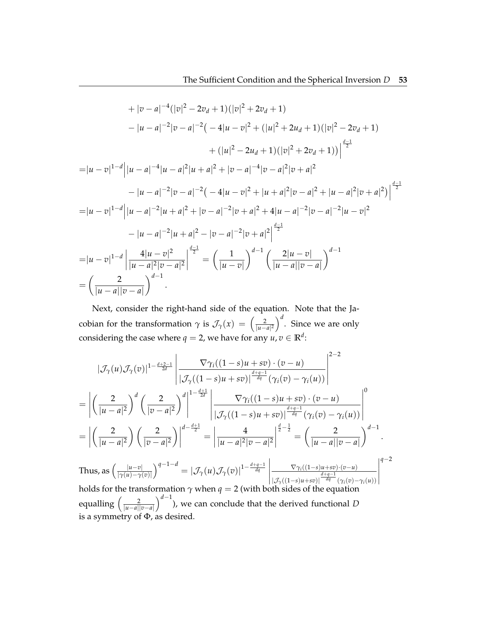$$
+ |v - a|^{-4} (|v|^2 - 2v_d + 1)(|v|^2 + 2v_d + 1)
$$
  
\n
$$
- |u - a|^{-2} |v - a|^{-2} ( - 4|u - v|^2 + (|u|^2 + 2u_d + 1)(|v|^2 - 2v_d + 1)
$$
  
\n
$$
+ (|u|^2 - 2u_d + 1)(|v|^2 + 2v_d + 1))\Big|^{\frac{d-1}{2}}
$$
  
\n
$$
= |u - v|^{1-d} |u - a|^{-4} |u - a|^2 |u + a|^2 + |v - a|^{-4} |v - a|^2 |v + a|^2
$$
  
\n
$$
- |u - a|^{-2} |v - a|^{-2} ( - 4|u - v|^2 + |u + a|^2 |v - a|^2 + |u - a|^2 |v + a|^2 )\Big|^{\frac{d-1}{2}}
$$
  
\n
$$
= |u - v|^{1-d} |u - a|^{-2} |u + a|^2 + |v - a|^{-2} |v + a|^2 + 4|u - a|^{-2} |v - a|^{-2} |u - v|^2
$$
  
\n
$$
- |u - a|^{-2} |u + a|^2 - |v - a|^{-2} |v + a|^2 \Big|^{\frac{d-1}{2}}
$$
  
\n
$$
= |u - v|^{1-d} |u - a|^2 |v - a|^2
$$
  
\n
$$
= |u - v|^{1-d} |u - a|^2 |v - a|^2
$$
  
\n
$$
= \left( \frac{2}{|u - a||v - a|} \right)^{d-1}
$$
  
\n
$$
= \left( \frac{2}{|u - a||v - a|} \right)^{d-1}
$$

Next, consider the right-hand side of the equation. Note that the Jacobian for the transformation  $\gamma$  is  $\mathcal{J}_{\gamma}(x) = \left(\frac{2}{|u-a|^2}\right)^d$ . Since we are only considering the case where  $q=2$ , we have for any  $u,v\in\mathbb{R}^d$ :

$$
|\mathcal{J}_{\gamma}(u)\mathcal{J}_{\gamma}(v)|^{1-\frac{d+2-1}{2d}}\left|\frac{\nabla \gamma_{i}((1-s)u+sv)\cdot(v-u)}{|\mathcal{J}_{\gamma}((1-s)u+sv)|^{\frac{d+q-1}{dq}}(\gamma_{i}(v)-\gamma_{i}(u))}\right|^{2-2}
$$
\n
$$
=\left|\left(\frac{2}{|u-a|^{2}}\right)^{d}\left(\frac{2}{|v-a|^{2}}\right)^{d}\right|^{1-\frac{d+1}{2d}}\left|\frac{\nabla \gamma_{i}((1-s)u+sv)\cdot(v-u)}{|\mathcal{J}_{\gamma}((1-s)u+sv)\cdot(v-u)}\right|^{d+q-1}(\gamma_{i}(v)-\gamma_{i}(u))\right|^{0}
$$
\n
$$
=\left|\left(\frac{2}{|u-a|^{2}}\right)\left(\frac{2}{|v-a|^{2}}\right)\right|^{d-\frac{d+1}{2}}=\left|\frac{4}{|u-a|^{2}|v-a|^{2}}\right|^{\frac{d}{2}-\frac{1}{2}}=\left(\frac{2}{|u-a||v-a|}\right)^{d-1}.
$$
\nThus, as  $\left(\frac{|u-v|}{|\gamma(u)-\gamma(v)|}\right)^{q-1-d}=\left|\mathcal{J}_{\gamma}(u)\mathcal{J}_{\gamma}(v)|^{1-\frac{d+q-1}{dq}}\right|\frac{\nabla \gamma_{i}((1-s)u+sv)\cdot(v-u)}{\left|\mathcal{J}_{\gamma}((1-s)u+sv)\cdot(v-u)\right|^{d+q-1}(\gamma_{i}(v)-\gamma_{i}(u))}\right|^{q-2}$ \nholds for the transformation  $\gamma$  when  $q=2$  (with both sides of the equation\nequalling  $\left(\frac{2}{|u-a||v-a|}\right)^{d-1}$ ), we can conclude that the derived functional  $D$ \nis a symmetry of  $\Phi$ , as desired.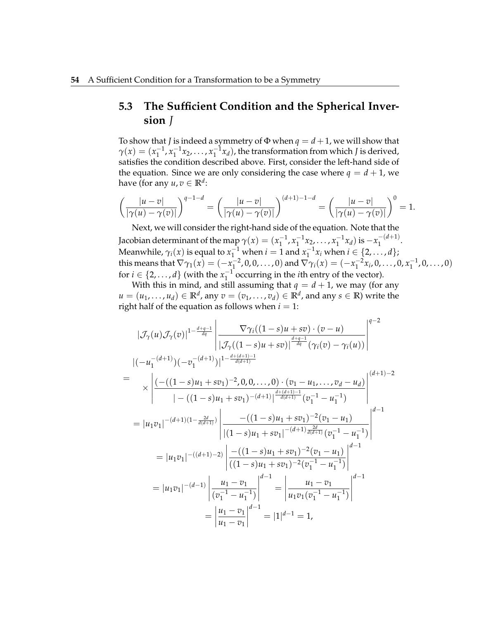# **5.3 The Sufficient Condition and the Spherical Inversion** *J*

To show that *J* is indeed a symmetry of  $\Phi$  when  $q = d + 1$ , we will show that  $\gamma(x) = (x_1^{-1}, x_1^{-1}x_2, \dots, x_1^{-1}x_d)$ , the transformation from which *J* is derived, satisfies the condition described above. First, consider the left-hand side of the equation. Since we are only considering the case where  $q = d + 1$ , we have (for any  $u, v \in \mathbb{R}^d$ :

$$
\left(\frac{|u-v|}{|\gamma(u)-\gamma(v)|}\right)^{q-1-d}=\left(\frac{|u-v|}{|\gamma(u)-\gamma(v)|}\right)^{(d+1)-1-d}=\left(\frac{|u-v|}{|\gamma(u)-\gamma(v)|}\right)^0=1.
$$

Next, we will consider the right-hand side of the equation. Note that the Jacobian determinant of the map  $\gamma(x) = (x_1^{-1}, x_1^{-1}x_2, \ldots, x_1^{-1}x_d)$  is  $-x_1^{-(d+1)}$  $\frac{1}{1}$   $\cdots$ Meanwhile,  $\gamma_i(x)$  is equal to  $x_1^{-1}$  when  $i = 1$  and  $x_1^{-1}x_i$  when  $i \in \{2, ..., d\}$ ; this means that  $\nabla \gamma_1(x) = (-x_1^{-2}, 0, 0, \dots, 0)$  and  $\nabla \gamma_i(x) = (-x_1^{-2}x_i, 0, \dots, 0, x_1^{-1}, 0, \dots, 0)$ for  $i \in \{2, ..., d\}$  (with the  $x_1^{-1}$  occurring in the *i*th entry of the vector).

With this in mind, and still assuming that  $q = d + 1$ , we may (for any  $u = (u_1, \ldots, u_d) \in \mathbb{R}^d$ , any  $v = (v_1, \ldots, v_d) \in \mathbb{R}^d$ , and any  $s \in \mathbb{R}$ ) write the right half of the equation as follows when  $i = 1$ :

$$
|\mathcal{J}_{\gamma}(u)\mathcal{J}_{\gamma}(v)|^{1-\frac{d+q-1}{dq}}\left|\frac{\nabla \gamma_{i}((1-s)u+s v)\cdot(v-u)}{|\mathcal{J}_{\gamma}((1-s)u+s v)|^{\frac{d+q-1}{dq}}(\gamma_{i}(v)-\gamma_{i}(u))}\right|^{q-2}
$$
\n
$$
|(-u_{1}^{-(d+1)})(-v_{1}^{-(d+1)})|^{1-\frac{d+(d+1)-1}{d(d+1)}}
$$
\n
$$
\times \left|\frac{(-(1-s)u_{1}+sv_{1})^{-2},0,0,\ldots,0)\cdot(v_{1}-u_{1},\ldots,v_{d}-u_{d})}{|-(1-s)u_{1}+sv_{1})^{-(d+1)}|^{\frac{d+(d+1)-1}{d(d+1)}}(v_{1}^{-1}-u_{1}^{-1})}\right|^{(d+1)-2}
$$
\n
$$
= |u_{1}v_{1}|^{-(d+1)(1-\frac{2d}{d(d+1)})}\left|\frac{-((1-s)u_{1}+sv_{1})^{-2}(v_{1}-u_{1})}{|(1-s)u_{1}+sv_{1})^{-(d+1)}\frac{d^{2d+1}}{d(d+1)}}(v_{1}^{-1}-u_{1}^{-1})}\right|^{d-1}
$$
\n
$$
= |u_{1}v_{1}|^{-(d+1)-2}\left|\frac{-((1-s)u_{1}+sv_{1})^{-2}(v_{1}-u_{1})}{((1-s)u_{1}+sv_{1})^{-2}(v_{1}^{-1}-u_{1}^{-1})}\right|^{d-1}
$$
\n
$$
= |u_{1}v_{1}|^{-(d-1)}\left|\frac{u_{1}-v_{1}}{(v_{1}^{-1}-u_{1}^{-1})}\right|^{d-1} = \left|\frac{u_{1}-v_{1}}{u_{1}v_{1}(v_{1}^{-1}-u_{1}^{-1})}\right|^{d-1}
$$
\n
$$
= \left|\frac{u_{1}-v_{1}}{u_{1}-v_{1}}\right|^{d-1} = |1|^{d-1} = 1,
$$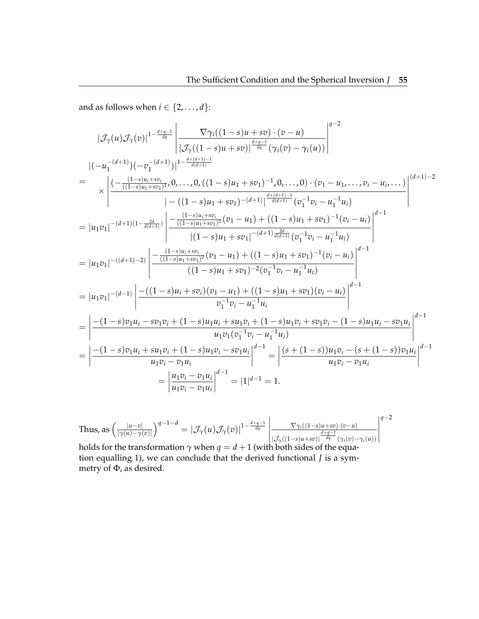and as follows when  $i \in \{2, \ldots, d\}$ :

$$
|\mathcal{J}_{\gamma}(u)\mathcal{J}_{\gamma}(v)|^{1-\frac{d+q-1}{dq}}\left|\frac{\nabla \gamma_{i}((1-s)u+sv)\cdot(v-u)}{|\mathcal{J}_{\gamma}((1-s)u+sv)|^{\frac{d+q-1}{dq}}(\gamma_{i}(v)-\gamma_{i}(u))}\right|^{q-2}
$$
\n
$$
|(-u_{1}^{-(d+1)})(-v_{1}^{-(d+1)})|^{1-\frac{d+(d+1)-1}{d(d+1)}}
$$
\n
$$
= \times \left|\frac{(-\frac{(1-s)u_{i}+sv_{i}}{((1-s)u_{1}+sv_{i})^{2}},0,\ldots,0,((1-s)u_{1}+sv_{1})^{-1},0,\ldots,0)\cdot(v_{1}-u_{1},\ldots,v_{i}-u_{i},\ldots)}{|\cdot((1-s)u_{1}+sv_{1})^{-(d+1)}|^{\frac{d+(d+1)-1}{d(d+1)}}(v_{1}^{-1}v_{i}-u_{1}^{-1}u_{i})}\right|^{(d+1)-2}
$$
\n
$$
= |u_{1}v_{1}|^{-(d+1)(1-\frac{2d}{d(d+1)})}\left|\frac{(-\frac{(1-s)u_{i}+sv_{i})}{((1-s)u_{1}+sv_{i})^{2}}(v_{1}-u_{1}) + ((1-s)u_{1}+sv_{1})^{-1}(v_{i}-u_{i})}{|(1-s)u_{1}+sv_{1})^{-(d+1)}\frac{2d}{d(d+1)}}(v_{1}^{-1}v_{i}-u_{1}^{-1}u_{i})}\right|^{d-1}
$$
\n
$$
= |u_{1}v_{1}|^{-(d+1)-2)}\left|\frac{(-\frac{(1-s)u_{i}+sv_{i})}{((1-s)u_{1}+sv_{1})^{2}}(v_{1}-u_{1}) + ((1-s)u_{1}+sv_{1})^{-1}(v_{i}-u_{i})}{((1-s)u_{1}+sv_{1})^{-(d+1)}\frac{1}{d(d+1)}}\right|^{d-1}
$$
\n
$$
= |u_{1}v_{1}|^{-(d-1)}\left|\frac{-(\frac{(1-s)u_{i}+sv_{i})}{((1-s)u_{1}+sv_{i})^{2}}(v_{1}-u_{1}) + ((1-s)u_{1}+sv_{1})^{-1}(v_{i}-u_{i})}{v_{1}^{-1}v_{i}-
$$

Thus, as 
$$
\left(\frac{|u-v|}{|\gamma(u)-\gamma(v)|}\right)^{q-1-d} = |\mathcal{J}_{\gamma}(u)\mathcal{J}_{\gamma}(v)|^{1-\frac{d+q-1}{dq}} \left|\frac{\nabla_{\gamma_i((1-s)u+sv)\cdot(v-u)}}{\frac{d+q-1}{dq}(\gamma_i(v)-\gamma_i(u))}\right|^{q-2}
$$
  
holds for the transformation  $\gamma$  when  $q = d+1$  (with both sides of the equa-

tion equalling 1), we can conclude that the derived functional *J* is a symmetry of Φ, as desired.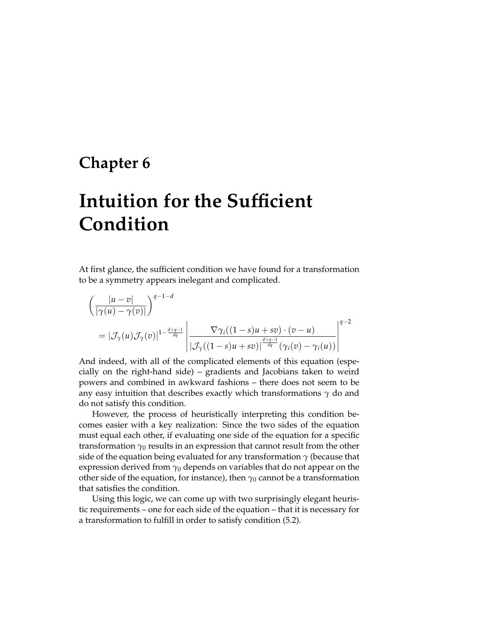# **Chapter 6**

# **Intuition for the Sufficient Condition**

At first glance, the sufficient condition we have found for a transformation to be a symmetry appears inelegant and complicated.

$$
\left(\frac{|u-v|}{|\gamma(u)-\gamma(v)|}\right)^{q-1-d}
$$
\n
$$
= |\mathcal{J}_{\gamma}(u)\mathcal{J}_{\gamma}(v)|^{1-\frac{d+q-1}{dq}} \left|\frac{\nabla \gamma_i((1-s)u+sv)\cdot(v-u)}{|\mathcal{J}_{\gamma}((1-s)u+sv)|^{\frac{d+q-1}{dq}}(\gamma_i(v)-\gamma_i(u))}\right|^{q-2}
$$

And indeed, with all of the complicated elements of this equation (especially on the right-hand side) – gradients and Jacobians taken to weird powers and combined in awkward fashions – there does not seem to be any easy intuition that describes exactly which transformations *γ* do and do not satisfy this condition.

However, the process of heuristically interpreting this condition becomes easier with a key realization: Since the two sides of the equation must equal each other, if evaluating one side of the equation for a specific transformation  $\gamma_0$  results in an expression that cannot result from the other side of the equation being evaluated for any transformation  $\gamma$  (because that expression derived from  $\gamma_0$  depends on variables that do not appear on the other side of the equation, for instance), then  $\gamma_0$  cannot be a transformation that satisfies the condition.

Using this logic, we can come up with two surprisingly elegant heuristic requirements – one for each side of the equation – that it is necessary for a transformation to fulfill in order to satisfy condition (5.2).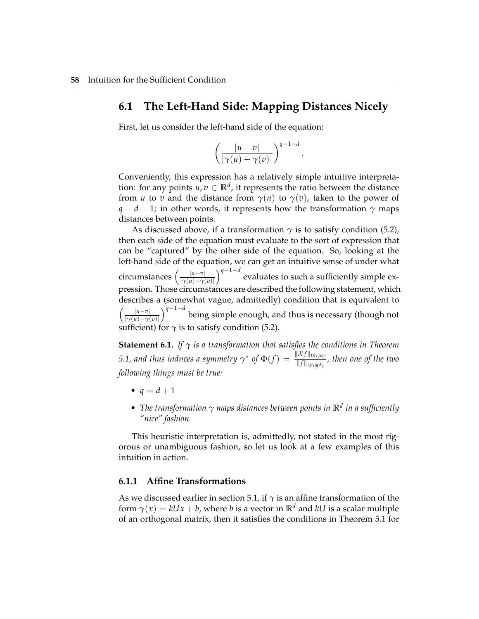### **6.1 The Left-Hand Side: Mapping Distances Nicely**

First, let us consider the left-hand side of the equation:

$$
\left(\frac{|u-v|}{|\gamma(u)-\gamma(v)|}\right)^{q-1-d}.
$$

Conveniently, this expression has a relatively simple intuitive interpretation: for any points  $u, v \in \mathbb{R}^d$ , it represents the ratio between the distance from *u* to *v* and the distance from  $\gamma(u)$  to  $\gamma(v)$ , taken to the power of *q* − *d* − 1; in other words, it represents how the transformation *γ* maps distances between points.

As discussed above, if a transformation  $\gamma$  is to satisfy condition (5.2), then each side of the equation must evaluate to the sort of expression that can be "captured" by the other side of the equation. So, looking at the left-hand side of the equation, we can get an intuitive sense of under what circumstances |*u*−*v*| |*γ*(*u*)−*γ*(*v*)| *q*−1−*<sup>d</sup>*  $\degree$  evaluates to such a sufficiently simple expression. Those circumstances are described the following statement, which describes a (somewhat vague, admittedly) condition that is equivalent to |*u*−*v*| |*γ*(*u*)−*γ*(*v*)|  $\int$ <sup>*q*−1−*d*</sup> being simple enough, and thus is necessary (though not sufficient) for  $\gamma$  is to satisfy condition (5.2).

**Statement 6.1.** *If*  $\gamma$  *is a transformation that satisfies the conditions in Theorem 5.1, and thus induces a symmetry*  $\gamma^*$  *of*  $\Phi(f) = \frac{\|\mathcal{X}f\|_{L^q(\mathcal{M})}}{\|f\|_{L^p(\mathbb{R}^d)}}$ , then one of the two *following things must be true:*

- $q = d + 1$
- *The transformation γ maps distances between points in* **R***<sup>d</sup> in a sufficiently "nice" fashion.*

This heuristic interpretation is, admittedly, not stated in the most rigorous or unambiguous fashion, so let us look at a few examples of this intuition in action.

#### **6.1.1 Affine Transformations**

As we discussed earlier in section 5.1, if *γ* is an affine transformation of the form  $\gamma(x) = kUx + b$ , where *b* is a vector in  $\mathbb{R}^d$  and *kU* is a scalar multiple of an orthogonal matrix, then it satisfies the conditions in Theorem 5.1 for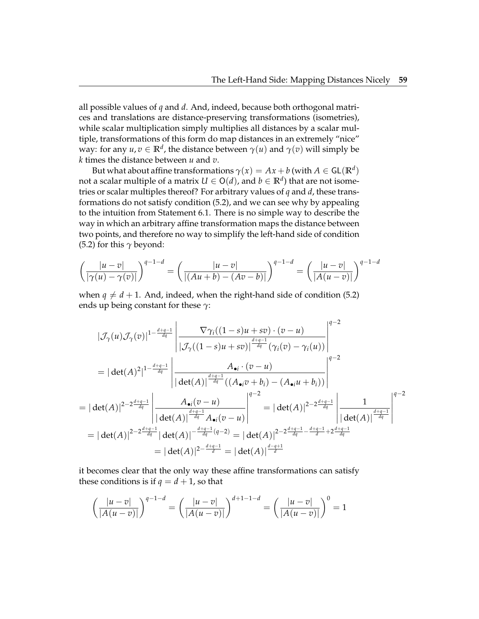all possible values of *q* and *d*. And, indeed, because both orthogonal matrices and translations are distance-preserving transformations (isometries), while scalar multiplication simply multiplies all distances by a scalar multiple, transformations of this form do map distances in an extremely "nice" way: for any  $u, v \in \mathbb{R}^d$ , the distance between  $\gamma(u)$  and  $\gamma(v)$  will simply be *k* times the distance between *u* and *v*.

But what about affine transformations  $\gamma(x) = Ax + b$  (with  $A \in \mathsf{GL}(\mathbb{R}^d)$ not a scalar multiple of a matrix  $U \in \mathsf{O}(d)$ , and  $b \in \mathbb{R}^d)$  that are not isometries or scalar multiples thereof? For arbitrary values of *q* and *d*, these transformations do not satisfy condition (5.2), and we can see why by appealing to the intuition from Statement 6.1. There is no simple way to describe the way in which an arbitrary affine transformation maps the distance between two points, and therefore no way to simplify the left-hand side of condition (5.2) for this  $\gamma$  beyond:

$$
\left(\frac{|u-v|}{|\gamma(u)-\gamma(v)|}\right)^{q-1-d} = \left(\frac{|u-v|}{|(Au+b)-(Av-b)|}\right)^{q-1-d} = \left(\frac{|u-v|}{|A(u-v)|}\right)^{q-1-d}
$$

when  $q \neq d+1$ . And, indeed, when the right-hand side of condition (5.2) ends up being constant for these *γ*:

$$
|\mathcal{J}_{\gamma}(u)\mathcal{J}_{\gamma}(v)|^{1-\frac{d+q-1}{dq}}\left|\frac{\nabla\gamma_{i}((1-s)u+sv)\cdot(v-u)}{|\mathcal{J}_{\gamma}((1-s)u+sv)|^{\frac{d+q-1}{dq}}(\gamma_{i}(v)-\gamma_{i}(u))}\right|^{q-2}
$$
\n
$$
=|\det(A)^{2}|^{1-\frac{d+q-1}{dq}}\left|\frac{A_{\bullet i}\cdot(v-u)}{|\det(A)|^{\frac{d+q-1}{dq}}((A_{\bullet i}v+b_{i})-(A_{\bullet i}u+b_{i}))}\right|^{q-2}
$$
\n
$$
=|\det(A)|^{2-2\frac{d+q-1}{dq}}\left|\frac{A_{\bullet i}(v-u)}{|\det(A)|^{\frac{d+q-1}{dq}}A_{\bullet i}(v-u)}\right|^{q-2} = |\det(A)|^{2-2\frac{d+q-1}{dq}}\left|\frac{1}{|\det(A)|^{\frac{d+q-1}{dq}}}\right|^{q-2}
$$
\n
$$
=|\det(A)|^{2-2\frac{d+q-1}{dq}}|\det(A)|^{-\frac{d+q-1}{dq}(q-2)} = |\det(A)|^{2-2\frac{d+q-1}{dq} - \frac{d+q-1}{d} + 2\frac{d+q-1}{dq}} = |\det(A)|^{2-\frac{d+q-1}{dq}} = |\det(A)|^{\frac{d-q+1}{d}}
$$

it becomes clear that the only way these affine transformations can satisfy these conditions is if  $q = d + 1$ , so that

$$
\left(\frac{|u-v|}{|A(u-v)|}\right)^{q-1-d} = \left(\frac{|u-v|}{|A(u-v)|}\right)^{d+1-1-d} = \left(\frac{|u-v|}{|A(u-v)|}\right)^0 = 1
$$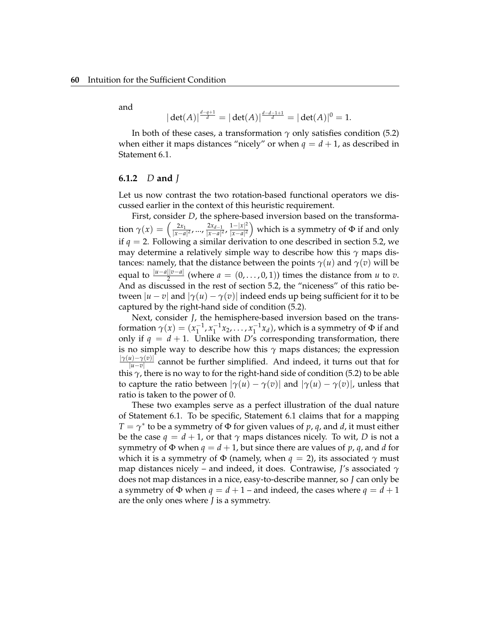and

$$
|\det(A)|^{\frac{d-q+1}{d}} = |\det(A)|^{\frac{d-d-1+1}{d}} = |\det(A)|^0 = 1.
$$

In both of these cases, a transformation  $\gamma$  only satisfies condition (5.2) when either it maps distances "nicely" or when  $q = d + 1$ , as described in Statement 6.1.

#### **6.1.2** *D* **and** *J*

Let us now contrast the two rotation-based functional operators we discussed earlier in the context of this heuristic requirement.

First, consider *D*, the sphere-based inversion based on the transformation  $\gamma(x) = \left(\frac{2x_1}{|x-a|}\right)$ 2*x*<sub>1</sub> 2*xd*−1 2*xd*−1 2*xd*−1 2*x*  $\frac{2x_{d-1}}{|x-a|^2}$ ,  $\frac{1-|x|^2}{|x-a|^2}$ |*x*−*a*| 2 which is a symmetry of Φ if and only if  $q = 2$ . Following a similar derivation to one described in section 5.2, we may determine a relatively simple way to describe how this *γ* maps distances: namely, that the distance between the points  $\gamma(u)$  and  $\gamma(v)$  will be equal to  $\frac{|u-a||v-a|}{2}$  (where  $a = (0, \ldots, 0, 1)$ ) times the distance from *u* to *v*. And as discussed in the rest of section 5.2, the "niceness" of this ratio between  $|u - v|$  and  $|\gamma(u) - \gamma(v)|$  indeed ends up being sufficient for it to be captured by the right-hand side of condition (5.2).

Next, consider *J*, the hemisphere-based inversion based on the transformation  $\gamma(x) = (x_1^{-1}, x_1^{-1}x_2, \ldots, x_1^{-1}x_d)$ , which is a symmetry of  $\Phi$  if and only if  $q = d + 1$ . Unlike with *D*'s corresponding transformation, there is no simple way to describe how this  $\gamma$  maps distances; the expression |*γ*(*u*)−*γ*(*v*)| *u*<sup>|*u*</sup> cannot be further simplified. And indeed, it turns out that for this *γ*, there is no way to for the right-hand side of condition (5.2) to be able to capture the ratio between  $|\gamma(u) - \gamma(v)|$  and  $|\gamma(u) - \gamma(v)|$ , unless that ratio is taken to the power of 0.

These two examples serve as a perfect illustration of the dual nature of Statement 6.1. To be specific, Statement 6.1 claims that for a mapping  $T = \gamma^*$  to be a symmetry of  $\Phi$  for given values of  $p$ ,  $q$ , and  $d$ , it must either be the case  $q = d + 1$ , or that  $\gamma$  maps distances nicely. To wit, *D* is not a symmetry of  $\Phi$  when  $q = d + 1$ , but since there are values of p, q, and d for which it is a symmetry of  $\Phi$  (namely, when  $q = 2$ ), its associated  $\gamma$  must map distances nicely – and indeed, it does. Contrawise, *J*'s associated *γ* does not map distances in a nice, easy-to-describe manner, so *J* can only be a symmetry of  $\Phi$  when  $q = d + 1$  – and indeed, the cases where  $q = d + 1$ are the only ones where *J* is a symmetry.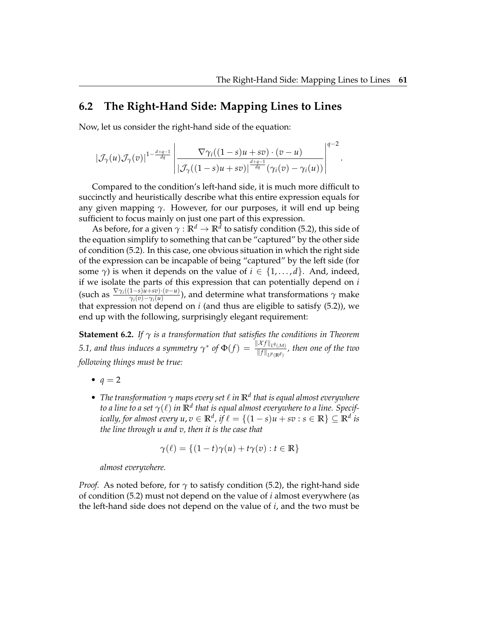### **6.2 The Right-Hand Side: Mapping Lines to Lines**

Now, let us consider the right-hand side of the equation:

$$
\left|\mathcal{J}_{\gamma}(u)\mathcal{J}_{\gamma}(v)\right|^{1-\frac{d+q-1}{dq}}\left|\frac{\nabla \gamma_i((1-s)u+sv)\cdot (v-u)}{\left|\mathcal{J}_{\gamma}((1-s)u+sv)\right|^{\frac{d+q-1}{dq}}(\gamma_i(v)-\gamma_i(u))}\right|^{q-2}.
$$

Compared to the condition's left-hand side, it is much more difficult to succinctly and heuristically describe what this entire expression equals for any given mapping  $\gamma$ . However, for our purposes, it will end up being sufficient to focus mainly on just one part of this expression.

As before, for a given *γ* : **R***<sup>d</sup>* → **R***<sup>d</sup>* to satisfy condition (5.2), this side of the equation simplify to something that can be "captured" by the other side of condition (5.2). In this case, one obvious situation in which the right side of the expression can be incapable of being "captured" by the left side (for some  $\gamma$ ) is when it depends on the value of  $i \in \{1, \ldots, d\}$ . And, indeed, if we isolate the parts of this expression that can potentially depend on *i* (such as  $\frac{\nabla \gamma_i((1-s)u+sv)\cdot(v-u)}{\gamma_i(v)-\gamma_i(u)}$ ), and determine what transformations  $\gamma$  make that expression not depend on  $i$  (and thus are eligible to satisfy  $(5.2)$ ), we end up with the following, surprisingly elegant requirement:

**Statement 6.2.** *If γ is a transformation that satisfies the conditions in Theorem 5.1, and thus induces a symmetry*  $\gamma^*$  *of*  $\Phi(f) = \frac{\|\mathcal{X}f\|_{L^q(\mathcal{M})}}{\|f\|_{L^p(\mathbb{R}^d)}}$ *, then one of the two following things must be true:*

- $\bullet$   $q = 2$
- *The transformation γ maps every set* ℓ *in* **R***<sup>d</sup> that is equal almost everywhere to a line to a set γ*(ℓ) *in* **R***<sup>d</sup> that is equal almost everywhere to a line. Specifically, for almost every*  $u$ *,*  $v \in \mathbb{R}^d$ *, if*  $\ell = \{(1-s)u + sv : s \in \mathbb{R}\} \subseteq \mathbb{R}^d$  *is the line through u and v, then it is the case that*

$$
\gamma(\ell) = \{(1-t)\gamma(u) + t\gamma(v) : t \in \mathbb{R}\}\
$$

*almost everywhere.*

*Proof.* As noted before, for *γ* to satisfy condition (5.2), the right-hand side of condition (5.2) must not depend on the value of *i* almost everywhere (as the left-hand side does not depend on the value of *i*, and the two must be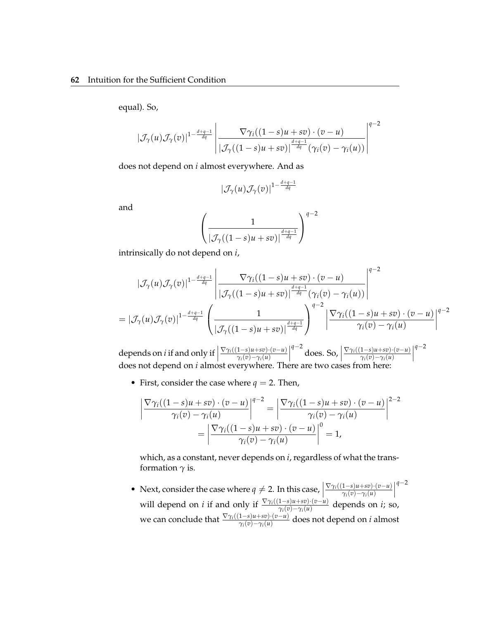equal). So,

$$
|\mathcal{J}_{\gamma}(u)\mathcal{J}_{\gamma}(v)|^{1-\frac{d+q-1}{dq}}\left|\frac{\nabla \gamma_i((1-s)u+sv)\cdot (v-u)}{|\mathcal{J}_{\gamma}((1-s)u+sv)|^{\frac{d+q-1}{dq}}(\gamma_i(v)-\gamma_i(u))}\right|^{q-2}
$$

does not depend on *i* almost everywhere. And as

$$
|\mathcal{J}_{\gamma}(u) \mathcal{J}_{\gamma}(v)|^{1-\frac{d+q-1}{dq}}
$$

and

$$
\left(\frac{1}{|\mathcal{J}_\gamma((1-s)u+sv)|^{\frac{d+q-1}{dq}}}\right)^{q-2}
$$

intrinsically do not depend on *i*,

$$
\begin{aligned}\n|\mathcal{J}_{\gamma}(u)\mathcal{J}_{\gamma}(v)|^{1-\frac{d+q-1}{dq}}\n\left|\n\frac{\nabla \gamma_i((1-s)u+sv)\cdot(v-u)}{|\mathcal{J}_{\gamma}((1-s)u+sv)|^{\frac{d+q-1}{dq}}(\gamma_i(v)-\gamma_i(u))}\n\right|^{q-2} \\
=|\mathcal{J}_{\gamma}(u)\mathcal{J}_{\gamma}(v)|^{1-\frac{d+q-1}{dq}}\n\left(\n\frac{1}{|\mathcal{J}_{\gamma}((1-s)u+sv)|^{\frac{d+q-1}{dq}}}\n\right)^{q-2}\n\left|\n\frac{\nabla \gamma_i((1-s)u+sv)\cdot(v-u)}{\gamma_i(v)-\gamma_i(u)}\right|^{q-2}\n\end{aligned}
$$

depends on *i* if and only if  $\vert$ ∇*γi*((1−*s*)*u*+*sv*)·(*v*−*u*) *γi*(*v*)−*γi*(*u*)  $\begin{array}{c} \begin{array}{c} \begin{array}{c} \end{array} \\ \begin{array}{c} \end{array} \end{array} \end{array}$ *q*−2 does. So,  $\Big|$ ∇*γi*((1−*s*)*u*+*sv*)·(*v*−*u*) *γi*(*v*)−*γi*(*u*)  $\begin{array}{c} \begin{array}{c} \begin{array}{c} \end{array} \\ \begin{array}{c} \end{array} \end{array} \end{array}$ *q*−2 does not depend on *i* almost everywhere. There are two cases from here:

• First, consider the case where  $q = 2$ . Then,

$$
\left| \frac{\nabla \gamma_i((1-s)u + sv) \cdot (v - u)}{\gamma_i(v) - \gamma_i(u)} \right|^{q-2} = \left| \frac{\nabla \gamma_i((1-s)u + sv) \cdot (v - u)}{\gamma_i(v) - \gamma_i(u)} \right|^{2-2}
$$

$$
= \left| \frac{\nabla \gamma_i((1-s)u + sv) \cdot (v - u)}{\gamma_i(v) - \gamma_i(u)} \right|^{0} = 1,
$$

which, as a constant, never depends on *i*, regardless of what the transformation  $\gamma$  is.

• Next, consider the case where  $q \neq 2$ . In this case,  $\left| \frac{\nabla \gamma_i((1-s)u + sv) \cdot (v-u)}{\gamma_i(v) - \gamma_i(u)} \right|$ will depend on *i* if and only if  $\frac{\nabla \gamma_i((1-s)u+sv)\cdot(v-u)}{\gamma_i(v)-\gamma_i(u)}$  depends on *i*; so, *γi*(*v*)−*γi*(*u*) *q*−2 we can conclude that  $\frac{\nabla \gamma_i((1-s)u+sv)\cdot(v-u)}{\gamma_i(v)-\gamma_i(u)}$  does not depend on *i* almost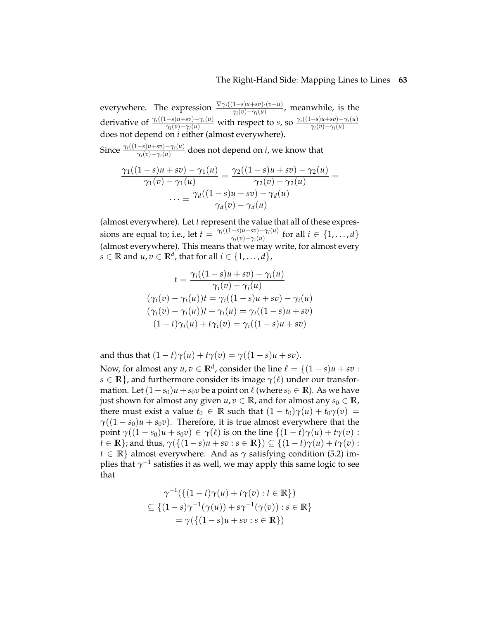everywhere. The expression  $\frac{\nabla \gamma_i((1-s)u+sv)\cdot(v-u)}{\gamma_i(v)-\gamma_i(u)}$ , meanwhile, is the derivative of  $\frac{\gamma_i((1-s)u+sv)-\gamma_i(u)}{\gamma_i(v)-\gamma_i(u)}$  with respect to *s*, so  $\frac{\gamma_i((1-s)u+sv)-\gamma_i(u)}{\gamma_i(v)-\gamma_i(u)}$ *γi*(*v*)−*γi*(*u*) does not depend on *i* either (almost everywhere).

Since  $\frac{\gamma_i((1-s)u+sv)-\gamma_i(u)}{\gamma_i(v)-\gamma_i(u)}$  does not depend on *i*, we know that

$$
\frac{\gamma_1((1-s)u+sv)-\gamma_1(u)}{\gamma_1(v)-\gamma_1(u)}=\frac{\gamma_2((1-s)u+sv)-\gamma_2(u)}{\gamma_2(v)-\gamma_2(u)}=\n\cdots=\frac{\gamma_d((1-s)u+sv)-\gamma_d(u)}{\gamma_d(v)-\gamma_d(u)}
$$

(almost everywhere). Let *t* represent the value that all of these expressions are equal to; i.e., let  $t = \frac{\gamma_i((1-s)u + sv) - \gamma_i(u)}{\gamma_i(v) - \gamma_i(u)}$  $\frac{-s}{\gamma_i(v)-\gamma_i(u)}$  for all  $i \in \{1,\ldots,d\}$ (almost everywhere). This means that we may write, for almost every  $s \in \mathbb{R}$  and  $u, v \in \mathbb{R}^d$ , that for all  $i \in \{1, \ldots, d\}$ ,

$$
t = \frac{\gamma_i((1-s)u + sv) - \gamma_i(u)}{\gamma_i(v) - \gamma_i(u)}
$$
  

$$
(\gamma_i(v) - \gamma_i(u))t = \gamma_i((1-s)u + sv) - \gamma_i(u)
$$
  

$$
(\gamma_i(v) - \gamma_i(u))t + \gamma_i(u) = \gamma_i((1-s)u + sv)
$$
  

$$
(1-t)\gamma_i(u) + t\gamma_i(v) = \gamma_i((1-s)u + sv)
$$

and thus that  $(1-t)\gamma(u) + t\gamma(v) = \gamma((1-s)u + sv)$ .

Now, for almost any  $u, v \in \mathbb{R}^d$ , consider the line  $\ell = \{(1-s)u + sv :$  $s \in \mathbb{R}$ , and furthermore consider its image  $\gamma(\ell)$  under our transformation. Let  $(1 - s_0)u + s_0v$  be a point on  $\ell$  (where  $s_0 \in \mathbb{R}$ ). As we have just shown for almost any given  $u, v \in \mathbb{R}$ , and for almost any  $s_0 \in \mathbb{R}$ , there must exist a value  $t_0 \in \mathbb{R}$  such that  $(1-t_0)\gamma(u) + t_0\gamma(v) =$  $\gamma((1-s_0)u + s_0v)$ . Therefore, it is true almost everywhere that the point  $\gamma((1 - s_0)u + s_0v) \in \gamma(\ell)$  is on the line  $\{(1 - t)\gamma(u) + t\gamma(v)$ :  $t \in \mathbb{R}$ ; and thus,  $\gamma(\{(1-s)u + sv : s \in \mathbb{R}\}) \subseteq \{(1-t)\gamma(u) + t\gamma(v) : s \in \mathbb{R}\}$ *t*  $\in \mathbb{R}$  almost everywhere. And as  $\gamma$  satisfying condition (5.2) implies that  $\gamma^{-1}$  satisfies it as well*,* we may apply this same logic to see that

$$
\gamma^{-1}(\{(1-t)\gamma(u) + t\gamma(v) : t \in \mathbb{R}\})
$$
  
\n
$$
\subseteq \{(1-s)\gamma^{-1}(\gamma(u)) + s\gamma^{-1}(\gamma(v)) : s \in \mathbb{R}\}
$$
  
\n
$$
= \gamma(\{(1-s)u + sv : s \in \mathbb{R}\})
$$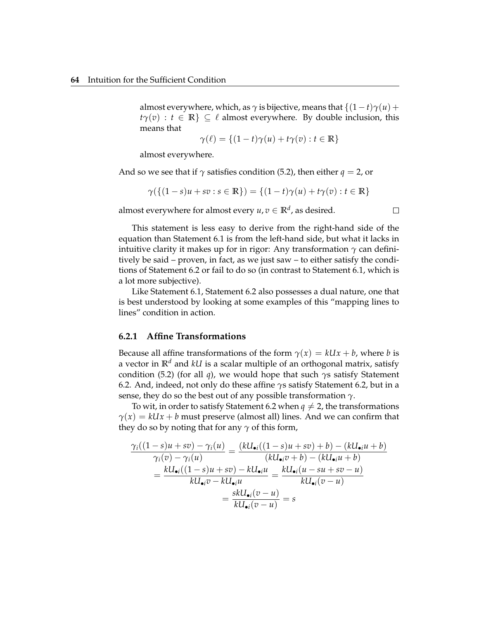almost everywhere, which, as  $\gamma$  is bijective, means that  $\{(1-t)\gamma(u) +$  $t\gamma(v)$  :  $t \in \mathbb{R}$   $\subseteq \ell$  almost everywhere. By double inclusion, this means that

$$
\gamma(\ell) = \{(1-t)\gamma(u) + t\gamma(v) : t \in \mathbb{R}\}\
$$

almost everywhere.

And so we see that if  $\gamma$  satisfies condition (5.2), then either  $q = 2$ , or

$$
\gamma(\{(1-s)u + sv : s \in \mathbb{R}\}) = \{(1-t)\gamma(u) + t\gamma(v) : t \in \mathbb{R}\}\
$$

almost everywhere for almost every  $u, v \in \mathbb{R}^d$ , as desired.

This statement is less easy to derive from the right-hand side of the equation than Statement 6.1 is from the left-hand side, but what it lacks in intuitive clarity it makes up for in rigor: Any transformation  $\gamma$  can definitively be said – proven, in fact, as we just saw – to either satisfy the conditions of Statement 6.2 or fail to do so (in contrast to Statement 6.1, which is a lot more subjective).

Like Statement 6.1, Statement 6.2 also possesses a dual nature, one that is best understood by looking at some examples of this "mapping lines to lines" condition in action.

### **6.2.1 Affine Transformations**

Because all affine transformations of the form  $\gamma(x) = kUx + b$ , where *b* is a vector in **R***<sup>d</sup>* and *kU* is a scalar multiple of an orthogonal matrix, satisfy condition (5.2) (for all *q*), we would hope that such *γ*s satisfy Statement 6.2. And, indeed, not only do these affine *γ*s satisfy Statement 6.2, but in a sense, they do so the best out of any possible transformation *γ*.

To wit, in order to satisfy Statement 6.2 when  $q \neq 2$ , the transformations  $\gamma(x) = kUx + b$  must preserve (almost all) lines. And we can confirm that they do so by noting that for any  $\gamma$  of this form,

$$
\frac{\gamma_i((1-s)u + sv) - \gamma_i(u)}{\gamma_i(v) - \gamma_i(u)} = \frac{(kU_{\bullet i}((1-s)u + sv) + b) - (kU_{\bullet i}u + b)}{(kU_{\bullet i}v + b) - (kU_{\bullet i}u + b)}
$$

$$
= \frac{kU_{\bullet i}((1-s)u + sv) - kU_{\bullet i}u}{kU_{\bullet i}v - kU_{\bullet i}u} = \frac{kU_{\bullet i}(u - su + sv - u)}{kU_{\bullet i}(v - u)}
$$

$$
= \frac{skU_{\bullet i}(v - u)}{kU_{\bullet i}(v - u)} = s
$$

 $\Box$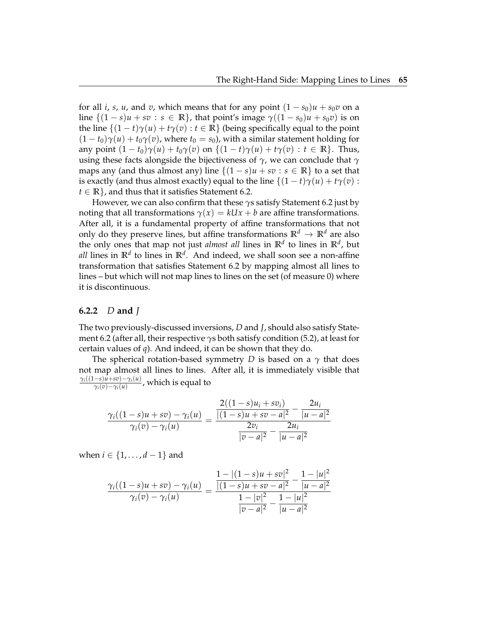for all *i*, *s*, *u*, and *v*, which means that for any point  $(1 - s_0)u + s_0v$  on a line  $\{(1-s)u + sv : s \in \mathbb{R}\}\)$ , that point's image  $\gamma((1-s_0)u + s_0v)$  is on the line  $\{(1-t)\gamma(u) + t\gamma(v) : t \in \mathbb{R}\}$  (being specifically equal to the point  $(1 - t_0)\gamma(u) + t_0\gamma(v)$ , where  $t_0 = s_0$ ), with a similar statement holding for any point  $(1-t_0)\gamma(u) + t_0\gamma(v)$  on  $\{(1-t)\gamma(u) + t\gamma(v) : t \in \mathbb{R}\}$ . Thus, using these facts alongside the bijectiveness of *γ*, we can conclude that *γ* maps any (and thus almost any) line  $\{(1 - s)u + sv : s \in \mathbb{R}\}\)$  to a set that is exactly (and thus almost exactly) equal to the line  $\{(1-t)\gamma(u) + t\gamma(v)$ :  $t \in \mathbb{R}$ , and thus that it satisfies Statement 6.2.

However, we can also confirm that these *γ*s satisfy Statement 6.2 just by noting that all transformations  $\gamma(x) = kUx + b$  are affine transformations. After all, it is a fundamental property of affine transformations that not only do they preserve lines, but affine transformations  $\mathbb{R}^d \to \mathbb{R}^d$  are also the only ones that map not just *almost all* lines in **R***<sup>d</sup>* to lines in **R***<sup>d</sup>* , but *all* lines in **R***<sup>d</sup>* to lines in **R***<sup>d</sup>* . And indeed, we shall soon see a non-affine transformation that satisfies Statement 6.2 by mapping almost all lines to lines – but which will not map lines to lines on the set (of measure 0) where it is discontinuous.

#### **6.2.2** *D* **and** *J*

The two previously-discussed inversions, *D* and *J*, should also satisfy Statement 6.2 (after all, their respective *γ*s both satisfy condition (5.2), at least for certain values of *q*). And indeed, it can be shown that they do.

The spherical rotation-based symmetry *D* is based on a *γ* that does not map almost all lines to lines. After all, it is immediately visible that *γi*((1−*s*)*u*+*sv*)−*γi*(*u*)  $\frac{(-8)(u+8v)-\gamma_i(u)}{\gamma_i(v)-\gamma_i(u)}$ , which is equal to

$$
\frac{\gamma_i((1-s)u+sv)-\gamma_i(u)}{\gamma_i(v)-\gamma_i(u)}=\frac{\frac{2((1-s)u_1+sv_i)}{[(1-s)u+sv-a]^2}-\frac{2u_i}{|u-a|^2}}{\frac{2v_i}{|v-a|^2}-\frac{2u_i}{|u-a|^2}}
$$

when *i* ∈ {1, . . . , *d* − 1} and

$$
\frac{\gamma_i((1-s)u+sv)-\gamma_i(u)}{\gamma_i(v)-\gamma_i(u)}=\frac{\frac{1-|(1-s)u+sv|^2}{|(1-s)u+sv-a|^2}-\frac{1-|u|^2}{|u-a|^2}}{\frac{1-|v|^2}{|v-a|^2}-\frac{1-|u|^2}{|u-a|^2}}
$$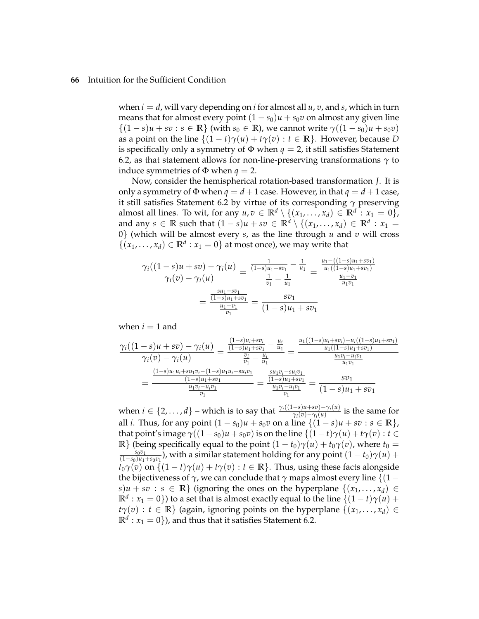when  $i = d$ , will vary depending on *i* for almost all  $u$ ,  $v$ , and  $s$ , which in turn means that for almost every point  $(1 - s_0)u + s_0v$  on almost any given line  $\{(1-s)u + sv : s \in \mathbb{R}\}\$  (with  $s_0 \in \mathbb{R}$ ), we cannot write  $\gamma((1-s_0)u + s_0v)$ as a point on the line  $\{(1-t)\gamma(u) + t\gamma(v) : t \in \mathbb{R}\}\)$ . However, because *D* is specifically only a symmetry of  $\Phi$  when  $q = 2$ , it still satisfies Statement 6.2, as that statement allows for non-line-preserving transformations  $\gamma$  to induce symmetries of  $\Phi$  when  $q = 2$ .

Now, consider the hemispherical rotation-based transformation *J*. It is only a symmetry of  $\Phi$  when  $q = d + 1$  case. However, in that  $q = d + 1$  case, it still satisfies Statement 6.2 by virtue of its corresponding *γ* preserving almost all lines. To wit, for any  $u, v \in \mathbb{R}^d \setminus \{(x_1, \ldots, x_d) \in \mathbb{R}^d : x_1 = 0\},$ and any  $s \in \mathbb{R}$  such that  $(1-s)u + sv \in \mathbb{R}^d \setminus \{(x_1, \ldots, x_d) \in \mathbb{R}^d : x_1 =$ 0} (which will be almost every *s*, as the line through *u* and *v* will cross  $\{(x_1, \ldots, x_d) \in \mathbb{R}^d : x_1 = 0\}$  at most once), we may write that

$$
\frac{\gamma_i((1-s)u+sv)-\gamma_i(u)}{\gamma_i(v)-\gamma_i(u)} = \frac{\frac{1}{(1-s)u_1+sv_1} - \frac{1}{u_1}}{\frac{1}{v_1} - \frac{1}{u_1}} = \frac{\frac{u_1 - ((1-s)u_1+sv_1)}{u_1((1-s)u_1+sv_1)}}{\frac{u_1-v_1}{u_1v_1}} = \frac{\frac{su_1 - sv_1}{(1-s)u_1+sv_1}}{(1-s)u_1+sv_1}
$$

when  $i = 1$  and

$$
\frac{\gamma_i((1-s)u+sv)-\gamma_i(u)}{\gamma_i(v)-\gamma_i(u)}=\frac{\frac{(1-s)u_i+sv_i}{(1-s)u_1+sv_1}-\frac{u_i}{u_1}}{\frac{v_i}{v_1}-\frac{u_i}{u_1}}=\frac{\frac{u_1((1-s)u_i+sv_i)-u_i((1-s)u_1+sv_1)}{u_1((1-s)u_1+sv_1)}}{\frac{u_1v_i-u_iv_1}{u_1v_1}}}{\frac{\frac{(1-s)u_1u_i+su_1v_i-(1-s)u_1u_i-su_iv_1}{u_1v_1}}{\frac{u_1v_i-u_iv_1}{v_1}}}=\frac{\frac{su_1v_i-su_iv_1}{u_1v_1}}{\frac{u_1v_i-u_iv_1}{v_1}}=\frac{sv_1}{(1-s)u_1+sv_1}
$$

when  $i \in \{2, ..., d\}$  – which is to say that  $\frac{\gamma_i((1-s)u+sv)-\gamma_i(u)}{\gamma_i(v)-\gamma_i(u)}$  is the same for all *i*. Thus, for any point  $(1 - s_0)u + s_0v$  on a line  $\{(1 - s)u + sv : s ∈ ℝ\}$ , that point's image  $\gamma((1-s_0)u + s_0v)$  is on the line  $\{(1-t)\gamma(u) + t\gamma(v) : t \in$ **R**} (being specifically equal to the point  $(1 - t_0)\gamma(u) + t_0\gamma(v)$ , where  $t_0 =$ *s*0*v*<sup>1</sup>  $\frac{s_0v_1}{(1-s_0)u_1+s_0v_1}$ ), with a similar statement holding for any point  $(1-t_0)\gamma(u)+\gamma(u)$ *t*<sub>0</sub> $\gamma$ (*v*) on {(1 − *t*) $\gamma$ (*u*) + *t* $\gamma$ (*v*) : *t* ∈ **R**}. Thus, using these facts alongside the bijectiveness of  $\gamma$ , we can conclude that  $\gamma$  maps almost every line  $\{(1$  $s$ )*u* + *sv* : *s* ∈ **R**} (ignoring the ones on the hyperplane {(*x*<sub>1</sub>, . . . , *x*<sub>*d*</sub>) ∈  $\mathbb{R}^d: x_1 = 0$ }) to a set that is almost exactly equal to the line  $\{(1-t)\gamma(u) +$  $t\gamma(v) : t \in \mathbb{R}$  (again, ignoring points on the hyperplane  $\{(x_1, \ldots, x_d) \in$  $\mathbb{R}^d$  :  $x_1 = 0$ }), and thus that it satisfies Statement 6.2.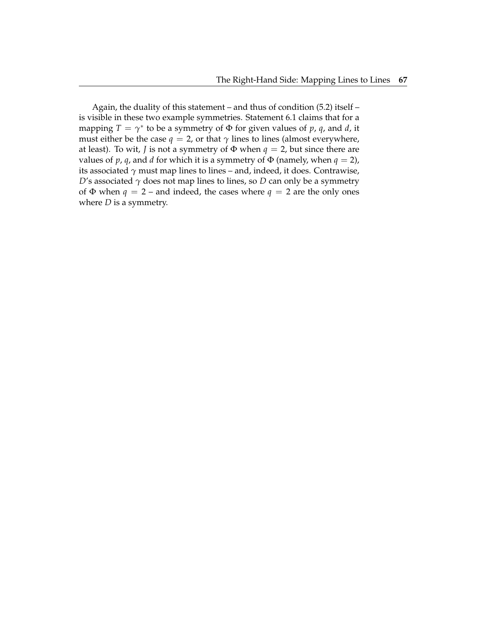Again, the duality of this statement – and thus of condition (5.2) itself – is visible in these two example symmetries. Statement 6.1 claims that for a mapping  $T = \gamma^*$  to be a symmetry of  $\Phi$  for given values of  $p$ ,  $q$ , and  $d$ , it must either be the case  $q = 2$ , or that  $\gamma$  lines to lines (almost everywhere, at least). To wit, *J* is not a symmetry of  $\Phi$  when  $q = 2$ , but since there are values of *p*, *q*, and *d* for which it is a symmetry of  $\Phi$  (namely, when  $q = 2$ ), its associated  $\gamma$  must map lines to lines – and, indeed, it does. Contrawise, *D*'s associated  $\gamma$  does not map lines to lines, so *D* can only be a symmetry of  $\Phi$  when  $q = 2$  – and indeed, the cases where  $q = 2$  are the only ones where *D* is a symmetry.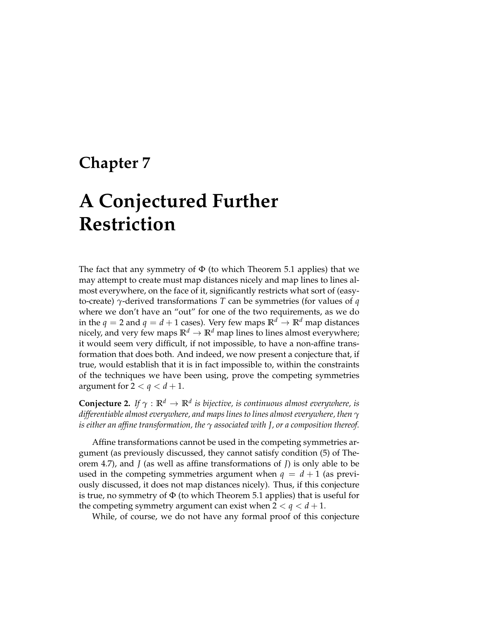### **Chapter 7**

# **A Conjectured Further Restriction**

The fact that any symmetry of  $\Phi$  (to which Theorem 5.1 applies) that we may attempt to create must map distances nicely and map lines to lines almost everywhere, on the face of it, significantly restricts what sort of (easyto-create) *γ*-derived transformations *T* can be symmetries (for values of *q* where we don't have an "out" for one of the two requirements, as we do in the  $q = 2$  and  $q = d + 1$  cases). Very few maps  $\mathbb{R}^d \to \mathbb{R}^d$  map distances nicely, and very few maps  $\mathbb{R}^d \to \mathbb{R}^d$  map lines to lines almost everywhere; it would seem very difficult, if not impossible, to have a non-affine transformation that does both. And indeed, we now present a conjecture that, if true, would establish that it is in fact impossible to, within the constraints of the techniques we have been using, prove the competing symmetries argument for  $2 < q < d + 1$ .

**Conjecture 2.** *If γ* : **R***<sup>d</sup>* → **R***<sup>d</sup> is bijective, is continuous almost everywhere, is differentiable almost everywhere, and maps lines to lines almost everywhere, then γ is either an affine transformation, the γ associated with J, or a composition thereof.*

Affine transformations cannot be used in the competing symmetries argument (as previously discussed, they cannot satisfy condition (5) of Theorem 4.7), and *J* (as well as affine transformations of *J*) is only able to be used in the competing symmetries argument when  $q = d + 1$  (as previously discussed, it does not map distances nicely). Thus, if this conjecture is true, no symmetry of  $\Phi$  (to which Theorem 5.1 applies) that is useful for the competing symmetry argument can exist when  $2 < q < d+1$ .

While, of course, we do not have any formal proof of this conjecture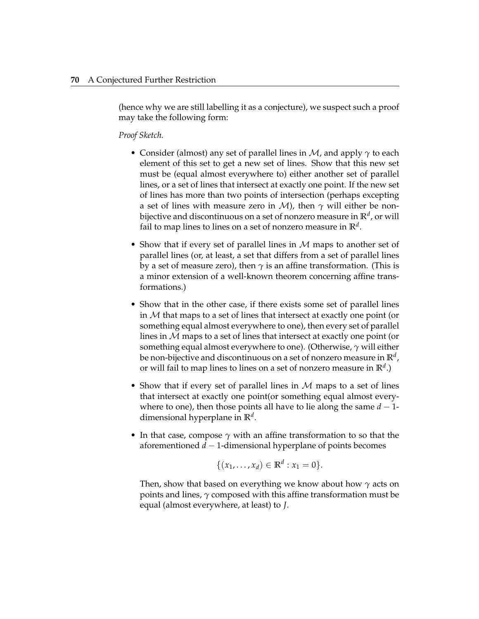(hence why we are still labelling it as a conjecture), we suspect such a proof may take the following form:

*Proof Sketch.*

- Consider (almost) any set of parallel lines in M, and apply *γ* to each element of this set to get a new set of lines. Show that this new set must be (equal almost everywhere to) either another set of parallel lines, or a set of lines that intersect at exactly one point. If the new set of lines has more than two points of intersection (perhaps excepting a set of lines with measure zero in *M*), then  $\gamma$  will either be nonbijective and discontinuous on a set of nonzero measure in **R***<sup>d</sup>* , or will fail to map lines to lines on a set of nonzero measure in **R***<sup>d</sup>* .
- Show that if every set of parallel lines in  $M$  maps to another set of parallel lines (or, at least, a set that differs from a set of parallel lines by a set of measure zero), then  $\gamma$  is an affine transformation. (This is a minor extension of a well-known theorem concerning affine transformations.)
- Show that in the other case, if there exists some set of parallel lines in  $M$  that maps to a set of lines that intersect at exactly one point (or something equal almost everywhere to one), then every set of parallel lines in M maps to a set of lines that intersect at exactly one point (or something equal almost everywhere to one). (Otherwise, *γ* will either be non-bijective and discontinuous on a set of nonzero measure in **R***<sup>d</sup>* , or will fail to map lines to lines on a set of nonzero measure in **R***<sup>d</sup>* .)
- Show that if every set of parallel lines in  $M$  maps to a set of lines that intersect at exactly one point(or something equal almost everywhere to one), then those points all have to lie along the same  $d-1$ dimensional hyperplane in **R***<sup>d</sup>* .
- In that case, compose  $\gamma$  with an affine transformation to so that the aforementioned *d* − 1-dimensional hyperplane of points becomes

$$
\{(x_1, ..., x_d) \in \mathbb{R}^d : x_1 = 0\}.
$$

Then, show that based on everything we know about how *γ* acts on points and lines, *γ* composed with this affine transformation must be equal (almost everywhere, at least) to *J*.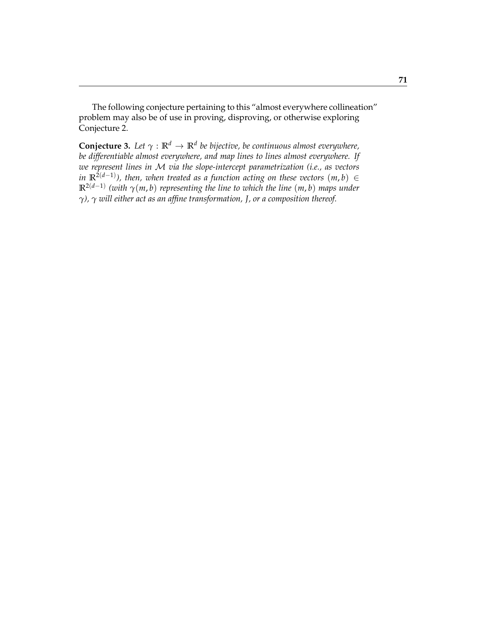The following conjecture pertaining to this "almost everywhere collineation" problem may also be of use in proving, disproving, or otherwise exploring Conjecture 2.

**Conjecture 3.** *Let γ* : **R***<sup>d</sup>* → **R***<sup>d</sup> be bijective, be continuous almost everywhere, be differentiable almost everywhere, and map lines to lines almost everywhere. If we represent lines in* M *via the slope-intercept parametrization (i.e., as vectors in*  $\mathbb{R}^{2(d-1)}$ ), then, when treated as a function acting on these vectors  $(m, b)$  ∈ **R**2(*d*−1) *(with γ*(*m*, *b*) *representing the line to which the line* (*m*, *b*) *maps under γ), γ will either act as an affine transformation, J, or a composition thereof.*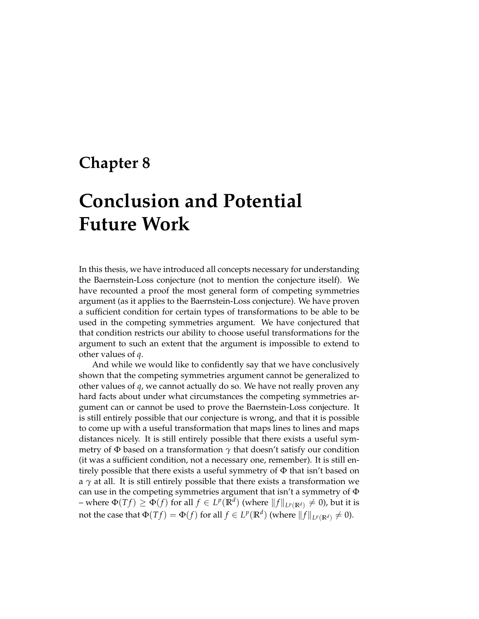### **Chapter 8**

# **Conclusion and Potential Future Work**

In this thesis, we have introduced all concepts necessary for understanding the Baernstein-Loss conjecture (not to mention the conjecture itself). We have recounted a proof the most general form of competing symmetries argument (as it applies to the Baernstein-Loss conjecture). We have proven a sufficient condition for certain types of transformations to be able to be used in the competing symmetries argument. We have conjectured that that condition restricts our ability to choose useful transformations for the argument to such an extent that the argument is impossible to extend to other values of *q*.

And while we would like to confidently say that we have conclusively shown that the competing symmetries argument cannot be generalized to other values of *q*, we cannot actually do so. We have not really proven any hard facts about under what circumstances the competing symmetries argument can or cannot be used to prove the Baernstein-Loss conjecture. It is still entirely possible that our conjecture is wrong, and that it is possible to come up with a useful transformation that maps lines to lines and maps distances nicely. It is still entirely possible that there exists a useful symmetry of  $\Phi$  based on a transformation  $\gamma$  that doesn't satisfy our condition (it was a sufficient condition, not a necessary one, remember). It is still entirely possible that there exists a useful symmetry of Φ that isn't based on a  $\gamma$  at all. It is still entirely possible that there exists a transformation we can use in the competing symmetries argument that isn't a symmetry of Φ – where  $\Phi(Tf) \ge \Phi(f)$  for all  $f \in L^p(\mathbb{R}^d)$  (where  $\|f\|_{L^p(\mathbb{R}^d)} \ne 0$ ), but it is not the case that  $\Phi(Tf) = \Phi(f)$  for all  $f \in L^p(\mathbb{R}^d)$  (where  $\|f\|_{L^p(\mathbb{R}^d)} \neq 0$ ).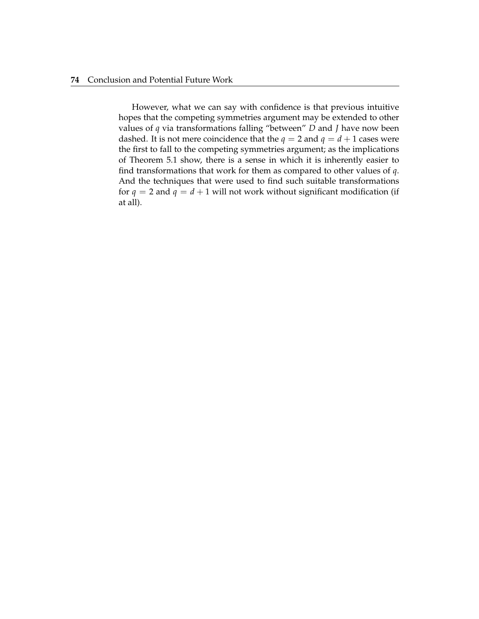#### **74** Conclusion and Potential Future Work

However, what we can say with confidence is that previous intuitive hopes that the competing symmetries argument may be extended to other values of *q* via transformations falling "between" *D* and *J* have now been dashed. It is not mere coincidence that the  $q = 2$  and  $q = d + 1$  cases were the first to fall to the competing symmetries argument; as the implications of Theorem 5.1 show, there is a sense in which it is inherently easier to find transformations that work for them as compared to other values of *q*. And the techniques that were used to find such suitable transformations for  $q = 2$  and  $q = d + 1$  will not work without significant modification (if at all).